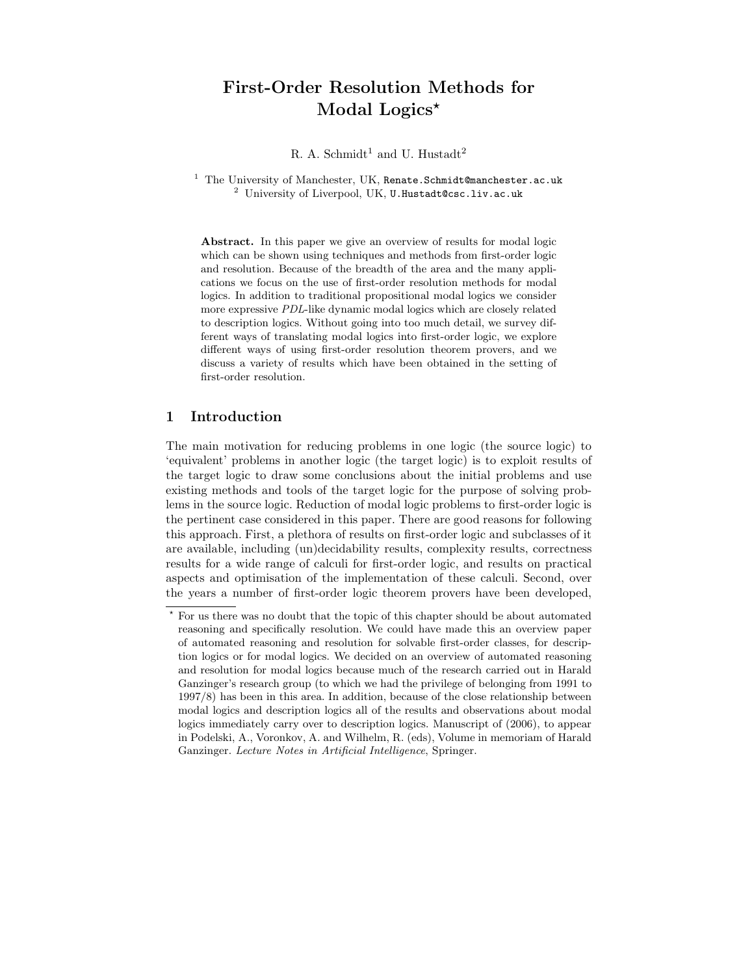# First-Order Resolution Methods for Modal Logics\*

R. A. Schmidt<sup>1</sup> and U. Hustadt<sup>2</sup>

 $1$  The University of Manchester, UK, Renate. Schmidt@manchester.ac.uk  $2$  University of Liverpool, UK, U.Hustadt@csc.liv.ac.uk

Abstract. In this paper we give an overview of results for modal logic which can be shown using techniques and methods from first-order logic and resolution. Because of the breadth of the area and the many applications we focus on the use of first-order resolution methods for modal logics. In addition to traditional propositional modal logics we consider more expressive *PDL*-like dynamic modal logics which are closely related to description logics. Without going into too much detail, we survey different ways of translating modal logics into first-order logic, we explore different ways of using first-order resolution theorem provers, and we discuss a variety of results which have been obtained in the setting of first-order resolution.

# 1 Introduction

The main motivation for reducing problems in one logic (the source logic) to 'equivalent' problems in another logic (the target logic) is to exploit results of the target logic to draw some conclusions about the initial problems and use existing methods and tools of the target logic for the purpose of solving problems in the source logic. Reduction of modal logic problems to first-order logic is the pertinent case considered in this paper. There are good reasons for following this approach. First, a plethora of results on first-order logic and subclasses of it are available, including (un)decidability results, complexity results, correctness results for a wide range of calculi for first-order logic, and results on practical aspects and optimisation of the implementation of these calculi. Second, over the years a number of first-order logic theorem provers have been developed,

<sup>⋆</sup> For us there was no doubt that the topic of this chapter should be about automated reasoning and specifically resolution. We could have made this an overview paper of automated reasoning and resolution for solvable first-order classes, for description logics or for modal logics. We decided on an overview of automated reasoning and resolution for modal logics because much of the research carried out in Harald Ganzinger's research group (to which we had the privilege of belonging from 1991 to 1997/8) has been in this area. In addition, because of the close relationship between modal logics and description logics all of the results and observations about modal logics immediately carry over to description logics. Manuscript of (2006), to appear in Podelski, A., Voronkov, A. and Wilhelm, R. (eds), Volume in memoriam of Harald Ganzinger. *Lecture Notes in Artificial Intelligence*, Springer.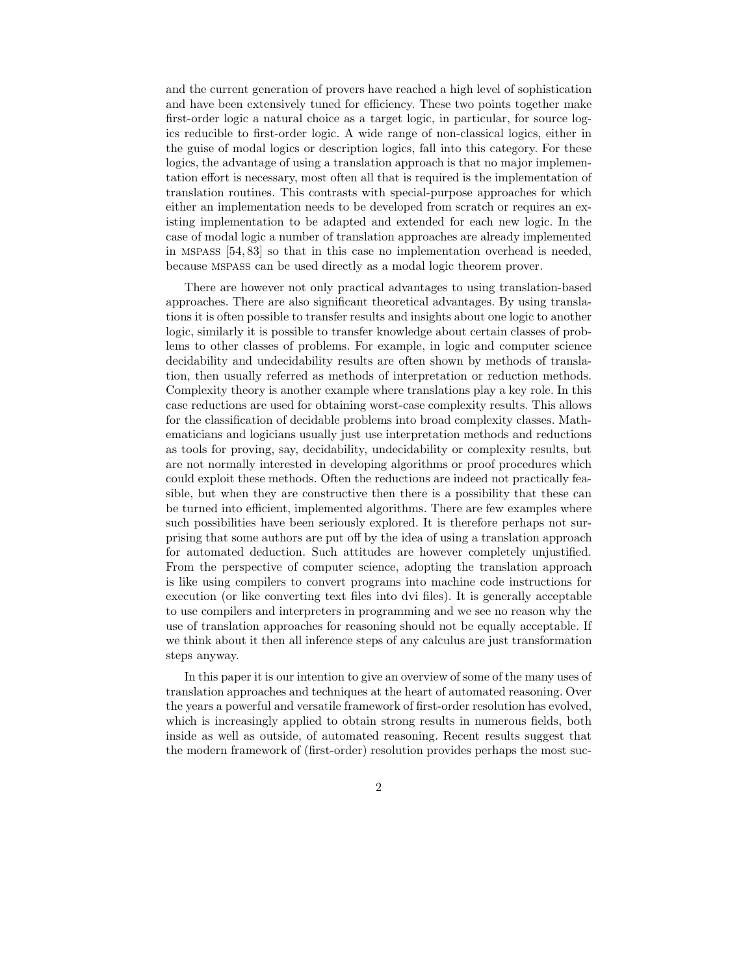and the current generation of provers have reached a high level of sophistication and have been extensively tuned for efficiency. These two points together make first-order logic a natural choice as a target logic, in particular, for source logics reducible to first-order logic. A wide range of non-classical logics, either in the guise of modal logics or description logics, fall into this category. For these logics, the advantage of using a translation approach is that no major implementation effort is necessary, most often all that is required is the implementation of translation routines. This contrasts with special-purpose approaches for which either an implementation needs to be developed from scratch or requires an existing implementation to be adapted and extended for each new logic. In the case of modal logic a number of translation approaches are already implemented in mspass [54, 83] so that in this case no implementation overhead is needed, because mspass can be used directly as a modal logic theorem prover.

There are however not only practical advantages to using translation-based approaches. There are also significant theoretical advantages. By using translations it is often possible to transfer results and insights about one logic to another logic, similarly it is possible to transfer knowledge about certain classes of problems to other classes of problems. For example, in logic and computer science decidability and undecidability results are often shown by methods of translation, then usually referred as methods of interpretation or reduction methods. Complexity theory is another example where translations play a key role. In this case reductions are used for obtaining worst-case complexity results. This allows for the classification of decidable problems into broad complexity classes. Mathematicians and logicians usually just use interpretation methods and reductions as tools for proving, say, decidability, undecidability or complexity results, but are not normally interested in developing algorithms or proof procedures which could exploit these methods. Often the reductions are indeed not practically feasible, but when they are constructive then there is a possibility that these can be turned into efficient, implemented algorithms. There are few examples where such possibilities have been seriously explored. It is therefore perhaps not surprising that some authors are put off by the idea of using a translation approach for automated deduction. Such attitudes are however completely unjustified. From the perspective of computer science, adopting the translation approach is like using compilers to convert programs into machine code instructions for execution (or like converting text files into dvi files). It is generally acceptable to use compilers and interpreters in programming and we see no reason why the use of translation approaches for reasoning should not be equally acceptable. If we think about it then all inference steps of any calculus are just transformation steps anyway.

In this paper it is our intention to give an overview of some of the many uses of translation approaches and techniques at the heart of automated reasoning. Over the years a powerful and versatile framework of first-order resolution has evolved, which is increasingly applied to obtain strong results in numerous fields, both inside as well as outside, of automated reasoning. Recent results suggest that the modern framework of (first-order) resolution provides perhaps the most suc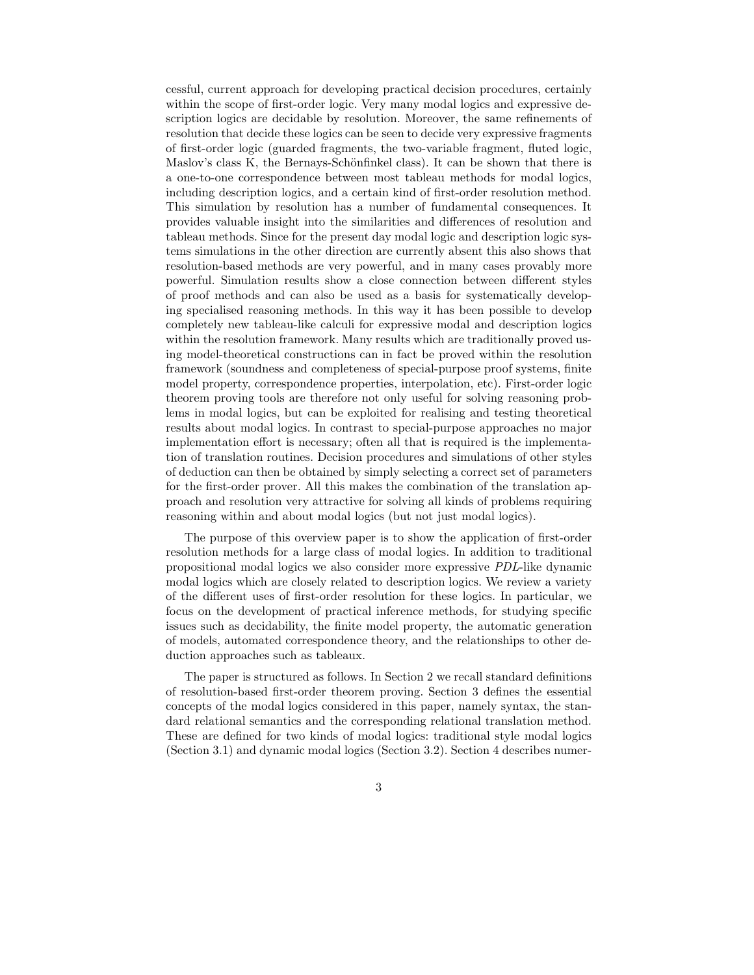cessful, current approach for developing practical decision procedures, certainly within the scope of first-order logic. Very many modal logics and expressive description logics are decidable by resolution. Moreover, the same refinements of resolution that decide these logics can be seen to decide very expressive fragments of first-order logic (guarded fragments, the two-variable fragment, fluted logic, Maslov's class K, the Bernays-Schönfinkel class). It can be shown that there is a one-to-one correspondence between most tableau methods for modal logics, including description logics, and a certain kind of first-order resolution method. This simulation by resolution has a number of fundamental consequences. It provides valuable insight into the similarities and differences of resolution and tableau methods. Since for the present day modal logic and description logic systems simulations in the other direction are currently absent this also shows that resolution-based methods are very powerful, and in many cases provably more powerful. Simulation results show a close connection between different styles of proof methods and can also be used as a basis for systematically developing specialised reasoning methods. In this way it has been possible to develop completely new tableau-like calculi for expressive modal and description logics within the resolution framework. Many results which are traditionally proved using model-theoretical constructions can in fact be proved within the resolution framework (soundness and completeness of special-purpose proof systems, finite model property, correspondence properties, interpolation, etc). First-order logic theorem proving tools are therefore not only useful for solving reasoning problems in modal logics, but can be exploited for realising and testing theoretical results about modal logics. In contrast to special-purpose approaches no major implementation effort is necessary; often all that is required is the implementation of translation routines. Decision procedures and simulations of other styles of deduction can then be obtained by simply selecting a correct set of parameters for the first-order prover. All this makes the combination of the translation approach and resolution very attractive for solving all kinds of problems requiring reasoning within and about modal logics (but not just modal logics).

The purpose of this overview paper is to show the application of first-order resolution methods for a large class of modal logics. In addition to traditional propositional modal logics we also consider more expressive *PDL*-like dynamic modal logics which are closely related to description logics. We review a variety of the different uses of first-order resolution for these logics. In particular, we focus on the development of practical inference methods, for studying specific issues such as decidability, the finite model property, the automatic generation of models, automated correspondence theory, and the relationships to other deduction approaches such as tableaux.

The paper is structured as follows. In Section 2 we recall standard definitions of resolution-based first-order theorem proving. Section 3 defines the essential concepts of the modal logics considered in this paper, namely syntax, the standard relational semantics and the corresponding relational translation method. These are defined for two kinds of modal logics: traditional style modal logics (Section 3.1) and dynamic modal logics (Section 3.2). Section 4 describes numer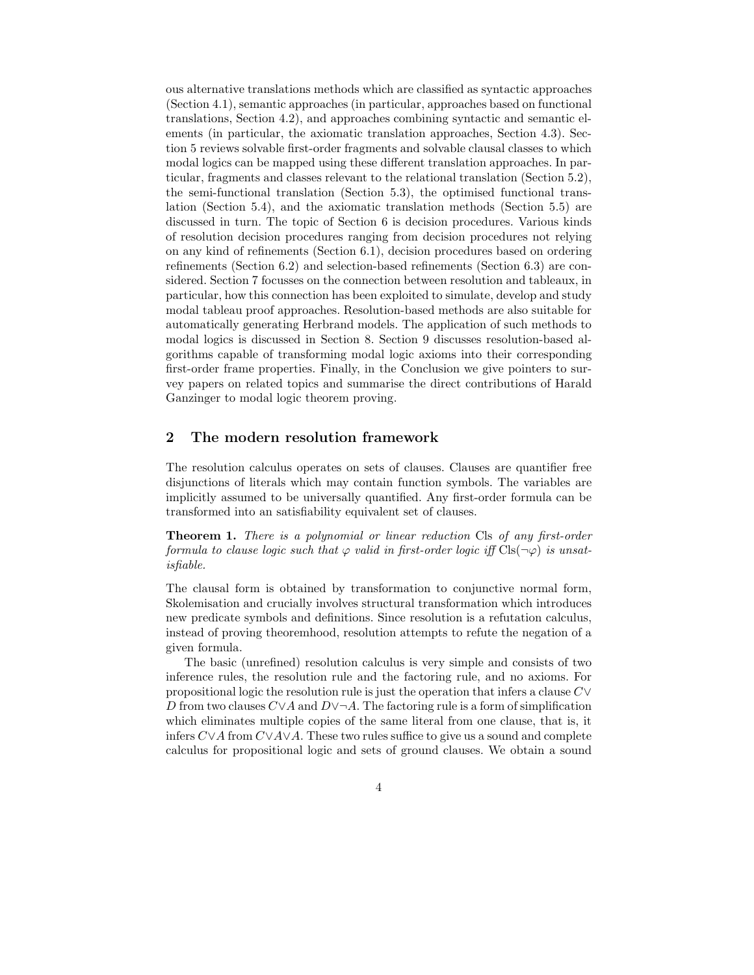ous alternative translations methods which are classified as syntactic approaches (Section 4.1), semantic approaches (in particular, approaches based on functional translations, Section 4.2), and approaches combining syntactic and semantic elements (in particular, the axiomatic translation approaches, Section 4.3). Section 5 reviews solvable first-order fragments and solvable clausal classes to which modal logics can be mapped using these different translation approaches. In particular, fragments and classes relevant to the relational translation (Section 5.2), the semi-functional translation (Section 5.3), the optimised functional translation (Section 5.4), and the axiomatic translation methods (Section 5.5) are discussed in turn. The topic of Section 6 is decision procedures. Various kinds of resolution decision procedures ranging from decision procedures not relying on any kind of refinements (Section 6.1), decision procedures based on ordering refinements (Section 6.2) and selection-based refinements (Section 6.3) are considered. Section 7 focusses on the connection between resolution and tableaux, in particular, how this connection has been exploited to simulate, develop and study modal tableau proof approaches. Resolution-based methods are also suitable for automatically generating Herbrand models. The application of such methods to modal logics is discussed in Section 8. Section 9 discusses resolution-based algorithms capable of transforming modal logic axioms into their corresponding first-order frame properties. Finally, in the Conclusion we give pointers to survey papers on related topics and summarise the direct contributions of Harald Ganzinger to modal logic theorem proving.

## 2 The modern resolution framework

The resolution calculus operates on sets of clauses. Clauses are quantifier free disjunctions of literals which may contain function symbols. The variables are implicitly assumed to be universally quantified. Any first-order formula can be transformed into an satisfiability equivalent set of clauses.

Theorem 1. *There is a polynomial or linear reduction* Cls *of any first-order formula to clause logic such that*  $\varphi$  *valid in first-order logic iff* Cls( $\neg \varphi$ ) *is unsatisfiable.*

The clausal form is obtained by transformation to conjunctive normal form, Skolemisation and crucially involves structural transformation which introduces new predicate symbols and definitions. Since resolution is a refutation calculus, instead of proving theoremhood, resolution attempts to refute the negation of a given formula.

The basic (unrefined) resolution calculus is very simple and consists of two inference rules, the resolution rule and the factoring rule, and no axioms. For propositional logic the resolution rule is just the operation that infers a clause  $C\vee$ D from two clauses  $C\vee A$  and  $D\vee\neg A$ . The factoring rule is a form of simplification which eliminates multiple copies of the same literal from one clause, that is, it infers C∨A from C∨A∨A. These two rules suffice to give us a sound and complete calculus for propositional logic and sets of ground clauses. We obtain a sound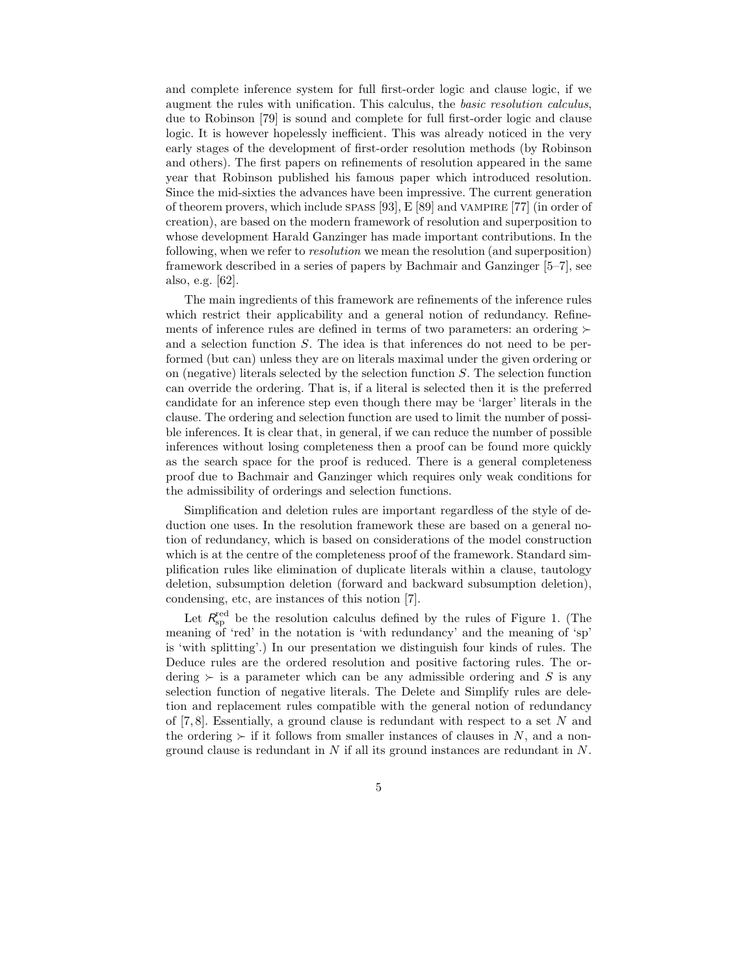and complete inference system for full first-order logic and clause logic, if we augment the rules with unification. This calculus, the *basic resolution calculus*, due to Robinson [79] is sound and complete for full first-order logic and clause logic. It is however hopelessly inefficient. This was already noticed in the very early stages of the development of first-order resolution methods (by Robinson and others). The first papers on refinements of resolution appeared in the same year that Robinson published his famous paper which introduced resolution. Since the mid-sixties the advances have been impressive. The current generation of theorem provers, which include spass [93], E [89] and vampire [77] (in order of creation), are based on the modern framework of resolution and superposition to whose development Harald Ganzinger has made important contributions. In the following, when we refer to *resolution* we mean the resolution (and superposition) framework described in a series of papers by Bachmair and Ganzinger [5–7], see also, e.g. [62].

The main ingredients of this framework are refinements of the inference rules which restrict their applicability and a general notion of redundancy. Refinements of inference rules are defined in terms of two parameters: an ordering ≻ and a selection function S. The idea is that inferences do not need to be performed (but can) unless they are on literals maximal under the given ordering or on (negative) literals selected by the selection function  $S$ . The selection function can override the ordering. That is, if a literal is selected then it is the preferred candidate for an inference step even though there may be 'larger' literals in the clause. The ordering and selection function are used to limit the number of possible inferences. It is clear that, in general, if we can reduce the number of possible inferences without losing completeness then a proof can be found more quickly as the search space for the proof is reduced. There is a general completeness proof due to Bachmair and Ganzinger which requires only weak conditions for the admissibility of orderings and selection functions.

Simplification and deletion rules are important regardless of the style of deduction one uses. In the resolution framework these are based on a general notion of redundancy, which is based on considerations of the model construction which is at the centre of the completeness proof of the framework. Standard simplification rules like elimination of duplicate literals within a clause, tautology deletion, subsumption deletion (forward and backward subsumption deletion), condensing, etc, are instances of this notion [7].

Let  $\mathcal{R}^{\text{red}}_{\text{sp}}$  be the resolution calculus defined by the rules of Figure 1. (The meaning of 'red' in the notation is 'with redundancy' and the meaning of 'sp' is 'with splitting'.) In our presentation we distinguish four kinds of rules. The Deduce rules are the ordered resolution and positive factoring rules. The ordering  $\succ$  is a parameter which can be any admissible ordering and S is any selection function of negative literals. The Delete and Simplify rules are deletion and replacement rules compatible with the general notion of redundancy of [7, 8]. Essentially, a ground clause is redundant with respect to a set N and the ordering  $\succ$  if it follows from smaller instances of clauses in N, and a nonground clause is redundant in  $N$  if all its ground instances are redundant in  $N$ .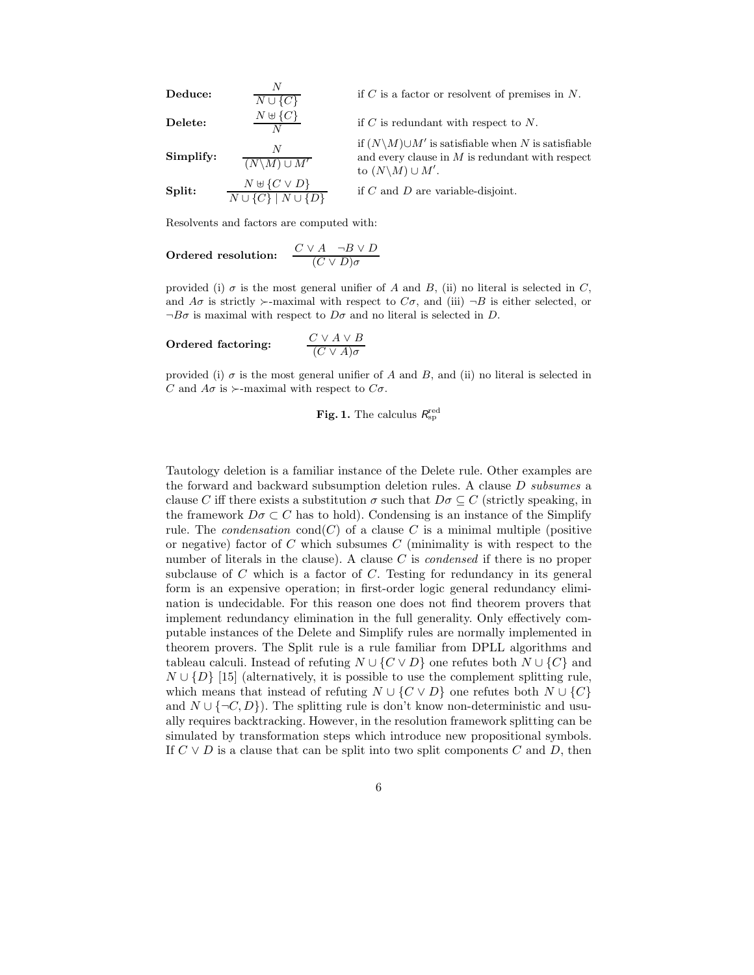| Deduce: | $\frac{N}{N \cup \{C\}}$ | if $C$ is a factor or resolvent of premises in $N$ . |
|---------|--------------------------|------------------------------------------------------|
| Delete: | $\frac{N \cup \{C\}}{N}$ | if $C$ is redundant with respect to $N$ .            |

if  $(N\Lambda)/N'$  is satisfiable when N is satisfiable and every clause in  $M$  is redundant with respect to  $(N\backslash M)\cup M'$ .

**Split:** 
$$
\frac{N \cup \{C \vee D\}}{N \cup \{C\} \mid N \cup \{D\}}
$$
 if *C* and *D* are variable-disjoint.

Resolvents and factors are computed with:

 $(M)$  ∪  $M'$ 

Simplify:

**Ordered resolution:** 
$$
\frac{C \vee A \neg B \vee D}{(C \vee D)\sigma}
$$

provided (i)  $\sigma$  is the most general unifier of A and B, (ii) no literal is selected in C, and  $A\sigma$  is strictly ≻-maximal with respect to  $C\sigma$ , and (iii)  $\neg B$  is either selected, or  $\neg B\sigma$  is maximal with respect to  $D\sigma$  and no literal is selected in D.

| Ordered factoring: | $C \vee A \vee B$  |
|--------------------|--------------------|
|                    | $(C \vee A)\sigma$ |

provided (i)  $\sigma$  is the most general unifier of A and B, and (ii) no literal is selected in C and  $A\sigma$  is ≻-maximal with respect to  $C\sigma$ .

# Fig. 1. The calculus  $R_{\rm sp}^{\rm red}$

Tautology deletion is a familiar instance of the Delete rule. Other examples are the forward and backward subsumption deletion rules. A clause D *subsumes* a clause C iff there exists a substitution  $\sigma$  such that  $D\sigma \subseteq C$  (strictly speaking, in the framework  $D\sigma \subset C$  has to hold). Condensing is an instance of the Simplify rule. The *condensation* cond(C) of a clause C is a minimal multiple (positive or negative) factor of  $C$  which subsumes  $C$  (minimality is with respect to the number of literals in the clause). A clause C is *condensed* if there is no proper subclause of  $C$  which is a factor of  $C$ . Testing for redundancy in its general form is an expensive operation; in first-order logic general redundancy elimination is undecidable. For this reason one does not find theorem provers that implement redundancy elimination in the full generality. Only effectively computable instances of the Delete and Simplify rules are normally implemented in theorem provers. The Split rule is a rule familiar from DPLL algorithms and tableau calculi. Instead of refuting  $N \cup \{C \vee D\}$  one refutes both  $N \cup \{C\}$  and  $N \cup \{D\}$  [15] (alternatively, it is possible to use the complement splitting rule, which means that instead of refuting  $N \cup \{C \vee D\}$  one refutes both  $N \cup \{C\}$ and  $N \cup \{\neg C, D\}$ . The splitting rule is don't know non-deterministic and usually requires backtracking. However, in the resolution framework splitting can be simulated by transformation steps which introduce new propositional symbols. If  $C \vee D$  is a clause that can be split into two split components C and D, then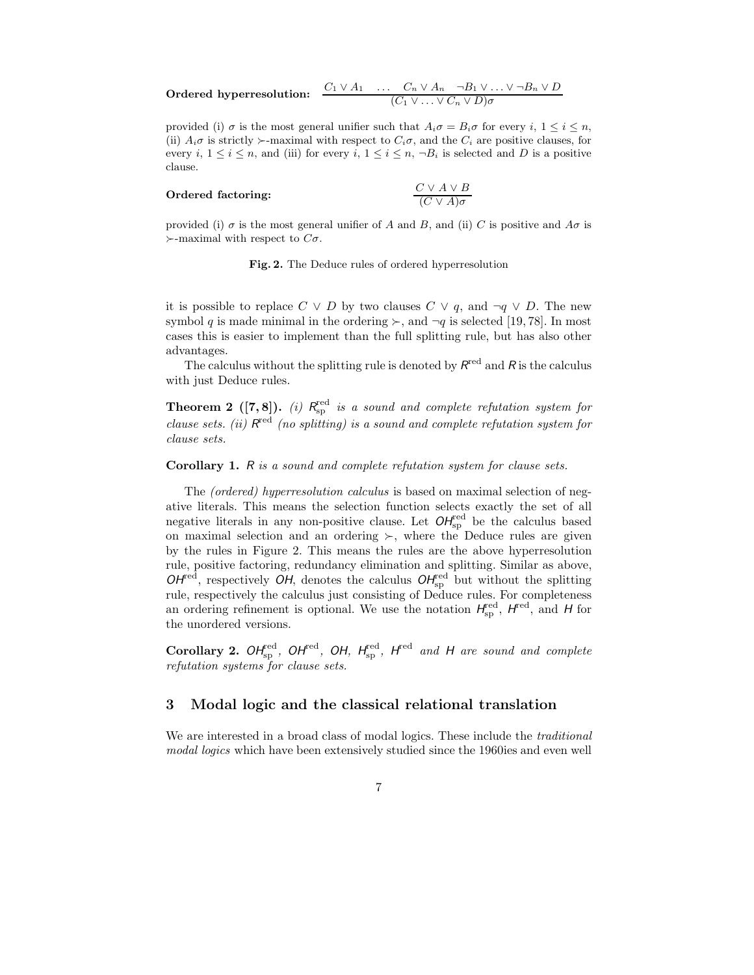$\textbf{Ordered hyperresolution:} \quad \frac{C_1 \lor A_1 \quad \ldots \quad C_n \lor A_n \quad \neg B_1 \lor \ldots \lor \neg B_n \lor D}{(C_1 \lor \ldots \lor C_n \lor D) \sigma}$ 

provided (i)  $\sigma$  is the most general unifier such that  $A_i\sigma = B_i\sigma$  for every i,  $1 \leq i \leq n$ , (ii)  $A_i\sigma$  is strictly ≻-maximal with respect to  $C_i\sigma$ , and the  $C_i$  are positive clauses, for every i,  $1 \leq i \leq n$ , and (iii) for every i,  $1 \leq i \leq n$ ,  $\neg B_i$  is selected and D is a positive clause.

# Ordered factoring:

 $\frac{C \vee A \vee B}{(C \vee A)\sigma}$ 

provided (i)  $\sigma$  is the most general unifier of A and B, and (ii) C is positive and  $A\sigma$  is  $\succ$ -maximal with respect to  $C\sigma$ .

Fig. 2. The Deduce rules of ordered hyperresolution

it is possible to replace  $C \vee D$  by two clauses  $C \vee q$ , and  $\neg q \vee D$ . The new symbol q is made minimal in the ordering  $\succ$ , and  $\neg q$  is selected [19,78]. In most cases this is easier to implement than the full splitting rule, but has also other advantages.

The calculus without the splitting rule is denoted by  $R^{\text{red}}$  and R is the calculus with just Deduce rules.

**Theorem 2** ([7,8]). *(i)*  $R_{sp}^{\text{red}}$  *is a sound and complete refutation system for clause sets. (ii)*  $R^{red}$  *(no splitting) is a sound and complete refutation system for clause sets.*

#### Corollary 1. R *is a sound and complete refutation system for clause sets.*

The *(ordered) hyperresolution calculus* is based on maximal selection of negative literals. This means the selection function selects exactly the set of all negative literals in any non-positive clause. Let  $\mathcal{O}H_{\text{sp}}^{\text{red}}$  be the calculus based on maximal selection and an ordering ≻, where the Deduce rules are given by the rules in Figure 2. This means the rules are the above hyperresolution rule, positive factoring, redundancy elimination and splitting. Similar as above,  $OH<sup>red</sup>$ , respectively  $OH$ , denotes the calculus  $OH<sup>red</sup><sub>sp</sub>$  but without the splitting rule, respectively the calculus just consisting of Deduce rules. For completeness an ordering refinement is optional. We use the notation  $H_{\text{sp}}^{\text{red}}$ ,  $H^{\text{red}}$ , and H for the unordered versions.

Corollary 2. OH<sup>red</sup>, OH,  $H_{\text{sp}}^{\text{red}}$ ,  $H_{\text{sp}}^{\text{red}}$ ,  $H_{\text{em}}^{\text{red}}$  and H are sound and complete *refutation systems for clause sets.*

# 3 Modal logic and the classical relational translation

We are interested in a broad class of modal logics. These include the *traditional modal logics* which have been extensively studied since the 1960ies and even well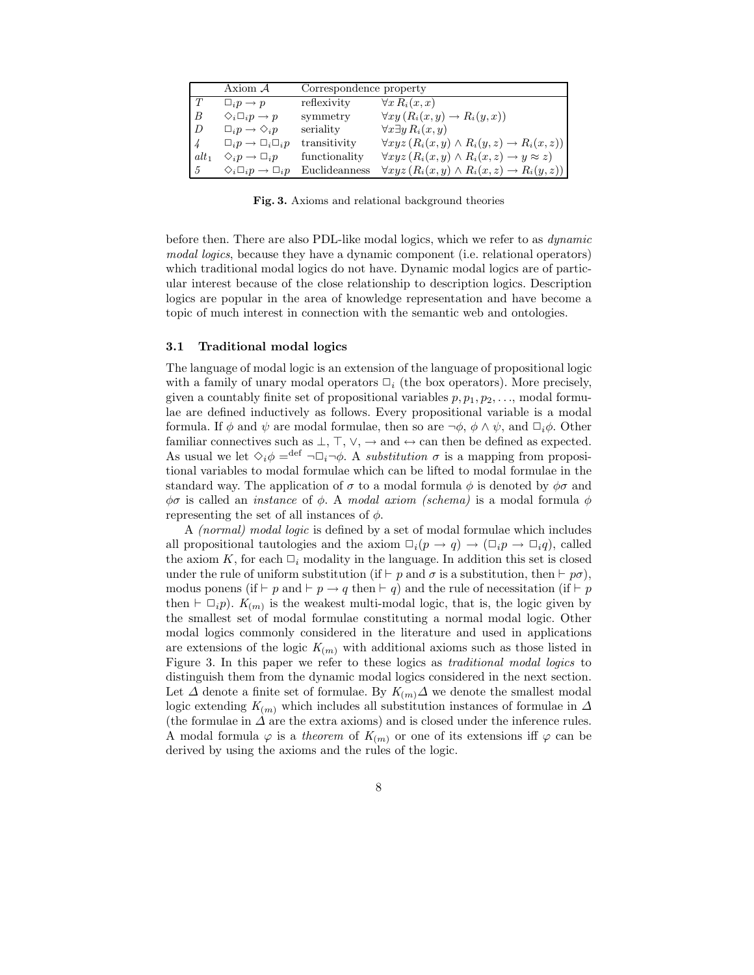|                | Axiom $A$                                  | Correspondence property |                                                                   |
|----------------|--------------------------------------------|-------------------------|-------------------------------------------------------------------|
| T              | $\Box_i p \rightarrow p$                   | reflexivity             | $\forall x R_i(x,x)$                                              |
| $\overline{B}$ | $\Diamond_i \Box_i p \rightarrow p$        | symmetry                | $\forall xy \left( R_i(x, y) \rightarrow R_i(y, x) \right)$       |
| $\overline{D}$ | $\Box_i p \rightarrow \Diamond_i p$        | seriality               | $\forall x \exists y R_i(x,y)$                                    |
| $\lambda$      | $\Box_i p \rightarrow \Box_i \Box_i p$     | transitivity            | $\forall xyz (R_i(x, y) \land R_i(y, z) \rightarrow R_i(x, z))$   |
| $alt_1$        | $\Diamond_i p \rightarrow \Box_i p$        | functionality           | $\forall xyz (R_i(x, y) \land R_i(x, z) \rightarrow y \approx z)$ |
| -5             | $\Diamond_i \Box_i p \rightarrow \Box_i p$ | Euclideanness           | $\forall xyz (R_i(x, y) \land R_i(x, z) \rightarrow R_i(y, z))$   |

Fig. 3. Axioms and relational background theories

before then. There are also PDL-like modal logics, which we refer to as *dynamic modal logics*, because they have a dynamic component (i.e. relational operators) which traditional modal logics do not have. Dynamic modal logics are of particular interest because of the close relationship to description logics. Description logics are popular in the area of knowledge representation and have become a topic of much interest in connection with the semantic web and ontologies.

#### 3.1 Traditional modal logics

The language of modal logic is an extension of the language of propositional logic with a family of unary modal operators  $\Box_i$  (the box operators). More precisely, given a countably finite set of propositional variables  $p, p_1, p_2, \ldots$ , modal formulae are defined inductively as follows. Every propositional variable is a modal formula. If  $\phi$  and  $\psi$  are modal formulae, then so are  $\neg \phi$ ,  $\phi \wedge \psi$ , and  $\Box_i \phi$ . Other familiar connectives such as  $\bot$ ,  $\top$ ,  $\lor$ ,  $\to$  and  $\leftrightarrow$  can then be defined as expected. As usual we let  $\Diamond_i \phi = \text{def } \neg \Box_i \neg \phi$ . A *substitution*  $\sigma$  is a mapping from propositional variables to modal formulae which can be lifted to modal formulae in the standard way. The application of  $\sigma$  to a modal formula  $\phi$  is denoted by  $\phi\sigma$  and φσ is called an *instance* of φ. A *modal axiom (schema)* is a modal formula φ representing the set of all instances of  $\phi$ .

A *(normal) modal logic* is defined by a set of modal formulae which includes all propositional tautologies and the axiom  $\Box_i(p \to q) \to (\Box_i p \to \Box_i q)$ , called the axiom K, for each  $\Box_i$  modality in the language. In addition this set is closed under the rule of uniform substitution (if  $\vdash p$  and  $\sigma$  is a substitution, then  $\vdash p\sigma$ ), modus ponens (if  $\vdash p$  and  $\vdash p \rightarrow q$  then  $\vdash q$ ) and the rule of necessitation (if  $\vdash p$ then  $\vdash \Box_i p$ ).  $K_{(m)}$  is the weakest multi-modal logic, that is, the logic given by the smallest set of modal formulae constituting a normal modal logic. Other modal logics commonly considered in the literature and used in applications are extensions of the logic  $K_{(m)}$  with additional axioms such as those listed in Figure 3. In this paper we refer to these logics as *traditional modal logics* to distinguish them from the dynamic modal logics considered in the next section. Let  $\Delta$  denote a finite set of formulae. By  $K_{(m)}\Delta$  we denote the smallest modal logic extending  $K_{(m)}$  which includes all substitution instances of formulae in  $\Delta$ (the formulae in  $\Delta$  are the extra axioms) and is closed under the inference rules. A modal formula  $\varphi$  is a *theorem* of  $K_{(m)}$  or one of its extensions iff  $\varphi$  can be derived by using the axioms and the rules of the logic.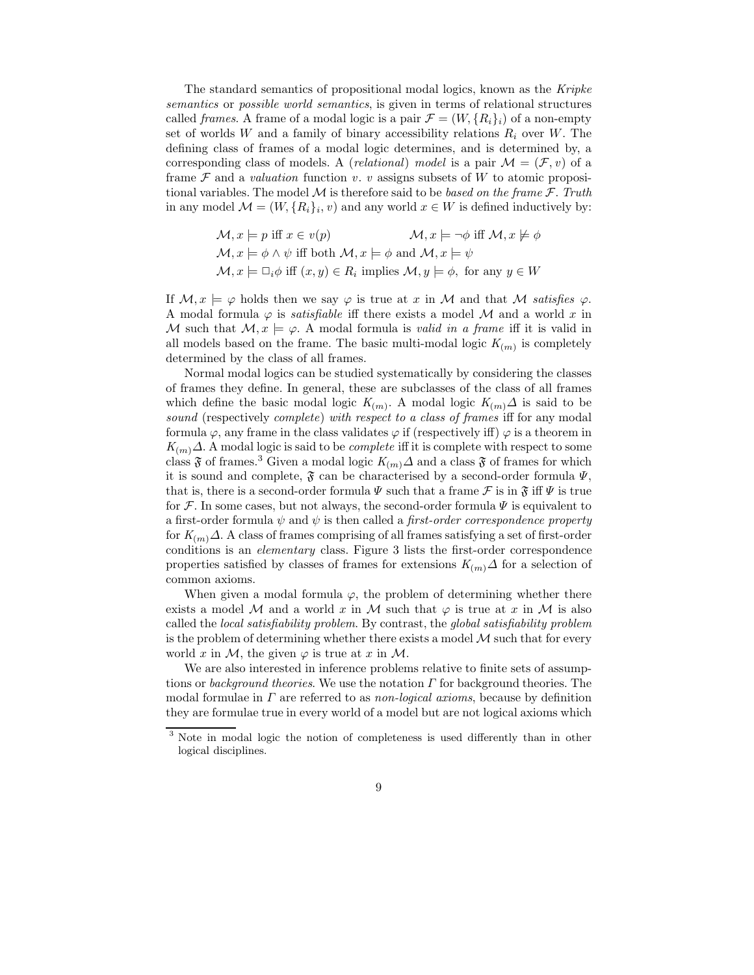The standard semantics of propositional modal logics, known as the *Kripke semantics* or *possible world semantics*, is given in terms of relational structures called *frames*. A frame of a modal logic is a pair  $\mathcal{F} = (W, \{R_i\}_i)$  of a non-empty set of worlds W and a family of binary accessibility relations  $R_i$  over W. The defining class of frames of a modal logic determines, and is determined by, a corresponding class of models. A *(relational)* model is a pair  $\mathcal{M} = (\mathcal{F}, v)$  of a frame  $\mathcal F$  and a *valuation* function  $v$ .  $v$  assigns subsets of W to atomic propositional variables. The model M is therefore said to be *based on the frame* F. *Truth* in any model  $\mathcal{M} = (W, \{R_i\}_i, v)$  and any world  $x \in W$  is defined inductively by:

> $\mathcal{M}, x \models p \text{ iff } x \in v(p)$   $\mathcal{M}, x \models \neg \phi \text{ iff } \mathcal{M}, x \not\models \phi$  $\mathcal{M}, x \models \phi \land \psi$  iff both  $\mathcal{M}, x \models \phi$  and  $\mathcal{M}, x \models \psi$  $\mathcal{M}, x \models \Box_i \phi$  iff  $(x, y) \in R_i$  implies  $\mathcal{M}, y \models \phi$ , for any  $y \in W$

If  $\mathcal{M}, x \models \varphi$  holds then we say  $\varphi$  is true at x in M and that M *satisfies*  $\varphi$ . A modal formula  $\varphi$  is *satisfiable* iff there exists a model M and a world x in M such that  $M, x \models \varphi$ . A modal formula is *valid in a frame* iff it is valid in all models based on the frame. The basic multi-modal logic  $K_{(m)}$  is completely determined by the class of all frames.

Normal modal logics can be studied systematically by considering the classes of frames they define. In general, these are subclasses of the class of all frames which define the basic modal logic  $K_{(m)}$ . A modal logic  $K_{(m)}\Delta$  is said to be *sound* (respectively *complete*) *with respect to a class of frames* iff for any modal formula  $\varphi$ , any frame in the class validates  $\varphi$  if (respectively iff)  $\varphi$  is a theorem in  $K_{(m)}\Delta$ . A modal logic is said to be *complete* iff it is complete with respect to some class  $\mathfrak F$  of frames.<sup>3</sup> Given a modal logic  $K_{(m)}\Delta$  and a class  $\mathfrak F$  of frames for which it is sound and complete,  $\mathfrak F$  can be characterised by a second-order formula  $\Psi$ , that is, there is a second-order formula  $\Psi$  such that a frame  $\mathcal F$  is in  $\mathfrak F$  iff  $\Psi$  is true for  $\mathcal F$ . In some cases, but not always, the second-order formula  $\Psi$  is equivalent to a first-order formula  $\psi$  and  $\psi$  is then called a *first-order correspondence property* for  $K_{(m)}\Delta$ . A class of frames comprising of all frames satisfying a set of first-order conditions is an *elementary* class. Figure 3 lists the first-order correspondence properties satisfied by classes of frames for extensions  $K_{(m)}\Delta$  for a selection of common axioms.

When given a modal formula  $\varphi$ , the problem of determining whether there exists a model M and a world x in M such that  $\varphi$  is true at x in M is also called the *local satisfiability problem*. By contrast, the *global satisfiability problem* is the problem of determining whether there exists a model  $\mathcal M$  such that for every world x in M, the given  $\varphi$  is true at x in M.

We are also interested in inference problems relative to finite sets of assumptions or *background theories*. We use the notation Γ for background theories. The modal formulae in Γ are referred to as *non-logical axioms*, because by definition they are formulae true in every world of a model but are not logical axioms which

<sup>&</sup>lt;sup>3</sup> Note in modal logic the notion of completeness is used differently than in other logical disciplines.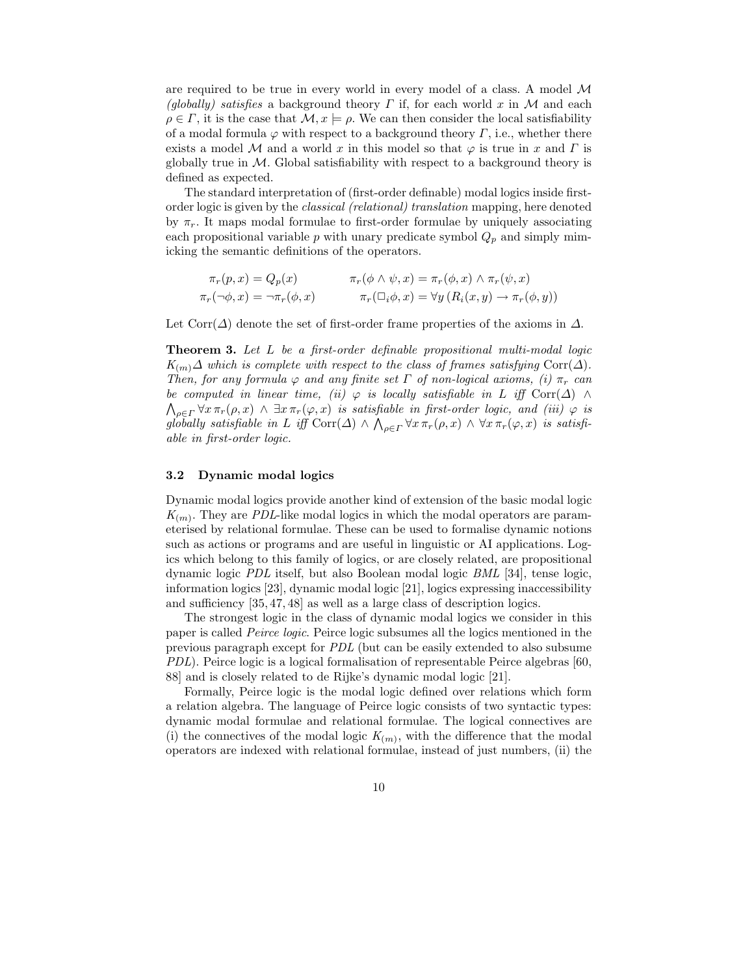are required to be true in every world in every model of a class. A model  $\mathcal M$ (globally) satisfies a background theory  $\Gamma$  if, for each world  $x$  in  $\mathcal M$  and each  $\rho \in \Gamma$ , it is the case that  $\mathcal{M}, x \models \rho$ . We can then consider the local satisfiability of a modal formula  $\varphi$  with respect to a background theory  $\Gamma$ , i.e., whether there exists a model M and a world x in this model so that  $\varphi$  is true in x and T is globally true in  $M$ . Global satisfiability with respect to a background theory is defined as expected.

The standard interpretation of (first-order definable) modal logics inside firstorder logic is given by the *classical (relational) translation* mapping, here denoted by  $\pi_r$ . It maps modal formulae to first-order formulae by uniquely associating each propositional variable  $p$  with unary predicate symbol  $Q_p$  and simply mimicking the semantic definitions of the operators.

$$
\pi_r(p,x) = Q_p(x) \qquad \pi_r(\phi \land \psi, x) = \pi_r(\phi, x) \land \pi_r(\psi, x)
$$
  

$$
\pi_r(\neg \phi, x) = \neg \pi_r(\phi, x) \qquad \pi_r(\Box_i \phi, x) = \forall y (R_i(x, y) \to \pi_r(\phi, y))
$$

Let Corr( $\Delta$ ) denote the set of first-order frame properties of the axioms in  $\Delta$ .

Theorem 3. *Let* L *be a first-order definable propositional multi-modal logic*  $K_{(m)}\Delta$  *which is complete with respect to the class of frames satisfying* Corr( $\Delta$ ). *Then, for any formula*  $\varphi$  *and any finite set*  $\Gamma$  *of non-logical axioms, (i)*  $\pi_r$  *can be computed in linear time, (ii)*  $\varphi$  *is locally satisfiable in* L *iff* Corr( $\Delta$ ) ∧  $\bigwedge_{\rho \in \Gamma} \forall x \, \pi_r(\rho, x) \land \exists x \, \pi_r(\varphi, x)$  *is satisfiable in first-order logic, and (iii)*  $\varphi$  *is* globally satisfiable in L iff  $Corr(\Delta) \wedge \bigwedge_{\rho \in \Gamma} \forall x \pi_r(\rho, x) \wedge \forall x \pi_r(\varphi, x)$  is satisfi*able in first-order logic.*

#### 3.2 Dynamic modal logics

Dynamic modal logics provide another kind of extension of the basic modal logic  $K_{(m)}$ . They are *PDL*-like modal logics in which the modal operators are parameterised by relational formulae. These can be used to formalise dynamic notions such as actions or programs and are useful in linguistic or AI applications. Logics which belong to this family of logics, or are closely related, are propositional dynamic logic *PDL* itself, but also Boolean modal logic *BML* [34], tense logic, information logics [23], dynamic modal logic [21], logics expressing inaccessibility and sufficiency [35, 47, 48] as well as a large class of description logics.

The strongest logic in the class of dynamic modal logics we consider in this paper is called *Peirce logic*. Peirce logic subsumes all the logics mentioned in the previous paragraph except for *PDL* (but can be easily extended to also subsume *PDL*). Peirce logic is a logical formalisation of representable Peirce algebras [60, 88] and is closely related to de Rijke's dynamic modal logic [21].

Formally, Peirce logic is the modal logic defined over relations which form a relation algebra. The language of Peirce logic consists of two syntactic types: dynamic modal formulae and relational formulae. The logical connectives are (i) the connectives of the modal logic  $K_{(m)}$ , with the difference that the modal operators are indexed with relational formulae, instead of just numbers, (ii) the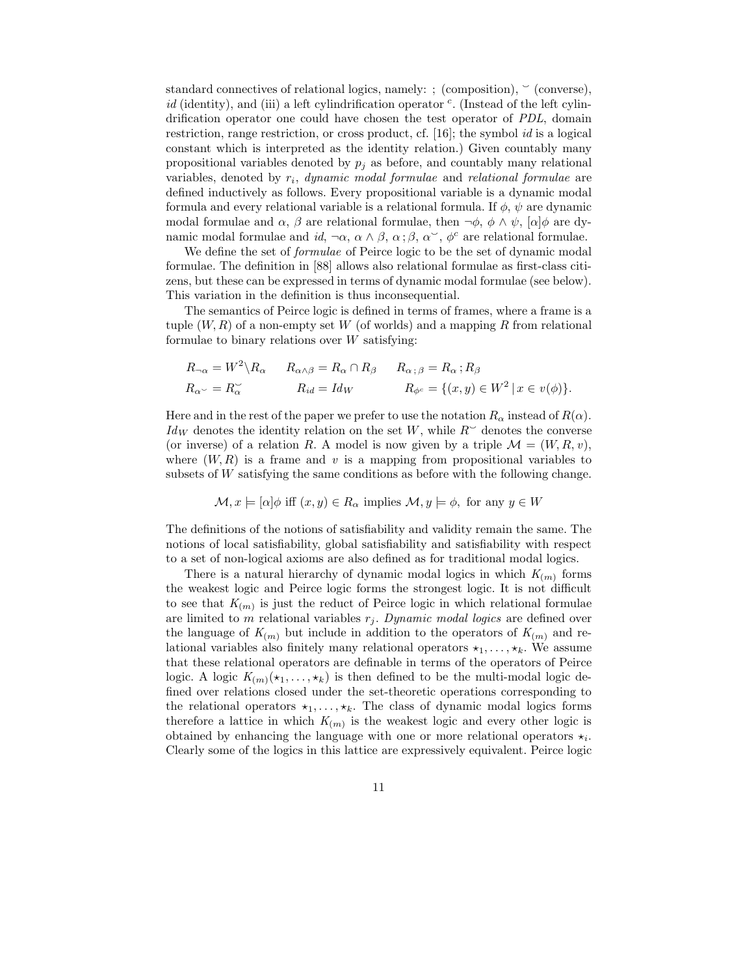standard connectives of relational logics, namely: ; (composition),  $\sim$  (converse),  $id$  (identity), and (iii) a left cylindrification operator  $c$ . (Instead of the left cylindrification operator one could have chosen the test operator of *PDL*, domain restriction, range restriction, or cross product, cf. [16]; the symbol *id* is a logical constant which is interpreted as the identity relation.) Given countably many propositional variables denoted by  $p_i$  as before, and countably many relational variables, denoted by  $r_i$ , *dynamic modal formulae* and *relational formulae* are defined inductively as follows. Every propositional variable is a dynamic modal formula and every relational variable is a relational formula. If  $\phi$ ,  $\psi$  are dynamic modal formulae and  $\alpha$ ,  $\beta$  are relational formulae, then  $\neg \phi$ ,  $\phi \wedge \psi$ ,  $[\alpha] \phi$  are dynamic modal formulae and *id*,  $\neg \alpha$ ,  $\alpha \wedge \beta$ ,  $\alpha$ ;  $\beta$ ,  $\alpha^{\vee}$ ,  $\phi^c$  are relational formulae.

We define the set of *formulae* of Peirce logic to be the set of dynamic modal formulae. The definition in [88] allows also relational formulae as first-class citizens, but these can be expressed in terms of dynamic modal formulae (see below). This variation in the definition is thus inconsequential.

The semantics of Peirce logic is defined in terms of frames, where a frame is a tuple  $(W, R)$  of a non-empty set W (of worlds) and a mapping R from relational formulae to binary relations over  $W$  satisfying:

$$
R_{\neg\alpha} = W^2 \backslash R_{\alpha} \qquad R_{\alpha \wedge \beta} = R_{\alpha} \cap R_{\beta} \qquad R_{\alpha \, ; \, \beta} = R_{\alpha} \, ; R_{\beta}
$$
  
\n
$$
R_{\alpha^{\vee}} = R_{\alpha}^{\vee} \qquad R_{id} = Id_W \qquad R_{\phi^c} = \{ (x, y) \in W^2 \, | \, x \in v(\phi) \}.
$$

Here and in the rest of the paper we prefer to use the notation  $R_{\alpha}$  instead of  $R(\alpha)$ .  $Id_W$  denotes the identity relation on the set W, while  $R<sup>o</sup>$  denotes the converse (or inverse) of a relation R. A model is now given by a triple  $\mathcal{M} = (W, R, v)$ , where  $(W, R)$  is a frame and  $v$  is a mapping from propositional variables to subsets of W satisfying the same conditions as before with the following change.

$$
\mathcal{M}, x \models [\alpha] \phi
$$
 iff  $(x, y) \in R_\alpha$  implies  $\mathcal{M}, y \models \phi$ , for any  $y \in W$ 

The definitions of the notions of satisfiability and validity remain the same. The notions of local satisfiability, global satisfiability and satisfiability with respect to a set of non-logical axioms are also defined as for traditional modal logics.

There is a natural hierarchy of dynamic modal logics in which  $K_{(m)}$  forms the weakest logic and Peirce logic forms the strongest logic. It is not difficult to see that  $K_{(m)}$  is just the reduct of Peirce logic in which relational formulae are limited to m relational variables  $r_j$ . *Dynamic modal logics* are defined over the language of  $K_{(m)}$  but include in addition to the operators of  $K_{(m)}$  and relational variables also finitely many relational operators  $\star_1, \ldots, \star_k$ . We assume that these relational operators are definable in terms of the operators of Peirce logic. A logic  $K_{(m)}(\star_1,\ldots,\star_k)$  is then defined to be the multi-modal logic defined over relations closed under the set-theoretic operations corresponding to the relational operators  $\star_1, \ldots, \star_k$ . The class of dynamic modal logics forms therefore a lattice in which  $K_{(m)}$  is the weakest logic and every other logic is obtained by enhancing the language with one or more relational operators  $\star_i$ . Clearly some of the logics in this lattice are expressively equivalent. Peirce logic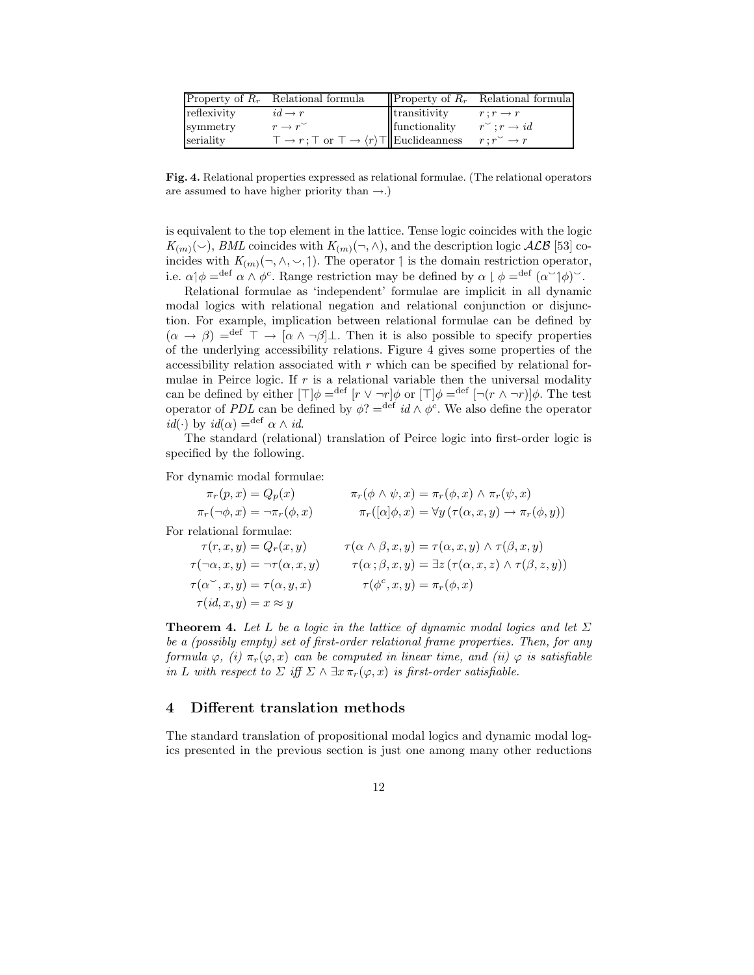|             | Property of $R_r$ Relational formula                                                               |               | <b>Property of <math>R_r</math></b> Relational formula |
|-------------|----------------------------------------------------------------------------------------------------|---------------|--------------------------------------------------------|
| reflexivity | $id \rightarrow r$                                                                                 | transitivity  | $r:r\rightarrow r$                                     |
| symmetry    | $r \rightarrow r^{\vee}$                                                                           | functionality | $r^{\sim} : r \rightarrow id$                          |
| seriality   | $\top \to r$ ; $\top$ or $\top \to \langle r \rangle \top$ Euclideanness $r$ ; $r \check{ } \to r$ |               |                                                        |

Fig. 4. Relational properties expressed as relational formulae. (The relational operators are assumed to have higher priority than  $\rightarrow$ .)

is equivalent to the top element in the lattice. Tense logic coincides with the logic  $K_{(m)}(\sim)$ , *BML* coincides with  $K_{(m)}(\sim)$ , and the description logic  $\mathcal{ALB}$  [53] coincides with  $K_{(m)}(\neg, \wedge, \vee, \neg)$ . The operator  $\neg$  is the domain restriction operator, i.e.  $\alpha \phi = \text{def } \alpha \wedge \phi^c$ . Range restriction may be defined by  $\alpha \downharpoonright \phi = \text{def } (\alpha^{\vee} \upharpoonright \phi)^{\vee}$ .

Relational formulae as 'independent' formulae are implicit in all dynamic modal logics with relational negation and relational conjunction or disjunction. For example, implication between relational formulae can be defined by  $(\alpha \to \beta) =^{\text{def}} \top \to [\alpha \wedge \neg \beta] \bot$ . Then it is also possible to specify properties of the underlying accessibility relations. Figure 4 gives some properties of the accessibility relation associated with  $r$  which can be specified by relational formulae in Peirce logic. If  $r$  is a relational variable then the universal modality can be defined by either  $[\top]\phi = \text{def } [r \vee \neg r]\phi$  or  $[\top]\phi = \text{def } [\neg(r \wedge \neg r)]\phi$ . The test operator of *PDL* can be defined by  $\phi$ ? =<sup>def</sup> *id*  $\wedge$   $\phi$ <sup>c</sup>. We also define the operator  $id(\cdot)$  by  $id(\alpha) = \text{def } \alpha \wedge id$ .

The standard (relational) translation of Peirce logic into first-order logic is specified by the following.

For dynamic modal formulae:

$$
\pi_r(p, x) = Q_p(x) \qquad \pi_r(\phi \land \psi, x) = \pi_r(\phi, x) \land \pi_r(\psi, x)
$$

$$
\pi_r(\neg \phi, x) = \neg \pi_r(\phi, x) \qquad \pi_r([\alpha]\phi, x) = \forall y (\tau(\alpha, x, y) \to \pi_r(\phi, y))
$$
relational formulae.

For relational formulae:

$$
\tau(r, x, y) = Q_r(x, y) \qquad \tau(\alpha \wedge \beta, x, y) = \tau(\alpha, x, y) \wedge \tau(\beta, x, y)
$$
  
\n
$$
\tau(\neg \alpha, x, y) = \neg \tau(\alpha, x, y) \qquad \tau(\alpha; \beta, x, y) = \exists z (\tau(\alpha, x, z) \wedge \tau(\beta, z, y))
$$
  
\n
$$
\tau(\alpha^{\vee}, x, y) = \tau(\alpha, y, x) \qquad \tau(\phi^c, x, y) = \pi_r(\phi, x)
$$
  
\n
$$
\tau(id, x, y) = x \approx y
$$

**Theorem 4.** Let L be a logic in the lattice of dynamic modal logics and let  $\Sigma$ *be a (possibly empty) set of first-order relational frame properties. Then, for any formula*  $\varphi$ *, (i)*  $\pi_r(\varphi, x)$  *can be computed in linear time, and (ii)*  $\varphi$  *is satisfiable in* L with respect to  $\Sigma$  *iff*  $\Sigma \wedge \exists x \pi_r(\varphi, x)$  *is first-order satisfiable.* 

## 4 Different translation methods

The standard translation of propositional modal logics and dynamic modal logics presented in the previous section is just one among many other reductions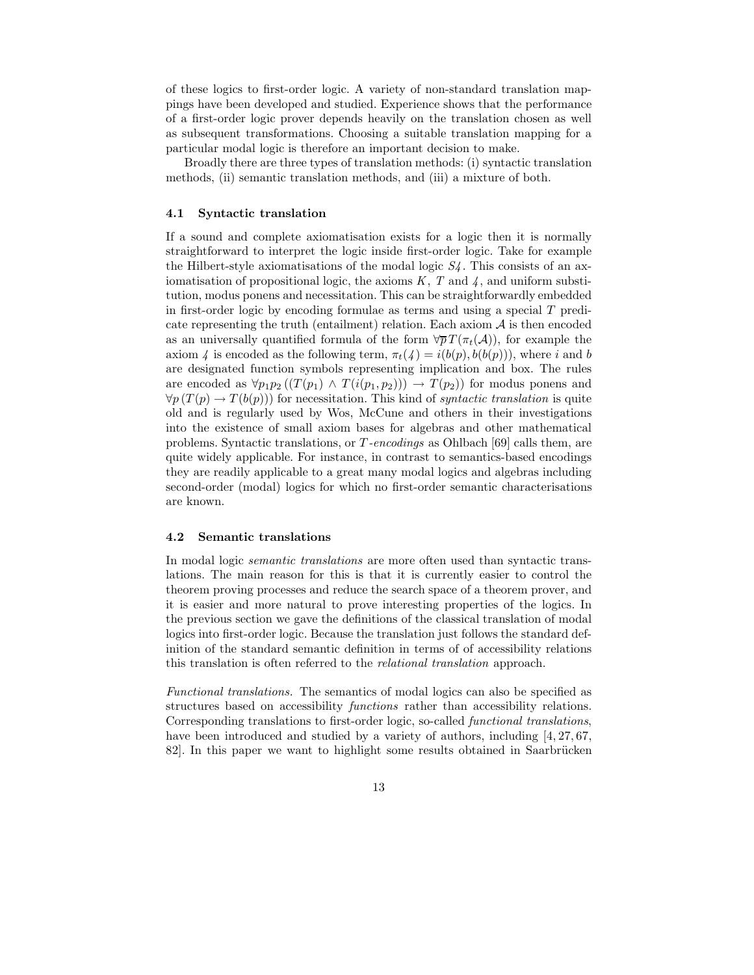of these logics to first-order logic. A variety of non-standard translation mappings have been developed and studied. Experience shows that the performance of a first-order logic prover depends heavily on the translation chosen as well as subsequent transformations. Choosing a suitable translation mapping for a particular modal logic is therefore an important decision to make.

Broadly there are three types of translation methods: (i) syntactic translation methods, (ii) semantic translation methods, and (iii) a mixture of both.

#### 4.1 Syntactic translation

If a sound and complete axiomatisation exists for a logic then it is normally straightforward to interpret the logic inside first-order logic. Take for example the Hilbert-style axiomatisations of the modal logic *S4* . This consists of an axiomatisation of propositional logic, the axioms *K*, *T* and *4*, and uniform substitution, modus ponens and necessitation. This can be straightforwardly embedded in first-order logic by encoding formulae as terms and using a special T predicate representing the truth (entailment) relation. Each axiom  $A$  is then encoded as an universally quantified formula of the form  $\forall \overline{p} T(\pi_t(A))$ , for example the axiom 4 is encoded as the following term,  $\pi_t(4) = i(b(p), b(b(p)))$ , where i and b are designated function symbols representing implication and box. The rules are encoded as  $\forall p_1p_2((T(p_1) \land T(i(p_1, p_2))) \rightarrow T(p_2))$  for modus ponens and  $\forall p (T(p) \rightarrow T(b(p)))$  for necessitation. This kind of *syntactic translation* is quite old and is regularly used by Wos, McCune and others in their investigations into the existence of small axiom bases for algebras and other mathematical problems. Syntactic translations, or T *-encodings* as Ohlbach [69] calls them, are quite widely applicable. For instance, in contrast to semantics-based encodings they are readily applicable to a great many modal logics and algebras including second-order (modal) logics for which no first-order semantic characterisations are known.

#### 4.2 Semantic translations

In modal logic *semantic translations* are more often used than syntactic translations. The main reason for this is that it is currently easier to control the theorem proving processes and reduce the search space of a theorem prover, and it is easier and more natural to prove interesting properties of the logics. In the previous section we gave the definitions of the classical translation of modal logics into first-order logic. Because the translation just follows the standard definition of the standard semantic definition in terms of of accessibility relations this translation is often referred to the *relational translation* approach.

*Functional translations.* The semantics of modal logics can also be specified as structures based on accessibility *functions* rather than accessibility relations. Corresponding translations to first-order logic, so-called *functional translations*, have been introduced and studied by a variety of authors, including [4, 27, 67, 82. In this paper we want to highlight some results obtained in Saarbrücken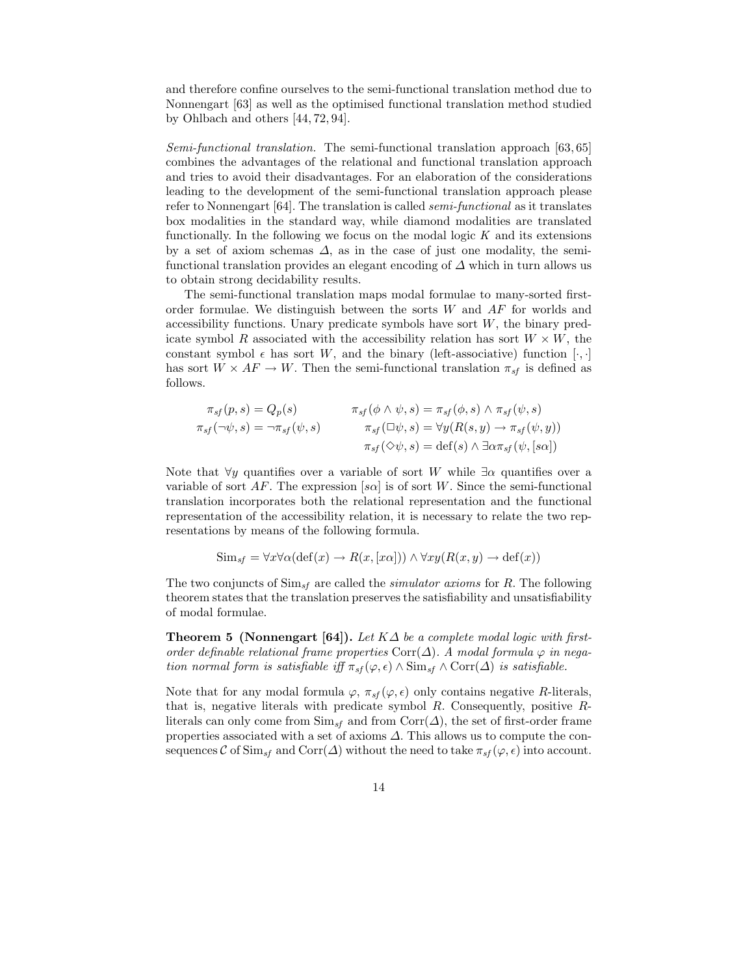and therefore confine ourselves to the semi-functional translation method due to Nonnengart [63] as well as the optimised functional translation method studied by Ohlbach and others [44, 72, 94].

*Semi-functional translation.* The semi-functional translation approach [63, 65] combines the advantages of the relational and functional translation approach and tries to avoid their disadvantages. For an elaboration of the considerations leading to the development of the semi-functional translation approach please refer to Nonnengart [64]. The translation is called *semi-functional* as it translates box modalities in the standard way, while diamond modalities are translated functionally. In the following we focus on the modal logic *K* and its extensions by a set of axiom schemas  $\Delta$ , as in the case of just one modality, the semifunctional translation provides an elegant encoding of  $\Delta$  which in turn allows us to obtain strong decidability results.

The semi-functional translation maps modal formulae to many-sorted firstorder formulae. We distinguish between the sorts  $W$  and  $AF$  for worlds and accessibility functions. Unary predicate symbols have sort  $W$ , the binary predicate symbol R associated with the accessibility relation has sort  $W \times W$ , the constant symbol  $\epsilon$  has sort W, and the binary (left-associative) function  $[\cdot, \cdot]$ has sort  $W \times AF \rightarrow W$ . Then the semi-functional translation  $\pi_{sf}$  is defined as follows.

$$
\pi_{sf}(\varphi, s) = Q_p(s) \qquad \pi_{sf}(\phi \land \psi, s) = \pi_{sf}(\phi, s) \land \pi_{sf}(\psi, s)
$$
  

$$
\pi_{sf}(\neg \psi, s) = \neg \pi_{sf}(\psi, s) \qquad \pi_{sf}(\Box \psi, s) = \forall y (R(s, y) \to \pi_{sf}(\psi, y))
$$
  

$$
\pi_{sf}(\diamond \psi, s) = \text{def}(s) \land \exists \alpha \pi_{sf}(\psi, [s\alpha])
$$

Note that  $\forall y$  quantifies over a variable of sort W while  $\exists \alpha$  quantifies over a variable of sort AF. The expression  $[s\alpha]$  is of sort W. Since the semi-functional translation incorporates both the relational representation and the functional representation of the accessibility relation, it is necessary to relate the two representations by means of the following formula.

 $\text{Sim}_{sf} = \forall x \forall \alpha (\text{def}(x) \rightarrow R(x, [x\alpha])) \land \forall xy (R(x, y) \rightarrow \text{def}(x))$ 

The two conjuncts of  $\text{Sim}_{sf}$  are called the *simulator axioms* for R. The following theorem states that the translation preserves the satisfiability and unsatisfiability of modal formulae.

Theorem 5 (Nonnengart [64]). *Let* K∆ *be a complete modal logic with firstorder definable relational frame properties*  $Corr(\Delta)$ *. A modal formula*  $\varphi$  *in negation normal form is satisfiable iff*  $\pi_{sf}(\varphi, \epsilon) \wedge \text{Sim}_{sf} \wedge \text{Corr}(\Delta)$  *is satisfiable.* 

Note that for any modal formula  $\varphi$ ,  $\pi_{sf}(\varphi, \epsilon)$  only contains negative R-literals, that is, negative literals with predicate symbol  $R$ . Consequently, positive  $R$ literals can only come from  $\text{Sim}_{sf}$  and from  $\text{Corr}(\Delta)$ , the set of first-order frame properties associated with a set of axioms  $\Delta$ . This allows us to compute the consequences C of  $\text{Sim}_{sf}$  and  $\text{Corr}(\Delta)$  without the need to take  $\pi_{sf}(\varphi,\epsilon)$  into account.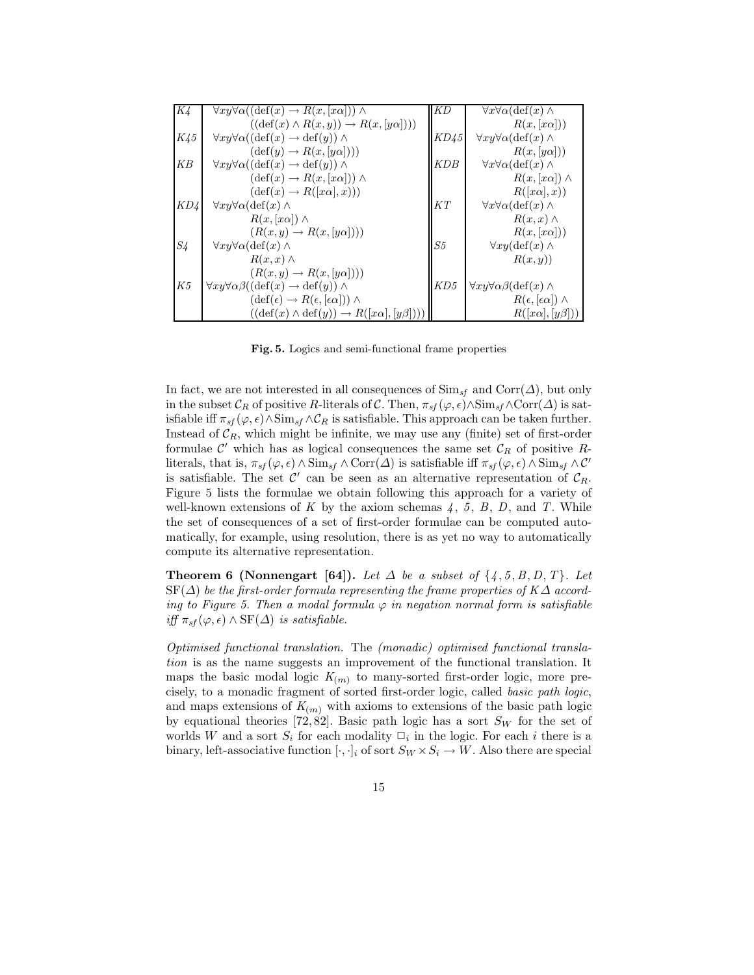| K4              | $\forall xy \forall \alpha((\text{def}(x) \rightarrow R(x, [x\alpha])) \wedge$    | KD   | $\forall x \forall \alpha (\text{def}(x) \wedge$        |
|-----------------|-----------------------------------------------------------------------------------|------|---------------------------------------------------------|
|                 | $((\text{def}(x) \wedge R(x,y)) \rightarrow R(x,[y\alpha]))$                      |      | $R(x,  x\alpha ))$                                      |
| $K\frac{1}{2}5$ | $\forall xy \forall \alpha((\text{def}(x) \rightarrow \text{def}(y)) \wedge$      | KD45 | $\forall xy \forall \alpha (\text{def}(x) \wedge$       |
|                 | $(\text{def}(y) \rightarrow R(x, [y\alpha]))$                                     |      | $R(x,[y\alpha]))$                                       |
| KB              | $\forall xy \forall \alpha((\text{def}(x) \rightarrow \text{def}(y)) \wedge$      | KDB  | $\forall x \forall \alpha (\text{def}(x) \wedge$        |
|                 | $(\text{def}(x) \rightarrow R(x,[x\alpha])) \wedge$                               |      | $R(x,[x\alpha]) \wedge$                                 |
|                 | $(\text{def}(x) \rightarrow R([x\alpha],x)))$                                     |      | $R([x\alpha],x))$                                       |
| KD4             | $\forall xy \forall \alpha (\text{def}(x) \wedge$                                 | KT   | $\forall x \forall \alpha (\text{def}(x) \wedge$        |
|                 | $R(x,[x\alpha]) \wedge$                                                           |      | $R(x,x) \wedge$                                         |
|                 | $(R(x,y) \rightarrow R(x,[y\alpha]))$                                             |      | $R(x,[x\alpha]))$                                       |
| S4              | $\forall xy \forall \alpha (\text{def}(x) \wedge$                                 | S5   | $\forall xy(\text{def}(x) \wedge$                       |
|                 | $R(x,x)$ $\wedge$                                                                 |      | R(x,y)                                                  |
|                 | $(R(x,y) \rightarrow R(x,[y\alpha]))$                                             |      |                                                         |
| K5              | $\forall xy \forall \alpha \beta((\text{def}(x) \rightarrow \text{def}(y)) \land$ | KD5  | $\forall xy \forall \alpha \beta (\text{def}(x) \wedge$ |
|                 | $(\text{def}(\epsilon) \rightarrow R(\epsilon, \epsilon \alpha)) \wedge$          |      | $R(\epsilon,  \epsilon \alpha ) \wedge$                 |
|                 | $((\text{def}(x) \land \text{def}(y)) \rightarrow R([x\alpha], [y\beta]))$        |      | $R([x\alpha],[y\beta]))$                                |

Fig. 5. Logics and semi-functional frame properties

In fact, we are not interested in all consequences of  $\text{Sim}_{sf}$  and  $\text{Corr}(\Delta)$ , but only in the subset  $\mathcal{C}_R$  of positive R-literals of C. Then,  $\pi_{sf}(\varphi,\epsilon) \wedge \text{Sim}_{sf} \wedge \text{Corr}(\Delta)$  is satisfiable iff  $\pi_{sf}(\varphi,\epsilon) \wedge \text{Sim}_{sf} \wedge \mathcal{C}_R$  is satisfiable. This approach can be taken further. Instead of  $\mathcal{C}_R$ , which might be infinite, we may use any (finite) set of first-order formulae  $\mathcal{C}'$  which has as logical consequences the same set  $\mathcal{C}_R$  of positive Rliterals, that is,  $\pi_{sf}(\varphi,\epsilon) \wedge \text{Sim}_{sf} \wedge \text{Corr}(\Delta)$  is satisfiable iff  $\pi_{sf}(\varphi,\epsilon) \wedge \text{Sim}_{sf} \wedge \mathcal{C}'$ is satisfiable. The set  $\mathcal{C}'$  can be seen as an alternative representation of  $\mathcal{C}_R$ . Figure 5 lists the formulae we obtain following this approach for a variety of well-known extensions of  $K$  by the axiom schemas  $4, 5, B, D$ , and  $T$ . While the set of consequences of a set of first-order formulae can be computed automatically, for example, using resolution, there is as yet no way to automatically compute its alternative representation.

Theorem 6 (Nonnengart [64]). Let  $\Delta$  be a subset of  $\{4, 5, B, D, T\}$ . Let  $S\Gamma(\Delta)$  *be the first-order formula representing the frame properties of K* $\Delta$  *according to Figure 5. Then a modal formula*  $\varphi$  *in negation normal form is satisfiable iff*  $\pi_{sf}(\varphi, \epsilon) \wedge \text{SF}(\Delta)$  *is satisfiable.* 

*Optimised functional translation.* The *(monadic) optimised functional translation* is as the name suggests an improvement of the functional translation. It maps the basic modal logic  $K_{(m)}$  to many-sorted first-order logic, more precisely, to a monadic fragment of sorted first-order logic, called *basic path logic*, and maps extensions of  $K_{(m)}$  with axioms to extensions of the basic path logic by equational theories [72, 82]. Basic path logic has a sort  $S_W$  for the set of worlds W and a sort  $S_i$  for each modality  $\Box_i$  in the logic. For each i there is a binary, left-associative function  $[\cdot, \cdot]_i$  of sort  $S_W \times S_i \to W$ . Also there are special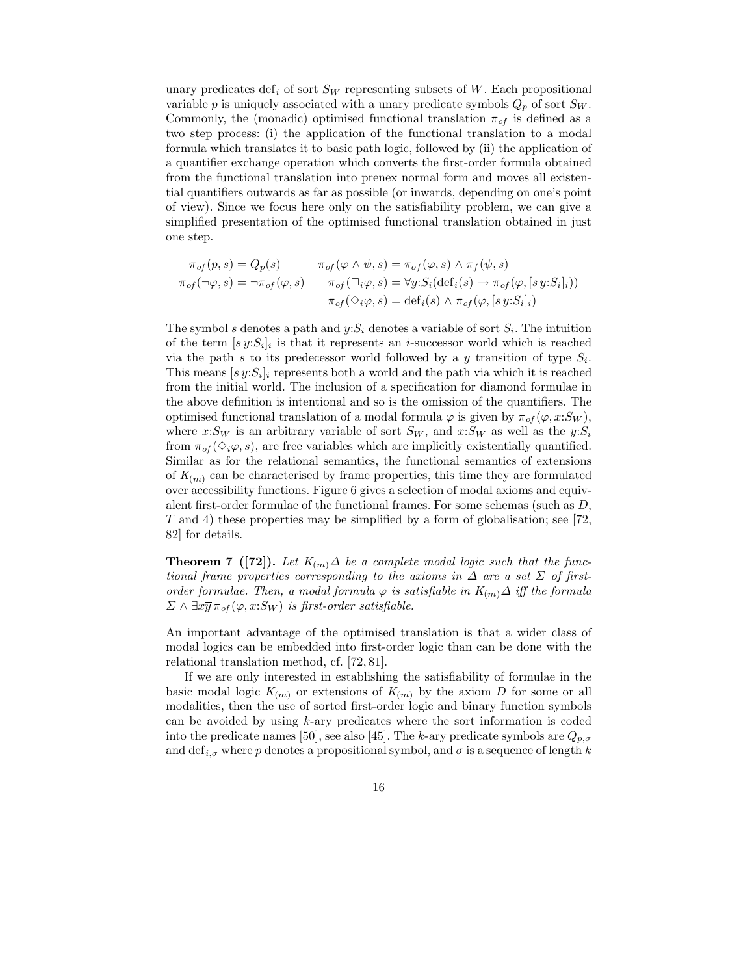unary predicates def<sub>i</sub> of sort  $S_W$  representing subsets of W. Each propositional variable p is uniquely associated with a unary predicate symbols  $Q_p$  of sort  $S_W$ . Commonly, the (monadic) optimised functional translation  $\pi_{of}$  is defined as a two step process: (i) the application of the functional translation to a modal formula which translates it to basic path logic, followed by (ii) the application of a quantifier exchange operation which converts the first-order formula obtained from the functional translation into prenex normal form and moves all existential quantifiers outwards as far as possible (or inwards, depending on one's point of view). Since we focus here only on the satisfiability problem, we can give a simplified presentation of the optimised functional translation obtained in just one step.

$$
\pi_{of}(p,s) = Q_p(s) \qquad \pi_{of}(\varphi \land \psi, s) = \pi_{of}(\varphi, s) \land \pi_f(\psi, s)
$$
  

$$
\pi_{of}(\neg \varphi, s) = \neg \pi_{of}(\varphi, s) \qquad \pi_{of}(\Box_i \varphi, s) = \forall y: S_i(\text{def}_i(s) \to \pi_{of}(\varphi, [s y: S_i]_i))
$$
  

$$
\pi_{of}(\Diamond_i \varphi, s) = \text{def}_i(s) \land \pi_{of}(\varphi, [s y: S_i]_i)
$$

The symbol s denotes a path and  $y: S_i$  denotes a variable of sort  $S_i$ . The intuition of the term  $[s y : S_i]_i$  is that it represents an *i*-successor world which is reached via the path s to its predecessor world followed by a y transition of type  $S_i$ . This means  $[s y: S_i]_i$  represents both a world and the path via which it is reached from the initial world. The inclusion of a specification for diamond formulae in the above definition is intentional and so is the omission of the quantifiers. The optimised functional translation of a modal formula  $\varphi$  is given by  $\pi_{of}(\varphi, x: S_W)$ , where  $x: S_W$  is an arbitrary variable of sort  $S_W$ , and  $x: S_W$  as well as the  $y: S_i$ from  $\pi_{of}(\Diamond_i \varphi, s)$ , are free variables which are implicitly existentially quantified. Similar as for the relational semantics, the functional semantics of extensions of  $K_{(m)}$  can be characterised by frame properties, this time they are formulated over accessibility functions. Figure 6 gives a selection of modal axioms and equivalent first-order formulae of the functional frames. For some schemas (such as D,  $T$  and 4) these properties may be simplified by a form of globalisation; see [72, 82] for details.

**Theorem 7** ([72]). Let  $K_{(m)}\Delta$  be a complete modal logic such that the func*tional frame properties corresponding to the axioms in*  $\Delta$  *are a set*  $\Sigma$  *of firstorder formulae. Then, a modal formula*  $\varphi$  *is satisfiable in*  $K_{(m)}\Delta$  *iff the formula*  $\Sigma \wedge \exists x \overline{y} \pi_{of}(\varphi, x: S_W)$  *is first-order satisfiable.* 

An important advantage of the optimised translation is that a wider class of modal logics can be embedded into first-order logic than can be done with the relational translation method, cf. [72, 81].

If we are only interested in establishing the satisfiability of formulae in the basic modal logic  $K_{(m)}$  or extensions of  $K_{(m)}$  by the axiom D for some or all modalities, then the use of sorted first-order logic and binary function symbols can be avoided by using  $k$ -ary predicates where the sort information is coded into the predicate names [50], see also [45]. The k-ary predicate symbols are  $Q_{p,\sigma}$ and def<sub>i, $\sigma$ </sub> where p denotes a propositional symbol, and  $\sigma$  is a sequence of length k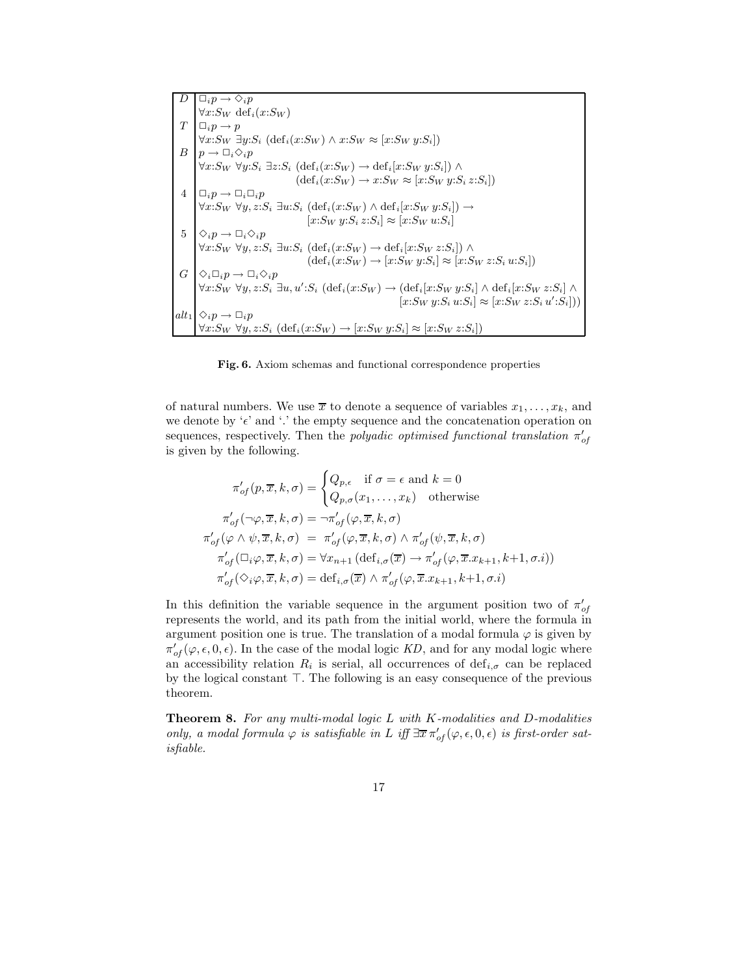$\Box_i p \rightarrow \Diamond_i p$  $\forall x: S_W \text{ def}_i(x: S_W)$  $T \mid \Box_i p \rightarrow p$  $\forall x: S_W \exists y: S_i$  (def<sub>i</sub>(x:S<sub>W</sub>) ∧ x:S<sub>W</sub> ≈ [x:S<sub>W</sub> y:S<sub>i</sub>])  $B \; \mid \; p \rightarrow \Box_i \Diamond_i p$  $\forall x: S_W \ \forall y: S_i \ \exists z: S_i \ (\text{def}_i(x: S_W) \rightarrow \text{def}_i[x: S_W y: S_i]) \land$  $(\text{def}_i(x: S_W) \rightarrow x: S_W \approx [x: S_W y: S_i z: S_i])$  $\Box_i p \to \Box_i \Box_i p$  $\forall x: S_W \ \forall y, z: S_i \ \exists u: S_i \ (\text{def}_i(x: S_W) \land \text{def}_i[x: S_W y: S_i]) \rightarrow$  $[x:S_W y: S_i z: S_i] \approx [x:S_W u: S_i]$ 5  $\Diamond_i p \rightarrow \Box_i \Diamond_i p$  $\forall x: S_W \ \forall y, z: S_i \ \exists u: S_i \ (\text{def}_i(x: S_W) \rightarrow \text{def}_i[x: S_W z: S_i]) \land$  $(\text{def}_i(x: S_W) \rightarrow [x: S_W y: S_i] \approx [x: S_W z: S_i u: S_i])$  $G \nvert \Diamond_i \Box_i p \rightarrow \Box_i \Diamond_i p$  $\forall x: S_W \ \forall y, z: S_i \ \exists u, u': S_i \ (\text{def}_i(x: S_W) \rightarrow (\text{def}_i[x: S_W y: S_i] \land \text{def}_i[x: S_W z: S_i] \land$  $[x:Sw y: S_i u: S_i] \approx [x:Sw z: S_i u': S_i])$  $alt_1 \diamond_i p \rightarrow \Box_i p$  $\forall x: S_W \ \forall y, z: S_i \ (\text{def}_i(x: S_W) \rightarrow [x: S_W y: S_i] \approx [x: S_W z: S_i])$ 

Fig. 6. Axiom schemas and functional correspondence properties

of natural numbers. We use  $\overline{x}$  to denote a sequence of variables  $x_1, \ldots, x_k$ , and we denote by ' $\epsilon$ ' and '.' the empty sequence and the concatenation operation on sequences, respectively. Then the *polyadic optimised functional translation*  $\pi'_{oj}$ is given by the following.

$$
\pi'_{of}(p,\overline{x},k,\sigma) = \begin{cases}\nQ_{p,\epsilon} & \text{if } \sigma = \epsilon \text{ and } k = 0 \\
Q_{p,\sigma}(x_1,\ldots,x_k) & \text{otherwise}\n\end{cases}
$$
\n
$$
\pi'_{of}(\neg\varphi,\overline{x},k,\sigma) = \neg\pi'_{of}(\varphi,\overline{x},k,\sigma)
$$
\n
$$
\pi'_{of}(\varphi \land \psi,\overline{x},k,\sigma) = \pi'_{of}(\varphi,\overline{x},k,\sigma) \land \pi'_{of}(\psi,\overline{x},k,\sigma)
$$
\n
$$
\pi'_{of}(\Box_i\varphi,\overline{x},k,\sigma) = \forall x_{n+1} (\text{def}_{i,\sigma}(\overline{x}) \to \pi'_{of}(\varphi,\overline{x}.x_{k+1},k+1,\sigma.i))
$$
\n
$$
\pi'_{of}(\Diamond_i\varphi,\overline{x},k,\sigma) = \text{def}_{i,\sigma}(\overline{x}) \land \pi'_{of}(\varphi,\overline{x}.x_{k+1},k+1,\sigma.i)
$$

In this definition the variable sequence in the argument position two of  $\pi'_{of}$ represents the world, and its path from the initial world, where the formula in argument position one is true. The translation of a modal formula  $\varphi$  is given by  $\pi'_{of}(\varphi, \epsilon, 0, \epsilon)$ . In the case of the modal logic *KD*, and for any modal logic where an accessibility relation  $R_i$  is serial, all occurrences of  $\det_{i,\sigma}$  can be replaced by the logical constant ⊤. The following is an easy consequence of the previous theorem.

Theorem 8. *For any multi-modal logic* L *with* K*-modalities and* D*-modalities only, a modal formula*  $\varphi$  *is satisfiable in* L *iff*  $\exists \overline{x} \pi'_{of}(\varphi, \epsilon, 0, \epsilon)$  *is first-order satisfiable.*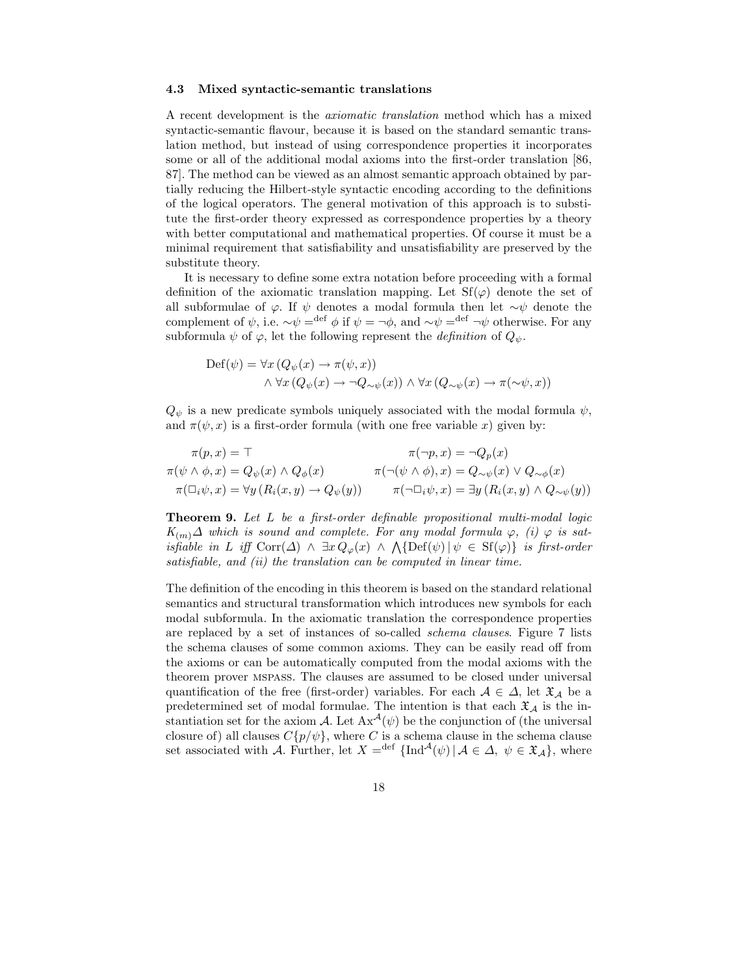#### 4.3 Mixed syntactic-semantic translations

A recent development is the *axiomatic translation* method which has a mixed syntactic-semantic flavour, because it is based on the standard semantic translation method, but instead of using correspondence properties it incorporates some or all of the additional modal axioms into the first-order translation [86, 87]. The method can be viewed as an almost semantic approach obtained by partially reducing the Hilbert-style syntactic encoding according to the definitions of the logical operators. The general motivation of this approach is to substitute the first-order theory expressed as correspondence properties by a theory with better computational and mathematical properties. Of course it must be a minimal requirement that satisfiability and unsatisfiability are preserved by the substitute theory.

It is necessary to define some extra notation before proceeding with a formal definition of the axiomatic translation mapping. Let  $Sf(\varphi)$  denote the set of all subformulae of  $\varphi$ . If  $\psi$  denotes a modal formula then let  $\sim \psi$  denote the complement of  $\psi$ , i.e.  $\sim \psi = \text{def } \phi$  if  $\psi = \neg \phi$ , and  $\sim \psi = \text{def } \neg \psi$  otherwise. For any subformula  $\psi$  of  $\varphi$ , let the following represent the *definition* of  $Q_{\psi}$ .

$$
Def(\psi) = \forall x (Q_{\psi}(x) \to \pi(\psi, x))
$$
  

$$
\land \forall x (Q_{\psi}(x) \to \neg Q_{\sim \psi}(x)) \land \forall x (Q_{\sim \psi}(x) \to \pi(\sim \psi, x))
$$

 $Q_{\psi}$  is a new predicate symbols uniquely associated with the modal formula  $\psi$ , and  $\pi(\psi, x)$  is a first-order formula (with one free variable x) given by:

$$
\pi(p, x) = \top \qquad \qquad \pi(\neg p, x) = \neg Q_p(x)
$$
  
\n
$$
\pi(\psi \land \phi, x) = Q_{\psi}(x) \land Q_{\phi}(x) \qquad \qquad \pi(\neg(\psi \land \phi), x) = Q_{\sim \psi}(x) \lor Q_{\sim \phi}(x)
$$
  
\n
$$
\pi(\Box_i \psi, x) = \forall y (R_i(x, y) \to Q_{\psi}(y)) \qquad \qquad \pi(\neg \Box_i \psi, x) = \exists y (R_i(x, y) \land Q_{\sim \psi}(y))
$$

Theorem 9. *Let* L *be a first-order definable propositional multi-modal logic*  $K_{(m)}\Delta$  *which is sound and complete. For any modal formula*  $\varphi$ *, (i)*  $\varphi$  *is satisfiable in* L *iff*  $Corr(\Delta) \wedge \exists x Q_{\varphi}(x) \wedge \bigwedge \{\text{Def}(\psi) | \psi \in \text{Sf}(\varphi)\}\$  *is first-order satisfiable, and (ii) the translation can be computed in linear time.*

The definition of the encoding in this theorem is based on the standard relational semantics and structural transformation which introduces new symbols for each modal subformula. In the axiomatic translation the correspondence properties are replaced by a set of instances of so-called *schema clauses*. Figure 7 lists the schema clauses of some common axioms. They can be easily read off from the axioms or can be automatically computed from the modal axioms with the theorem prover mspass. The clauses are assumed to be closed under universal quantification of the free (first-order) variables. For each  $A \in \Delta$ , let  $\mathfrak{X}_A$  be a predetermined set of modal formulae. The intention is that each  $\mathfrak{X}_A$  is the instantiation set for the axiom A. Let  $Ax^{\mathcal{A}}(\psi)$  be the conjunction of (the universal closure of) all clauses  $C{p/\psi}$ , where C is a schema clause in the schema clause set associated with A. Further, let  $X = \text{def } \{ \text{Ind}^{\mathcal{A}}(\psi) \mid \mathcal{A} \in \Delta, \ \psi \in \mathfrak{X}_{\mathcal{A}} \}$ , where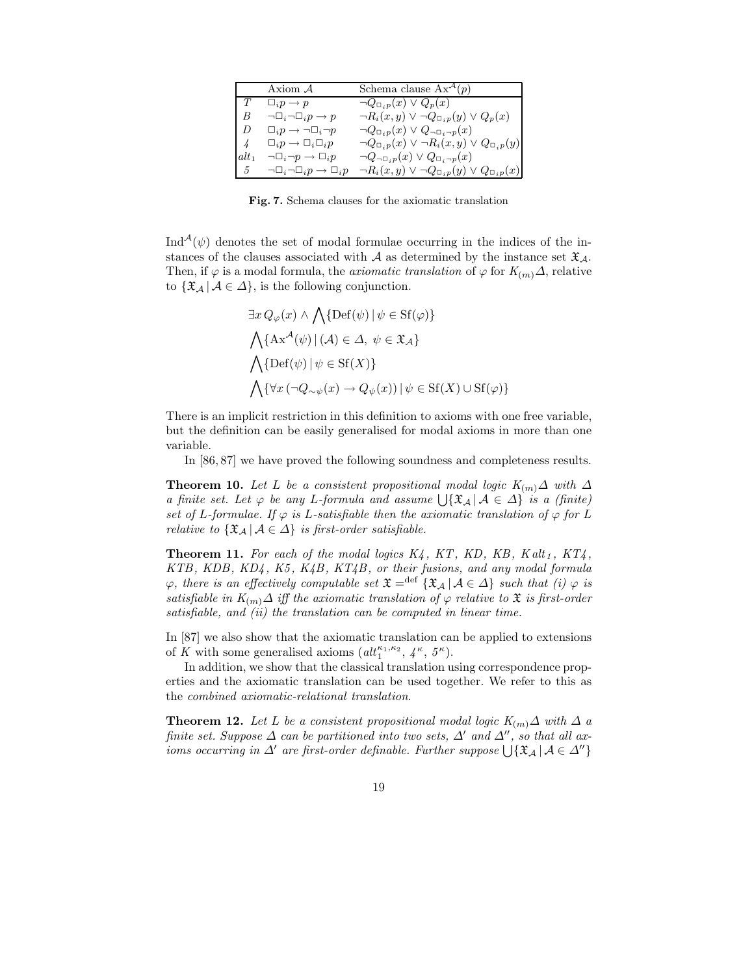|               | Axiom $A$                                       | Schema clause $Ax^{\mathcal{A}}(p)$                             |
|---------------|-------------------------------------------------|-----------------------------------------------------------------|
| T             | $\Box_i p \rightarrow p$                        | $\neg Q_{\Box_{i}p}(x) \vee Q_{p}(x)$                           |
| B             | $\neg\Box_i \neg \Box_i p \rightarrow p$        | $\neg R_i(x, y) \vee \neg Q_{\Box_i p}(y) \vee Q_p(x)$          |
| D             | $\Box_i p \rightarrow \neg \Box_i \neg p$       | $\neg Q_{\Box_{i}p}(x) \vee Q_{\neg \Box_{i} \neg p}(x)$        |
| ∡             | $\Box_i p \rightarrow \Box_i \Box_i p$          | $\neg Q_{\Box_i p}(x) \vee \neg R_i(x,y) \vee Q_{\Box_i p}(y)$  |
| $alt_1$       | $\neg\Box_i\neg p \rightarrow \Box_i p$         | $\neg Q_{\neg \Box_i p}(x) \vee Q_{\Box_i \neg p}(x)$           |
| $\mathcal{F}$ | $\neg\Box_i \neg \Box_i p \rightarrow \Box_i p$ | $\neg R_i(x, y) \vee \neg Q_{\Box_i p}(y) \vee Q_{\Box_i p}(x)$ |

Fig. 7. Schema clauses for the axiomatic translation

 $\text{Ind}^{\mathcal{A}}(\psi)$  denotes the set of modal formulae occurring in the indices of the instances of the clauses associated with A as determined by the instance set  $\mathfrak{X}_{\mathcal{A}}$ . Then, if  $\varphi$  is a modal formula, the *axiomatic translation* of  $\varphi$  for  $K_{(m)}\Delta$ , relative to  $\{\mathfrak{X}_{\mathcal{A}} \mid \mathcal{A} \in \Delta\}$ , is the following conjunction.

$$
\exists x \, Q_{\varphi}(x) \land \bigwedge{\text{Def}(\psi) | \psi \in \text{Sf}(\varphi) } \}
$$

$$
\bigwedge{\text{Ax}}^{\mathcal{A}}(\psi) | (\mathcal{A}) \in \Delta, \ \psi \in \mathfrak{X}_{\mathcal{A}} \}
$$

$$
\bigwedge{\text{Def}(\psi) | \psi \in \text{Sf}(X) } \bigwedge{\text{Vx} (\neg Q_{\sim \psi}(x) \rightarrow Q_{\psi}(x)) | \psi \in \text{Sf}(X) \cup \text{Sf}(\varphi) } \}
$$

There is an implicit restriction in this definition to axioms with one free variable, but the definition can be easily generalised for modal axioms in more than one variable.

In [86, 87] we have proved the following soundness and completeness results.

Theorem 10. Let L be a consistent propositional modal logic  $K_{(m)}\Delta$  with  $\Delta$ *a finite set. Let*  $\varphi$  *be any L*-formula and assume  $\bigcup {\mathfrak{X}_A \mid A \in \Delta}$  *is a (finite) set of L-formulae. If*  $\varphi$  *is L-satisfiable then the axiomatic translation of*  $\varphi$  *for L relative to*  $\{\mathfrak{X}_{\mathcal{A}} \mid \mathcal{A} \in \Delta\}$  *is first-order satisfiable.* 

Theorem 11. For each of the modal logics  $K_4$ ,  $KT$ ,  $KD$ ,  $KB$ ,  $Kalt_1$ ,  $KT_4$ , *KTB , KDB , KD4 , K5 , K4B , KT4B , or their fusions, and any modal formula*  $\varphi$ *, there is an effectively computable set*  $\mathfrak{X} = \text{def } \{ \mathfrak{X}_A \mid A \in \Delta \}$  *such that (i)*  $\varphi$  *is satisfiable in*  $K_{(m)}\Delta$  *iff the axiomatic translation of*  $\varphi$  *relative to*  $\mathfrak{X}$  *is first-order satisfiable, and (ii) the translation can be computed in linear time.*

In [87] we also show that the axiomatic translation can be applied to extensions of *K* with some generalised axioms  $(alt_1^{\kappa_1,\kappa_2}, 4^{\kappa}, 5^{\kappa}).$ 

In addition, we show that the classical translation using correspondence properties and the axiomatic translation can be used together. We refer to this as the *combined axiomatic-relational translation*.

**Theorem 12.** Let L be a consistent propositional modal logic  $K_{(m)}\Delta$  with  $\Delta$  a *finite set. Suppose*  $\Delta$  *can be partitioned into two sets,*  $\Delta'$  *and*  $\Delta''$ *, so that all axioms occurring in*  $\Delta'$  *are first-order definable. Further suppose*  $\bigcup {\mathfrak{X}}_{\mathcal{A}} | \mathcal{A} \in \Delta''$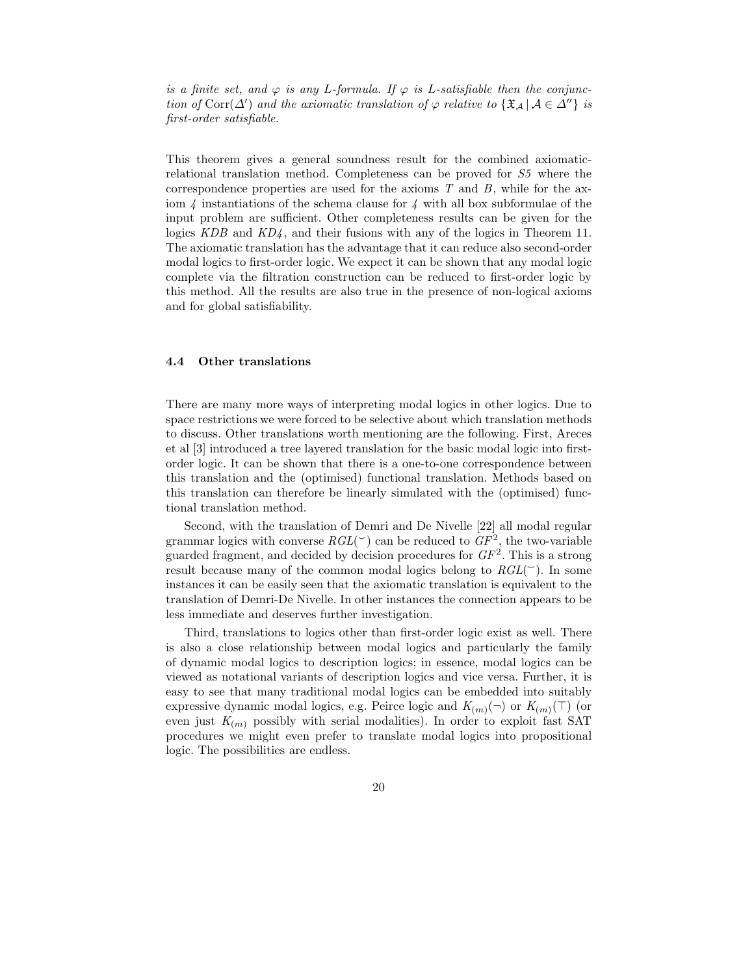*is a finite set, and*  $\varphi$  *is any L-formula. If*  $\varphi$  *is L-satisfiable then the conjunction of*  $Corr(\Delta')$  *and the axiomatic translation of*  $\varphi$  *relative to*  $\{ \mathfrak{X}_\mathcal{A} \mid \mathcal{A} \in \Delta'' \}$  *is first-order satisfiable.*

This theorem gives a general soundness result for the combined axiomaticrelational translation method. Completeness can be proved for *S5* where the correspondence properties are used for the axioms *T* and *B*, while for the axiom *4* instantiations of the schema clause for *4* with all box subformulae of the input problem are sufficient. Other completeness results can be given for the logics *KDB* and *KD4*, and their fusions with any of the logics in Theorem 11. The axiomatic translation has the advantage that it can reduce also second-order modal logics to first-order logic. We expect it can be shown that any modal logic complete via the filtration construction can be reduced to first-order logic by this method. All the results are also true in the presence of non-logical axioms and for global satisfiability.

#### 4.4 Other translations

There are many more ways of interpreting modal logics in other logics. Due to space restrictions we were forced to be selective about which translation methods to discuss. Other translations worth mentioning are the following. First, Areces et al [3] introduced a tree layered translation for the basic modal logic into firstorder logic. It can be shown that there is a one-to-one correspondence between this translation and the (optimised) functional translation. Methods based on this translation can therefore be linearly simulated with the (optimised) functional translation method.

Second, with the translation of Demri and De Nivelle [22] all modal regular grammar logics with converse  $RGL(\gamma)$  can be reduced to  $GF^2$ , the two-variable guarded fragment, and decided by decision procedures for *GF*<sup>2</sup> . This is a strong result because many of the common modal logics belong to  $RGL(\sim)$ . In some instances it can be easily seen that the axiomatic translation is equivalent to the translation of Demri-De Nivelle. In other instances the connection appears to be less immediate and deserves further investigation.

Third, translations to logics other than first-order logic exist as well. There is also a close relationship between modal logics and particularly the family of dynamic modal logics to description logics; in essence, modal logics can be viewed as notational variants of description logics and vice versa. Further, it is easy to see that many traditional modal logics can be embedded into suitably expressive dynamic modal logics, e.g. Peirce logic and  $K_{(m)}(\neg)$  or  $K_{(m)}(\top)$  (or even just  $K_{(m)}$  possibly with serial modalities). In order to exploit fast SAT procedures we might even prefer to translate modal logics into propositional logic. The possibilities are endless.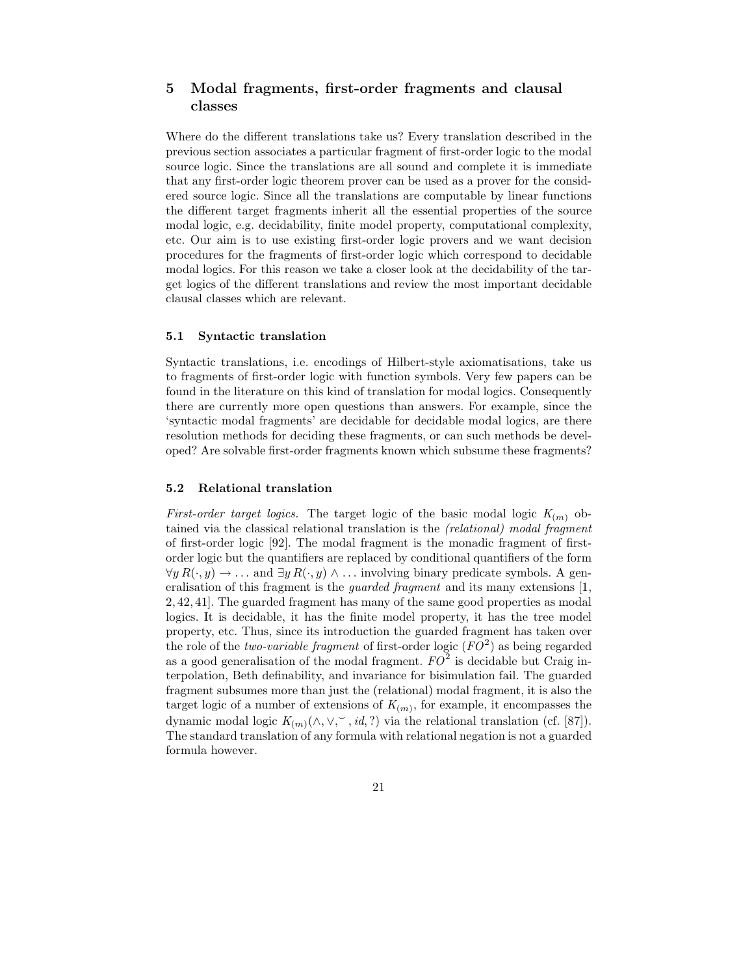# 5 Modal fragments, first-order fragments and clausal classes

Where do the different translations take us? Every translation described in the previous section associates a particular fragment of first-order logic to the modal source logic. Since the translations are all sound and complete it is immediate that any first-order logic theorem prover can be used as a prover for the considered source logic. Since all the translations are computable by linear functions the different target fragments inherit all the essential properties of the source modal logic, e.g. decidability, finite model property, computational complexity, etc. Our aim is to use existing first-order logic provers and we want decision procedures for the fragments of first-order logic which correspond to decidable modal logics. For this reason we take a closer look at the decidability of the target logics of the different translations and review the most important decidable clausal classes which are relevant.

## 5.1 Syntactic translation

Syntactic translations, i.e. encodings of Hilbert-style axiomatisations, take us to fragments of first-order logic with function symbols. Very few papers can be found in the literature on this kind of translation for modal logics. Consequently there are currently more open questions than answers. For example, since the 'syntactic modal fragments' are decidable for decidable modal logics, are there resolution methods for deciding these fragments, or can such methods be developed? Are solvable first-order fragments known which subsume these fragments?

## 5.2 Relational translation

*First-order target logics.* The target logic of the basic modal logic  $K_{(m)}$  obtained via the classical relational translation is the *(relational) modal fragment* of first-order logic [92]. The modal fragment is the monadic fragment of firstorder logic but the quantifiers are replaced by conditional quantifiers of the form  $\forall y R(\cdot, y) \rightarrow \dots$  and  $\exists y R(\cdot, y) \wedge \dots$  involving binary predicate symbols. A generalisation of this fragment is the *guarded fragment* and its many extensions [1, 2, 42, 41]. The guarded fragment has many of the same good properties as modal logics. It is decidable, it has the finite model property, it has the tree model property, etc. Thus, since its introduction the guarded fragment has taken over the role of the *two-variable fragment* of first-order logic (*FO*<sup>2</sup> ) as being regarded as a good generalisation of the modal fragment.  $FO^2$  is decidable but Craig interpolation, Beth definability, and invariance for bisimulation fail. The guarded fragment subsumes more than just the (relational) modal fragment, it is also the target logic of a number of extensions of  $K_{(m)}$ , for example, it encompasses the dynamic modal logic  $K_{(m)}(\wedge,\vee,\check{ } , id, ?)$  via the relational translation (cf. [87]). The standard translation of any formula with relational negation is not a guarded formula however.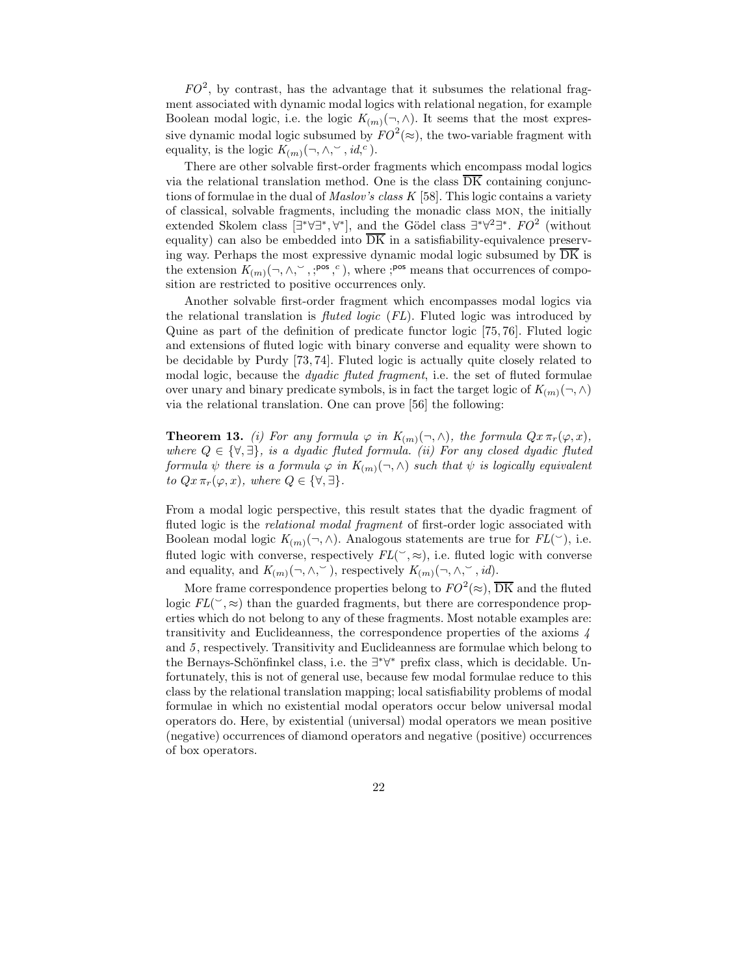$FO<sup>2</sup>$ , by contrast, has the advantage that it subsumes the relational fragment associated with dynamic modal logics with relational negation, for example Boolean modal logic, i.e. the logic  $K_{(m)}(\neg, \wedge)$ . It seems that the most expressive dynamic modal logic subsumed by  $FO^2(\approx)$ , the two-variable fragment with equality, is the logic  $K_{(m)}(\neg, \wedge, \neg, id, e)$ .

There are other solvable first-order fragments which encompass modal logics via the relational translation method. One is the class  $\overline{DK}$  containing conjunctions of formulae in the dual of *Maslov's class K* [58]. This logic contains a variety of classical, solvable fragments, including the monadic class mon, the initially extended Skolem class  $[\exists^*\forall \exists^*, \forall^*]$ , and the Gödel class  $\exists^*\forall^2 \exists^*. FO^2$  (without equality) can also be embedded into DK in a satisfiability-equivalence preserving way. Perhaps the most expressive dynamic modal logic subsumed by DK is the extension  $K_{(m)}(\neg, \wedge, \neg, ;^{pos}, c)$ , where ;<sup>pos</sup> means that occurrences of composition are restricted to positive occurrences only.

Another solvable first-order fragment which encompasses modal logics via the relational translation is *fluted logic* (*FL*). Fluted logic was introduced by Quine as part of the definition of predicate functor logic [75, 76]. Fluted logic and extensions of fluted logic with binary converse and equality were shown to be decidable by Purdy [73, 74]. Fluted logic is actually quite closely related to modal logic, because the *dyadic fluted fragment*, i.e. the set of fluted formulae over unary and binary predicate symbols, is in fact the target logic of  $K_{(m)}(\neg, \wedge)$ via the relational translation. One can prove [56] the following:

**Theorem 13.** *(i) For any formula*  $\varphi$  *in*  $K_{(m)}(\neg, \wedge)$ *, the formula*  $Qx \pi_r(\varphi, x)$ *, where*  $Q \in \{\forall, \exists\}$ *, is a dyadic fluted formula. (ii) For any closed dyadic fluted formula*  $\psi$  *there is a formula*  $\varphi$  *in*  $K_{(m)}(\neg, \wedge)$  *such that*  $\psi$  *is logically equivalent to*  $Qx \pi_r(\varphi, x)$ *, where*  $Q \in \{\forall, \exists\}.$ 

From a modal logic perspective, this result states that the dyadic fragment of fluted logic is the *relational modal fragment* of first-order logic associated with Boolean modal logic  $K_{(m)}(\neg, \wedge)$ . Analogous statements are true for  $FL(\neg)$ , i.e. fluted logic with converse, respectively  $FL(\check{\ } , \approx)$ , i.e. fluted logic with converse and equality, and  $K_{(m)}(\neg, \wedge, \neg)$ , respectively  $K_{(m)}(\neg, \wedge, \neg, id)$ .

More frame correspondence properties belong to  $FO^2(\approx)$ ,  $\overline{DK}$  and the fluted logic  $FL(\sim, \approx)$  than the guarded fragments, but there are correspondence properties which do not belong to any of these fragments. Most notable examples are: transitivity and Euclideanness, the correspondence properties of the axioms *4* and *5*, respectively. Transitivity and Euclideanness are formulae which belong to the Bernays-Schönfinkel class, i.e. the ∃\*∀\* prefix class, which is decidable. Unfortunately, this is not of general use, because few modal formulae reduce to this class by the relational translation mapping; local satisfiability problems of modal formulae in which no existential modal operators occur below universal modal operators do. Here, by existential (universal) modal operators we mean positive (negative) occurrences of diamond operators and negative (positive) occurrences of box operators.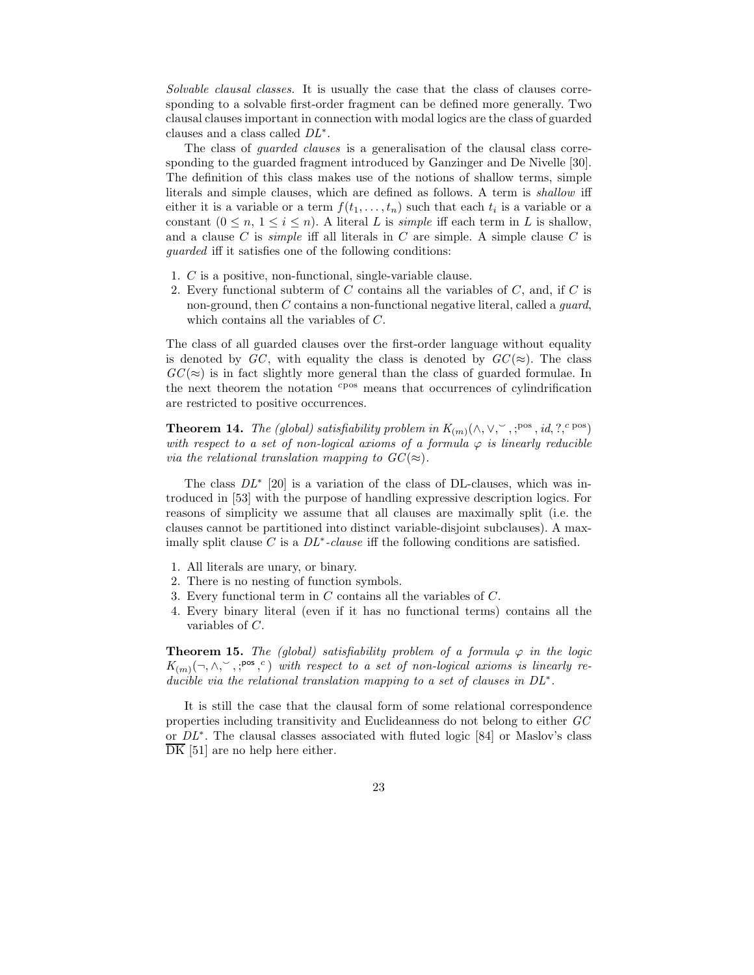*Solvable clausal classes.* It is usually the case that the class of clauses corresponding to a solvable first-order fragment can be defined more generally. Two clausal clauses important in connection with modal logics are the class of guarded clauses and a class called *DL*<sup>∗</sup> .

The class of *guarded clauses* is a generalisation of the clausal class corresponding to the guarded fragment introduced by Ganzinger and De Nivelle [30]. The definition of this class makes use of the notions of shallow terms, simple literals and simple clauses, which are defined as follows. A term is *shallow* iff either it is a variable or a term  $f(t_1, \ldots, t_n)$  such that each  $t_i$  is a variable or a constant  $(0 \leq n, 1 \leq i \leq n)$ . A literal L is *simple* iff each term in L is shallow, and a clause C is *simple* iff all literals in C are simple. A simple clause C is *guarded* iff it satisfies one of the following conditions:

- 1. C is a positive, non-functional, single-variable clause.
- 2. Every functional subterm of  $C$  contains all the variables of  $C$ , and, if  $C$  is non-ground, then C contains a non-functional negative literal, called a *guard*, which contains all the variables of C.

The class of all guarded clauses over the first-order language without equality is denoted by *GC*, with equality the class is denoted by  $GC(\approx)$ . The class  $GC(\approx)$  is in fact slightly more general than the class of guarded formulae. In the next theorem the notation  $c_{\text{pos}}$  means that occurrences of cylindrification are restricted to positive occurrences.

**Theorem 14.** *The (global) satisfiability problem in*  $K_{(m)}(\wedge, \vee, \check{ } , {,}^{pos}, id, ?, {^{c \text{ pos}}})$ *with respect to a set of non-logical axioms of a formula*  $\varphi$  *is linearly reducible via the relational translation mapping to*  $GC(\approx)$ *.* 

The class *DL*<sup>∗</sup> [20] is a variation of the class of DL-clauses, which was introduced in [53] with the purpose of handling expressive description logics. For reasons of simplicity we assume that all clauses are maximally split (i.e. the clauses cannot be partitioned into distinct variable-disjoint subclauses). A maximally split clause C is a *DL*<sup>∗</sup> *-clause* iff the following conditions are satisfied.

- 1. All literals are unary, or binary.
- 2. There is no nesting of function symbols.
- 3. Every functional term in  $C$  contains all the variables of  $C$ .
- 4. Every binary literal (even if it has no functional terms) contains all the variables of C.

**Theorem 15.** *The (global) satisfiability problem of a formula*  $\varphi$  *in the logic*  $K_{(m)}(\neg, \wedge, \neg, ;^{pos}, c)$  *with respect to a set of non-logical axioms is linearly reducible via the relational translation mapping to a set of clauses in DL*<sup>∗</sup> *.*

It is still the case that the clausal form of some relational correspondence properties including transitivity and Euclideanness do not belong to either *GC* or *DL*<sup>∗</sup> . The clausal classes associated with fluted logic [84] or Maslov's class  $\overline{\rm DK}$  [51] are no help here either.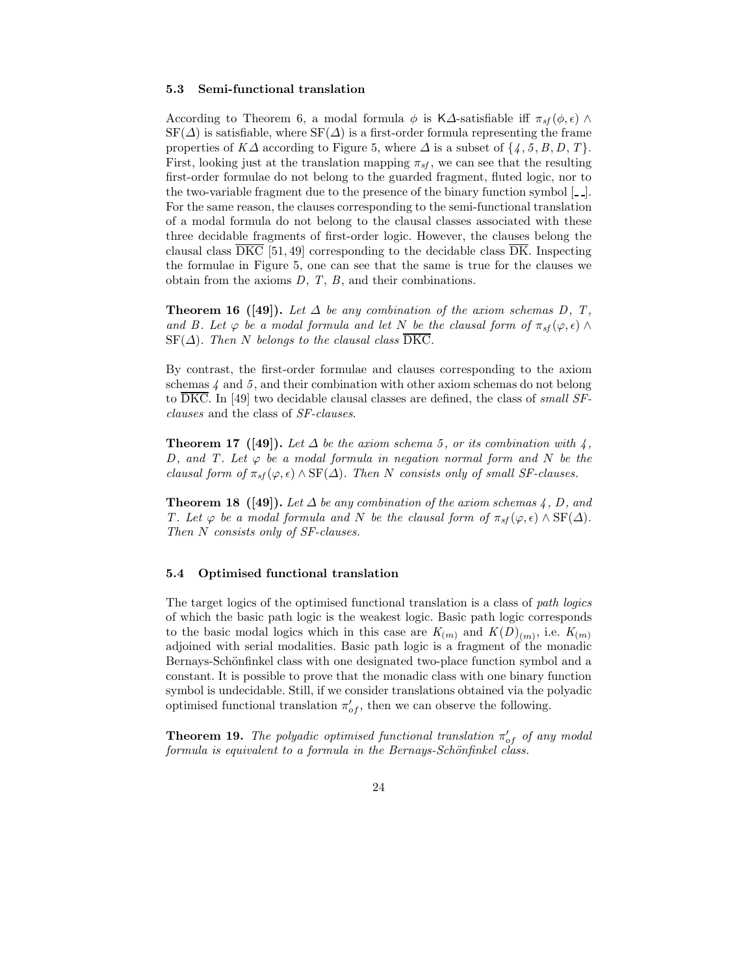#### 5.3 Semi-functional translation

According to Theorem 6, a modal formula  $\phi$  is K $\Delta$ -satisfiable iff  $\pi_{sf}(\phi,\epsilon)$  $S\mathrm{F}(\Delta)$  is satisfiable, where  $S\mathrm{F}(\Delta)$  is a first-order formula representing the frame properties of  $K\Delta$  according to Figure 5, where  $\Delta$  is a subset of  $\{4, 5, B, D, T\}$ . First, looking just at the translation mapping  $\pi_{sf}$ , we can see that the resulting first-order formulae do not belong to the guarded fragment, fluted logic, nor to the two-variable fragment due to the presence of the binary function symbol  $\lfloor \_ \_ \rfloor$ . For the same reason, the clauses corresponding to the semi-functional translation of a modal formula do not belong to the clausal classes associated with these three decidable fragments of first-order logic. However, the clauses belong the clausal class  $\overline{\text{DKC}}$  [51,49] corresponding to the decidable class  $\overline{\text{DK}}$ . Inspecting the formulae in Figure 5, one can see that the same is true for the clauses we obtain from the axioms *D*, *T*, *B*, and their combinations.

**Theorem 16** ([49]). Let  $\Delta$  be any combination of the axiom schemas D, T, *and B. Let*  $\varphi$  *be a modal formula and let* N *be the clausal form of*  $\pi_{sf}(\varphi, \epsilon)$  ∧  $S_{\mathcal{F}}(\Delta)$ *. Then* N *belongs to the clausal class* DKC.

By contrast, the first-order formulae and clauses corresponding to the axiom schemas *4* and *5*, and their combination with other axiom schemas do not belong to DKC. In [49] two decidable clausal classes are defined, the class of *small SFclauses* and the class of *SF-clauses*.

**Theorem 17** ([49]). Let  $\Delta$  be the axiom schema 5, or its combination with  $\lambda$ ,  $D$ , and  $T$ . Let  $\varphi$  be a modal formula in negation normal form and  $N$  be the *clausal form of*  $\pi_{sf}(\varphi, \epsilon) \wedge \text{SF}(\Delta)$ *. Then* N *consists only of small SF-clauses.* 

**Theorem 18** ([49]). Let  $\Delta$  be any combination of the axiom schemas  $\varphi$ , D, and *T.* Let  $\varphi$  be a modal formula and N be the clausal form of  $\pi_{sf}(\varphi, \epsilon) \wedge SF(\Delta)$ . *Then* N *consists only of SF-clauses.*

# 5.4 Optimised functional translation

The target logics of the optimised functional translation is a class of *path logics* of which the basic path logic is the weakest logic. Basic path logic corresponds to the basic modal logics which in this case are  $K_{(m)}$  and  $K(D)_{(m)}$ , i.e.  $K_{(m)}$ adjoined with serial modalities. Basic path logic is a fragment of the monadic Bernays-Schönfinkel class with one designated two-place function symbol and a constant. It is possible to prove that the monadic class with one binary function symbol is undecidable. Still, if we consider translations obtained via the polyadic optimised functional translation  $\pi'_{of}$ , then we can observe the following.

**Theorem 19.** *The polyadic optimised functional translation*  $\pi'_{of}$  *of any modal formula is equivalent to a formula in the Bernays-Schönfinkel class.*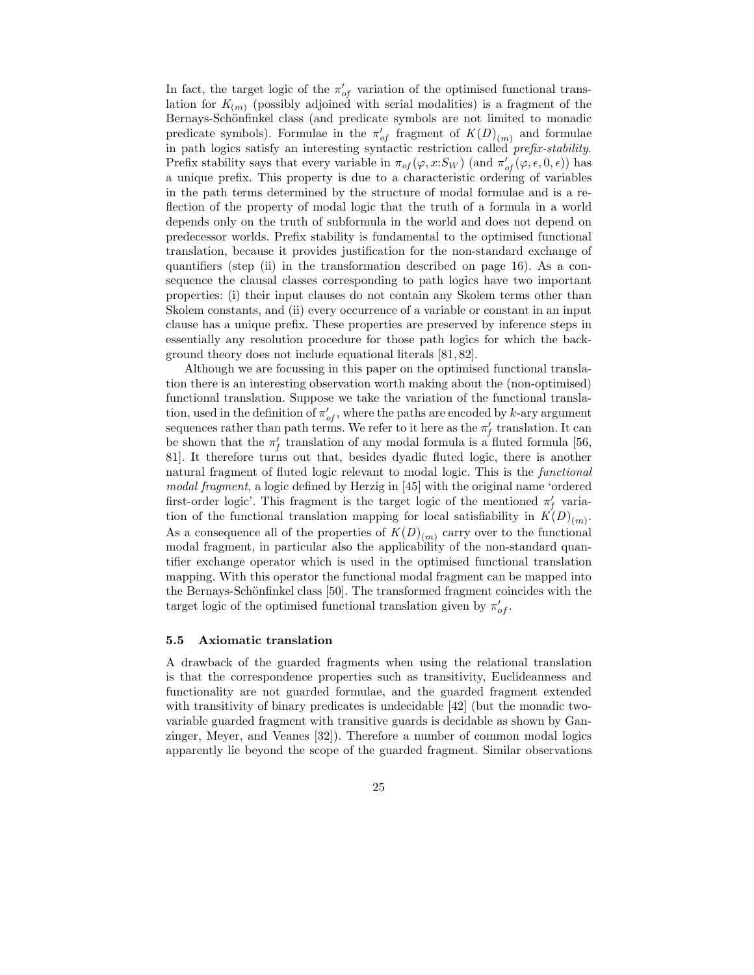In fact, the target logic of the  $\pi'_{of}$  variation of the optimised functional translation for  $K_{(m)}$  (possibly adjoined with serial modalities) is a fragment of the Bernays-Schönfinkel class (and predicate symbols are not limited to monadic predicate symbols). Formulae in the  $\pi'_{of}$  fragment of  $K(D)_{(m)}$  and formulae in path logics satisfy an interesting syntactic restriction called *prefix-stability*. Prefix stability says that every variable in  $\pi_{of}(\varphi, x: S_W)$  (and  $\pi'_{of}(\varphi, \epsilon, 0, \epsilon)$ ) has a unique prefix. This property is due to a characteristic ordering of variables in the path terms determined by the structure of modal formulae and is a reflection of the property of modal logic that the truth of a formula in a world depends only on the truth of subformula in the world and does not depend on predecessor worlds. Prefix stability is fundamental to the optimised functional translation, because it provides justification for the non-standard exchange of quantifiers (step (ii) in the transformation described on page 16). As a consequence the clausal classes corresponding to path logics have two important properties: (i) their input clauses do not contain any Skolem terms other than Skolem constants, and (ii) every occurrence of a variable or constant in an input clause has a unique prefix. These properties are preserved by inference steps in essentially any resolution procedure for those path logics for which the background theory does not include equational literals [81, 82].

Although we are focussing in this paper on the optimised functional translation there is an interesting observation worth making about the (non-optimised) functional translation. Suppose we take the variation of the functional translation, used in the definition of  $\pi'_{of}$ , where the paths are encoded by k-ary argument sequences rather than path terms. We refer to it here as the  $\pi'_{f}$  translation. It can be shown that the  $\pi'_f$  translation of any modal formula is a fluted formula [56, 81]. It therefore turns out that, besides dyadic fluted logic, there is another natural fragment of fluted logic relevant to modal logic. This is the *functional modal fragment*, a logic defined by Herzig in [45] with the original name 'ordered first-order logic'. This fragment is the target logic of the mentioned  $\pi'_f$  variation of the functional translation mapping for local satisfiability in  $K(D)_{(m)}$ . As a consequence all of the properties of  $K(D)_{(m)}$  carry over to the functional modal fragment, in particular also the applicability of the non-standard quantifier exchange operator which is used in the optimised functional translation mapping. With this operator the functional modal fragment can be mapped into the Bernays-Schönfinkel class [50]. The transformed fragment coincides with the target logic of the optimised functional translation given by  $\pi'_{of}.$ 

#### 5.5 Axiomatic translation

A drawback of the guarded fragments when using the relational translation is that the correspondence properties such as transitivity, Euclideanness and functionality are not guarded formulae, and the guarded fragment extended with transitivity of binary predicates is undecidable [42] (but the monadic twovariable guarded fragment with transitive guards is decidable as shown by Ganzinger, Meyer, and Veanes [32]). Therefore a number of common modal logics apparently lie beyond the scope of the guarded fragment. Similar observations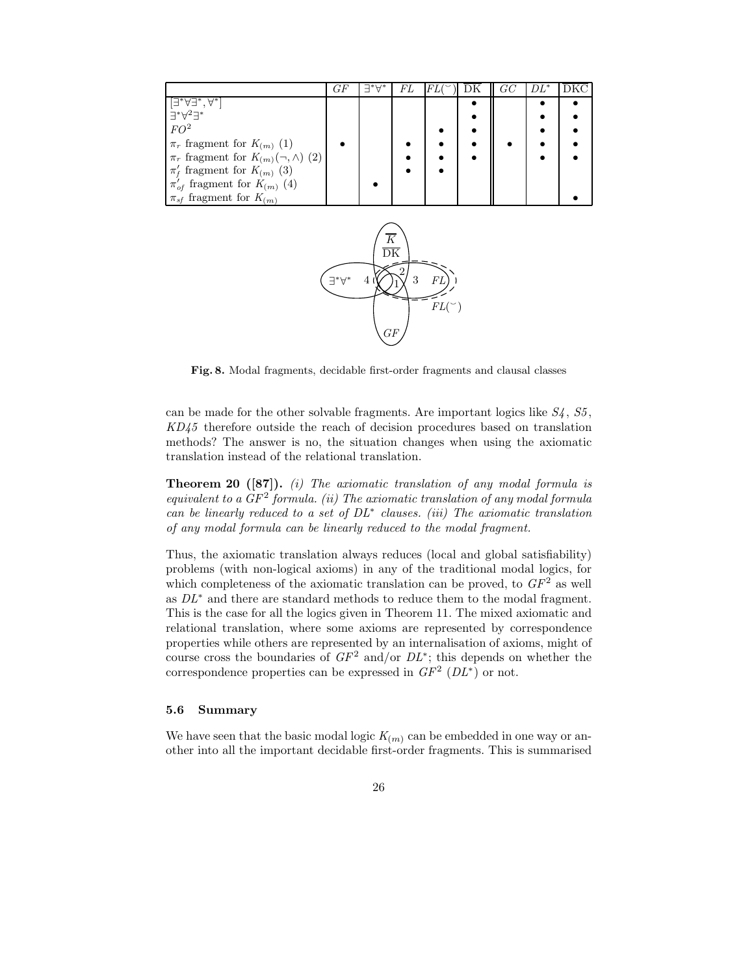|                                                  | GF | ⊣*∀* | FL | FL |  | $DL^*$ | DKC |
|--------------------------------------------------|----|------|----|----|--|--------|-----|
| $[\exists^*\forall\exists^*,\forall^*]$          |    |      |    |    |  |        |     |
| $\exists^*\forall^2\exists^*$                    |    |      |    |    |  |        |     |
| $FO^2$                                           |    |      |    |    |  |        |     |
| $\pi_r$ fragment for $K_{(m)}$ (1)               |    |      |    |    |  |        |     |
| $\pi_r$ fragment for $K_{(m)}(\neg, \wedge)$ (2) |    |      |    |    |  |        |     |
| $\pi'_f$ fragment for $K_{(m)}$ (3)              |    |      |    |    |  |        |     |
| $\pi'_{of}$ fragment for $K_{(m)}$ (4)           |    |      |    |    |  |        |     |
| $\pi_{sf}$ fragment for $K_{(m)}$                |    |      |    |    |  |        |     |



Fig. 8. Modal fragments, decidable first-order fragments and clausal classes

can be made for the other solvable fragments. Are important logics like *S4*, *S5*, *KD45* therefore outside the reach of decision procedures based on translation methods? The answer is no, the situation changes when using the axiomatic translation instead of the relational translation.

Theorem 20 ([87]). *(i) The axiomatic translation of any modal formula is equivalent to a GF*<sup>2</sup> *formula. (ii) The axiomatic translation of any modal formula can be linearly reduced to a set of DL*<sup>∗</sup> *clauses. (iii) The axiomatic translation of any modal formula can be linearly reduced to the modal fragment.*

Thus, the axiomatic translation always reduces (local and global satisfiability) problems (with non-logical axioms) in any of the traditional modal logics, for which completeness of the axiomatic translation can be proved, to  $GF<sup>2</sup>$  as well as *DL*<sup>∗</sup> and there are standard methods to reduce them to the modal fragment. This is the case for all the logics given in Theorem 11. The mixed axiomatic and relational translation, where some axioms are represented by correspondence properties while others are represented by an internalisation of axioms, might of course cross the boundaries of *GF*<sup>2</sup> and/or *DL*<sup>∗</sup> ; this depends on whether the correspondence properties can be expressed in *GF*<sup>2</sup> (*DL*<sup>∗</sup> ) or not.

## 5.6 Summary

We have seen that the basic modal logic  $K_{(m)}$  can be embedded in one way or another into all the important decidable first-order fragments. This is summarised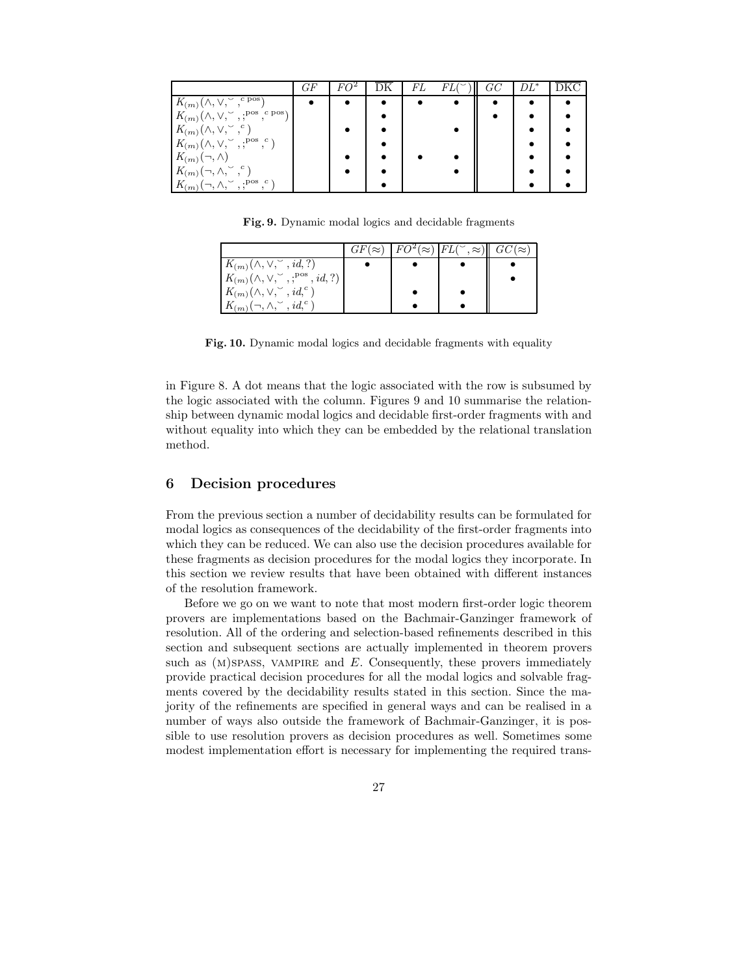|                                                                      | GF | FO | FL | FL( | GC | $DL^*$ |  |
|----------------------------------------------------------------------|----|----|----|-----|----|--------|--|
| $K_{(m)}(\wedge,\vee,\check{\phantom{a}},\hbox{}^{c~\text{pos}})$    |    |    |    |     |    |        |  |
| $K_{(m)}(\wedge,\vee,\check{\phantom{a}},\cdot,^{\text{pos}},^c$ pos |    |    |    |     |    |        |  |
| $K_{(m)}(\wedge,\vee,\check{\phantom{a}},\hbox{'}$                   |    |    |    |     |    |        |  |
| $K_{(m)}(\wedge,\vee,\check{~},\cdot,^{\text{pos}},\check{~}~)$      |    |    |    |     |    |        |  |
| $K_{(m)}(\neg, \wedge)$                                              |    |    |    |     |    |        |  |
| $K_{(m)}(\neg,\wedge,\neg,^c)$                                       |    |    |    |     |    |        |  |
| $K_{(m)}(\neg, \wedge, \sim, ;^{pos}, c)$                            |    |    |    |     |    |        |  |

Fig. 9. Dynamic modal logics and decidable fragments

|                                                           |  | $\overline{GF(\approx)}$ $\overline{FO^2(\approx)}$ $\overline{FL(\sim)}$ , $\approx$ ) $\overline{GC(\approx)}$ |  |
|-----------------------------------------------------------|--|------------------------------------------------------------------------------------------------------------------|--|
| $K_{(m)}(\wedge,\vee,\check{~},id,?)$                     |  |                                                                                                                  |  |
| $K_{(m)}(\wedge,\vee,\check{~},\cdot,^{\text{pos}},id,?)$ |  |                                                                                                                  |  |
| $K_{(m)}(\wedge,\vee,\check{~},id,\check{~})$             |  |                                                                                                                  |  |
| $K_{(m)}(\neg, \wedge, \neg, id, \neg)$                   |  |                                                                                                                  |  |

Fig. 10. Dynamic modal logics and decidable fragments with equality

in Figure 8. A dot means that the logic associated with the row is subsumed by the logic associated with the column. Figures 9 and 10 summarise the relationship between dynamic modal logics and decidable first-order fragments with and without equality into which they can be embedded by the relational translation method.

# 6 Decision procedures

From the previous section a number of decidability results can be formulated for modal logics as consequences of the decidability of the first-order fragments into which they can be reduced. We can also use the decision procedures available for these fragments as decision procedures for the modal logics they incorporate. In this section we review results that have been obtained with different instances of the resolution framework.

Before we go on we want to note that most modern first-order logic theorem provers are implementations based on the Bachmair-Ganzinger framework of resolution. All of the ordering and selection-based refinements described in this section and subsequent sections are actually implemented in theorem provers such as  $(M)$  spass, VAMPIRE and  $E$ . Consequently, these provers immediately provide practical decision procedures for all the modal logics and solvable fragments covered by the decidability results stated in this section. Since the majority of the refinements are specified in general ways and can be realised in a number of ways also outside the framework of Bachmair-Ganzinger, it is possible to use resolution provers as decision procedures as well. Sometimes some modest implementation effort is necessary for implementing the required trans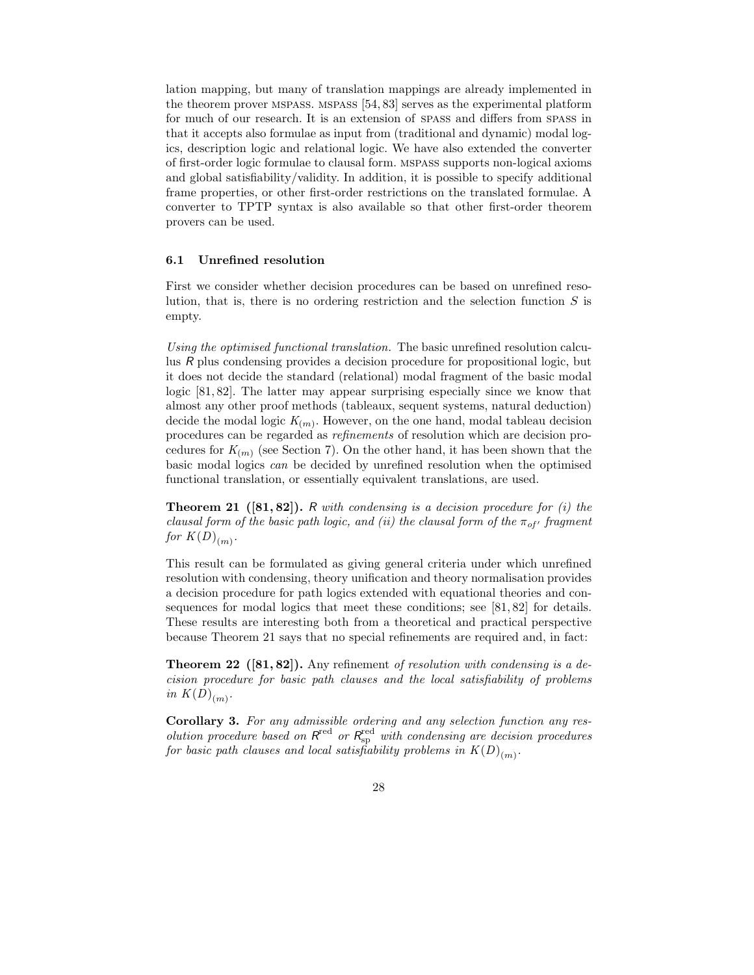lation mapping, but many of translation mappings are already implemented in the theorem prover mspass. mspass [54, 83] serves as the experimental platform for much of our research. It is an extension of spass and differs from spass in that it accepts also formulae as input from (traditional and dynamic) modal logics, description logic and relational logic. We have also extended the converter of first-order logic formulae to clausal form. mspass supports non-logical axioms and global satisfiability/validity. In addition, it is possible to specify additional frame properties, or other first-order restrictions on the translated formulae. A converter to TPTP syntax is also available so that other first-order theorem provers can be used.

#### 6.1 Unrefined resolution

First we consider whether decision procedures can be based on unrefined resolution, that is, there is no ordering restriction and the selection function  $S$  is empty.

*Using the optimised functional translation.* The basic unrefined resolution calculus  $R$  plus condensing provides a decision procedure for propositional logic, but it does not decide the standard (relational) modal fragment of the basic modal logic [81, 82]. The latter may appear surprising especially since we know that almost any other proof methods (tableaux, sequent systems, natural deduction) decide the modal logic *K*(m) . However, on the one hand, modal tableau decision procedures can be regarded as *refinements* of resolution which are decision procedures for  $K_{(m)}$  (see Section 7). On the other hand, it has been shown that the basic modal logics *can* be decided by unrefined resolution when the optimised functional translation, or essentially equivalent translations, are used.

Theorem 21 ([81, 82]). R *with condensing is a decision procedure for (i) the clausal form of the basic path logic, and (ii) the clausal form of the*  $\pi_{of}$  *fragment* for  $K(D)_{(m)}$ .

This result can be formulated as giving general criteria under which unrefined resolution with condensing, theory unification and theory normalisation provides a decision procedure for path logics extended with equational theories and consequences for modal logics that meet these conditions; see [81, 82] for details. These results are interesting both from a theoretical and practical perspective because Theorem 21 says that no special refinements are required and, in fact:

Theorem 22 ([81, 82]). Any refinement *of resolution with condensing is a decision procedure for basic path clauses and the local satisfiability of problems in*  $K(D)_{(m)}$ .

Corollary 3. *For any admissible ordering and any selection function any resolution procedure based on*  $R_{\rm sp}^{\rm red}$  *or*  $R_{\rm sp}^{\rm red}$  *with condensing are decision procedures for basic path clauses and local satisfiability problems in*  $K(D)_{(m)}$ .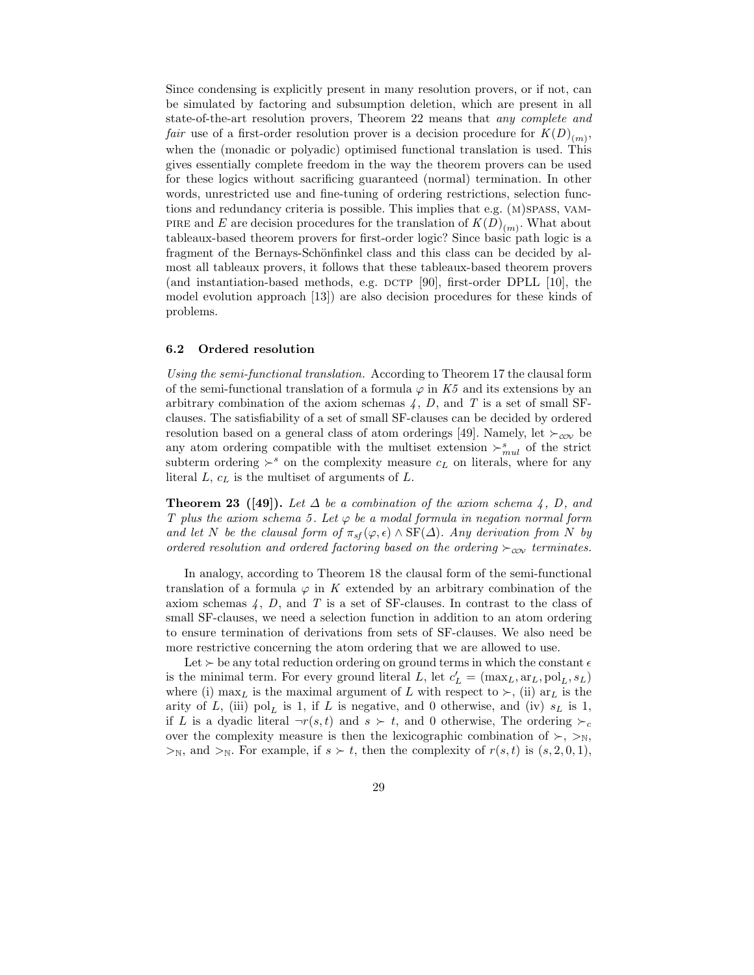Since condensing is explicitly present in many resolution provers, or if not, can be simulated by factoring and subsumption deletion, which are present in all state-of-the-art resolution provers, Theorem 22 means that *any complete and fair* use of a first-order resolution prover is a decision procedure for  $K(D)_{(m)}$ , when the (monadic or polyadic) optimised functional translation is used. This gives essentially complete freedom in the way the theorem provers can be used for these logics without sacrificing guaranteed (normal) termination. In other words, unrestricted use and fine-tuning of ordering restrictions, selection functions and redundancy criteria is possible. This implies that e.g. (m)spass, vam-PIRE and E are decision procedures for the translation of  $K(D)_{(m)}$ . What about tableaux-based theorem provers for first-order logic? Since basic path logic is a fragment of the Bernays-Schönfinkel class and this class can be decided by almost all tableaux provers, it follows that these tableaux-based theorem provers (and instantiation-based methods, e.g. DCTP  $[90]$ , first-order DPLL  $[10]$ , the model evolution approach [13]) are also decision procedures for these kinds of problems.

## 6.2 Ordered resolution

*Using the semi-functional translation.* According to Theorem 17 the clausal form of the semi-functional translation of a formula  $\varphi$  in  $K5$  and its extensions by an arbitrary combination of the axiom schemas *4*, *D*, and *T* is a set of small SFclauses. The satisfiability of a set of small SF-clauses can be decided by ordered resolution based on a general class of atom orderings [49]. Namely, let  $\succ_{cov}$  be any atom ordering compatible with the multiset extension  $\succ^s_{mul}$  of the strict subterm ordering  $\succ^s$  on the complexity measure  $c_L$  on literals, where for any literal  $L, c<sub>L</sub>$  is the multiset of arguments of  $L$ .

**Theorem 23** ([49]). Let  $\Delta$  be a combination of the axiom schema 4, D, and *T* plus the axiom schema 5. Let  $\varphi$  be a modal formula in negation normal form *and let* N *be the clausal form of*  $\pi_{sf}(\varphi, \epsilon) \wedge SF(\varDelta)$ *. Any derivation from* N *by ordered resolution and ordered factoring based on the ordering*  $\succ_{\text{cov}}$  *terminates.* 

In analogy, according to Theorem 18 the clausal form of the semi-functional translation of a formula  $\varphi$  in *K* extended by an arbitrary combination of the axiom schemas  $\chi$ ,  $D$ , and  $T$  is a set of SF-clauses. In contrast to the class of small SF-clauses, we need a selection function in addition to an atom ordering to ensure termination of derivations from sets of SF-clauses. We also need be more restrictive concerning the atom ordering that we are allowed to use.

Let  $\succ$  be any total reduction ordering on ground terms in which the constant  $\epsilon$ is the minimal term. For every ground literal L, let  $c'_{L} = (\max_{L}, \text{ar}_{L}, \text{pol}_{L}, s_{L})$ where (i) max<sub>L</sub> is the maximal argument of L with respect to  $\succ$ , (ii) ar<sub>L</sub> is the arity of L, (iii)  $pol<sub>L</sub>$  is 1, if L is negative, and 0 otherwise, and (iv)  $s<sub>L</sub>$  is 1, if L is a dyadic literal  $\neg r(s,t)$  and  $s > t$ , and 0 otherwise, The ordering  $\succ_c$ over the complexity measure is then the lexicographic combination of  $\succ$ ,  $>_{\mathbb{N}}$ ,  $>_{\mathbb{N}}$ , and  $>_{\mathbb{N}}$ . For example, if  $s \succ t$ , then the complexity of  $r(s, t)$  is  $(s, 2, 0, 1)$ ,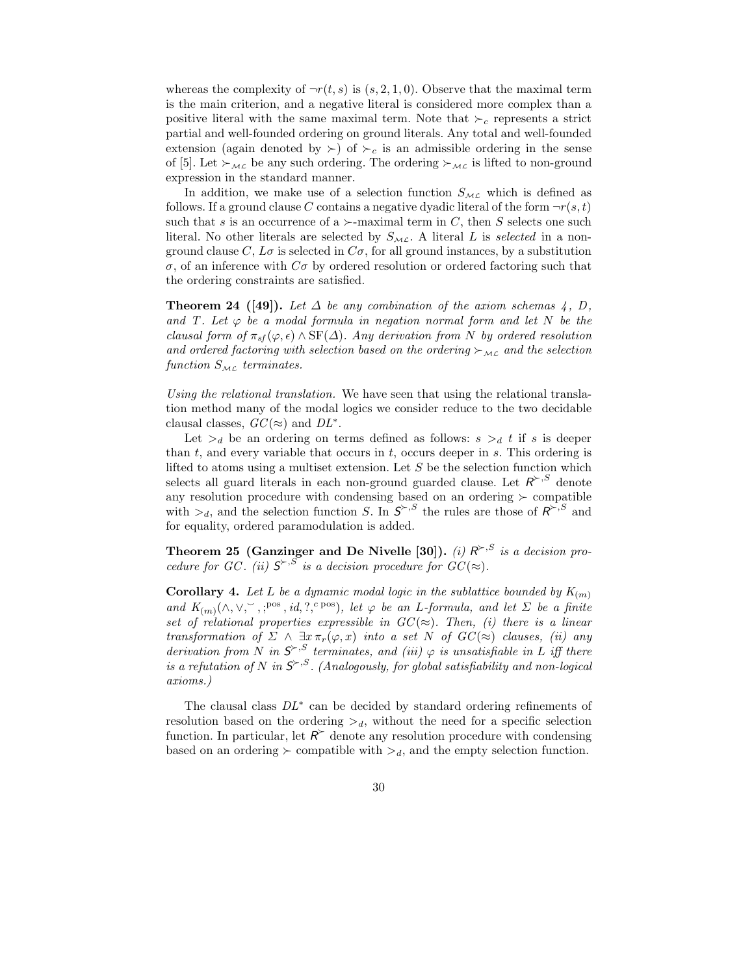whereas the complexity of  $\neg r(t, s)$  is  $(s, 2, 1, 0)$ . Observe that the maximal term is the main criterion, and a negative literal is considered more complex than a positive literal with the same maximal term. Note that  $\succ_c$  represents a strict partial and well-founded ordering on ground literals. Any total and well-founded extension (again denoted by  $\succ$ ) of  $\succ_c$  is an admissible ordering in the sense of [5]. Let  $\succ_{\mathcal{ML}}$  be any such ordering. The ordering  $\succ_{\mathcal{ML}}$  is lifted to non-ground expression in the standard manner.

In addition, we make use of a selection function  $S_{ML}$  which is defined as follows. If a ground clause C contains a negative dyadic literal of the form  $\neg r(s,t)$ such that s is an occurrence of a  $\succ$ -maximal term in C, then S selects one such literal. No other literals are selected by  $S_{ML}$ . A literal L is *selected* in a nonground clause C,  $L\sigma$  is selected in  $C\sigma$ , for all ground instances, by a substitution  $\sigma$ , of an inference with  $C\sigma$  by ordered resolution or ordered factoring such that the ordering constraints are satisfied.

**Theorem 24 ([49]).** Let  $\Delta$  be any combination of the axiom schemas  $\varphi$ , D, *and T. Let*  $\varphi$  *be a modal formula in negation normal form and let* N *be the clausal form of*  $\pi_{sf}(\varphi,\epsilon) \wedge SF(\varDelta)$ *. Any derivation from* N *by ordered resolution* and ordered factoring with selection based on the ordering  $\succ_{\mathcal{ML}}$  and the selection *function*  $S_{ML}$  *terminates.* 

*Using the relational translation.* We have seen that using the relational translation method many of the modal logics we consider reduce to the two decidable clausal classes,  $GC(\approx)$  and  $DL^*$ .

Let  $\geq_d$  be an ordering on terms defined as follows:  $s \geq_d t$  if s is deeper than  $t$ , and every variable that occurs in  $t$ , occurs deeper in  $s$ . This ordering is lifted to atoms using a multiset extension. Let S be the selection function which selects all guard literals in each non-ground guarded clause. Let  $R^{\succ, S}$  denote any resolution procedure with condensing based on an ordering  $\succ$  compatible with  $\geq_d$ , and the selection function S. In  $S^{\succ, S}$  the rules are those of  $R^{\succ, S}$  and for equality, ordered paramodulation is added.

Theorem 25 (Ganzinger and De Nivelle [30]). *(i)*  $R^{\succ,S}$  *is a decision procedure for GC.* (*ii*)  $S^{\succ,S}$  *is a decision procedure for GC*( $\approx$ ).

**Corollary 4.** Let L be a dynamic modal logic in the sublattice bounded by  $K_{(m)}$ and  $K_{(m)}(\wedge,\vee,~\vee,~;$ <sup>pos</sup>, *id*, ?,<sup>*c*</sup> pos), let  $\varphi$  *be an* L-formula, and let  $\Sigma$  *be a finite set of relational properties expressible in*  $GC(\approx)$ *. Then, (i) there is a linear transformation of*  $\Sigma \wedge \exists x \pi_r(\varphi, x)$  *into a set* N *of GC*( $\approx$ ) *clauses, (ii) any derivation from* N *in*  $S^{\succ,s}$  *terminates, and (iii)*  $\varphi$  *is unsatisfiable in* L *iff there is a refutation of* N *in*  $S^{\succ,S}$ . (Analogously, for global satisfiability and non-logical *axioms.)*

The clausal class  $DL^*$  can be decided by standard ordering refinements of resolution based on the ordering  $\geq d$ , without the need for a specific selection function. In particular, let  $R^{\succ}$  denote any resolution procedure with condensing based on an ordering  $\succ$  compatible with  $\succ_d$ , and the empty selection function.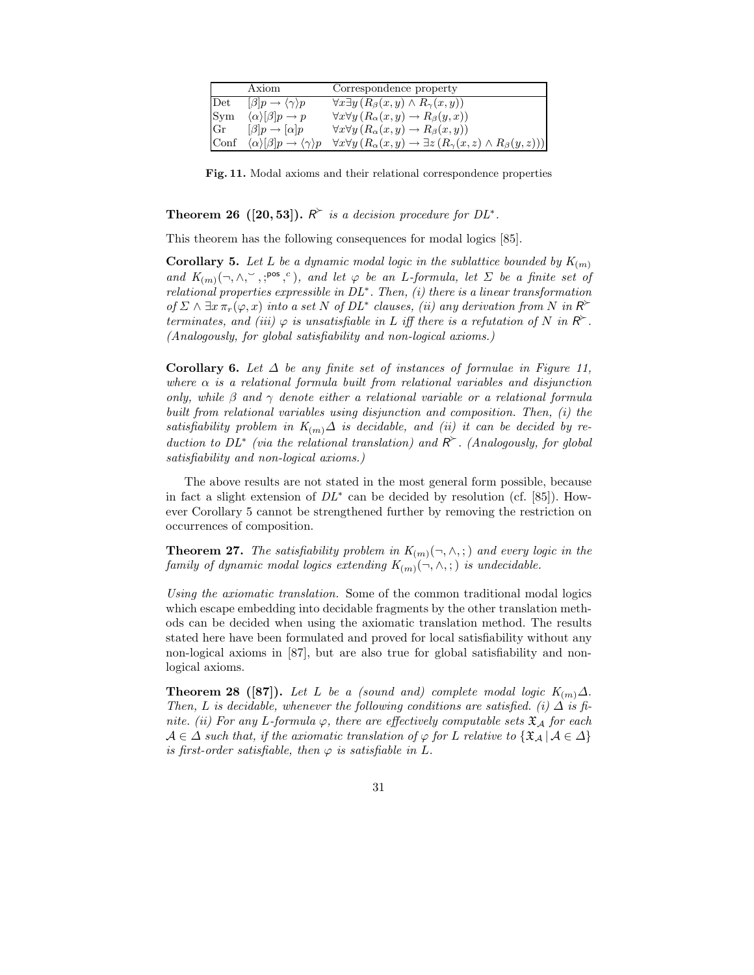|      | Axiom                                                                        | Correspondence property                                                                                  |
|------|------------------------------------------------------------------------------|----------------------------------------------------------------------------------------------------------|
| Det  | $[\beta]p \rightarrow \langle \gamma \rangle p$                              | $\forall x \exists y (R_{\beta}(x, y) \wedge R_{\gamma}(x, y))$                                          |
| Sym  | $\langle \alpha \rangle[\beta] p \rightarrow p$                              | $\forall x \forall y (R_{\alpha}(x, y) \rightarrow R_{\beta}(y, x))$                                     |
| Gr   | $\beta p \to [\alpha]p$                                                      | $\forall x \forall y (R_{\alpha}(x, y) \rightarrow R_{\beta}(x, y))$                                     |
| Conf | $\langle \alpha \rangle [\beta] p \rightarrow$<br>$\langle \gamma \rangle p$ | $\forall x \forall y (R_{\alpha}(x, y) \rightarrow \exists z (R_{\gamma}(x, z) \wedge R_{\beta}(y, z)))$ |

Fig. 11. Modal axioms and their relational correspondence properties

# **Theorem 26** ([20, 53]).  $R^{\succ}$  *is a decision procedure for DL*<sup>\*</sup>.

This theorem has the following consequences for modal logics [85].

**Corollary 5.** Let L be a dynamic modal logic in the sublattice bounded by  $K_{(m)}$ and  $K_{(m)}(\neg, \wedge, \neg, ;^{pos}, c)$ , and let  $\varphi$  be an L-formula, let  $\Sigma$  be a finite set of *relational properties expressible in DL*<sup>∗</sup> *. Then, (i) there is a linear transformation*  $\partial f \Sigma \wedge \exists x \, \pi_r(\varphi, x)$  *into a set* N  $\partial f$  *DL*<sup>\*</sup> *clauses, (ii) any derivation from* N *in*  $R^{\succ}$ *terminates, and (iii)*  $\varphi$  *is unsatisfiable in* L *iff there is a refutation of* N *in*  $\mathbb{R}^{\succ}$ . *(Analogously, for global satisfiability and non-logical axioms.)*

Corollary 6. Let  $\Delta$  be any finite set of instances of formulae in Figure 11, *where* α *is a relational formula built from relational variables and disjunction only, while* β *and* γ *denote either a relational variable or a relational formula built from relational variables using disjunction and composition. Then, (i) the satisfiability problem in*  $K_{(m)}\Delta$  *is decidable, and (ii) it can be decided by reduction to DL*<sup>∗</sup> *(via the relational translation) and* R <sup>≻</sup>*. (Analogously, for global satisfiability and non-logical axioms.)*

The above results are not stated in the most general form possible, because in fact a slight extension of *DL*<sup>∗</sup> can be decided by resolution (cf. [85]). However Corollary 5 cannot be strengthened further by removing the restriction on occurrences of composition.

**Theorem 27.** *The satisfiability problem in*  $K_{(m)}(\neg, \wedge, \cdot)$  *and every logic in the family of dynamic modal logics extending*  $K_{(m)}(\neg, \wedge, \cdot)$  *is undecidable.* 

*Using the axiomatic translation.* Some of the common traditional modal logics which escape embedding into decidable fragments by the other translation methods can be decided when using the axiomatic translation method. The results stated here have been formulated and proved for local satisfiability without any non-logical axioms in [87], but are also true for global satisfiability and nonlogical axioms.

**Theorem 28 ([87]).** *Let* L *be a (sound and) complete modal logic*  $K_{(m)}\Delta$ . *Then, L is decidable, whenever the following conditions are satisfied. (i)*  $\Delta$  *is finite. (ii) For any* L-formula  $\varphi$ , there are effectively computable sets  $\mathfrak{X}_A$  for each  $A \in \Delta$  *such that, if the axiomatic translation of*  $\varphi$  *for* L *relative to*  $\{\mathfrak{X}_A | A \in \Delta\}$ *is first-order satisfiable, then*  $\varphi$  *is satisfiable in*  $L$ *.*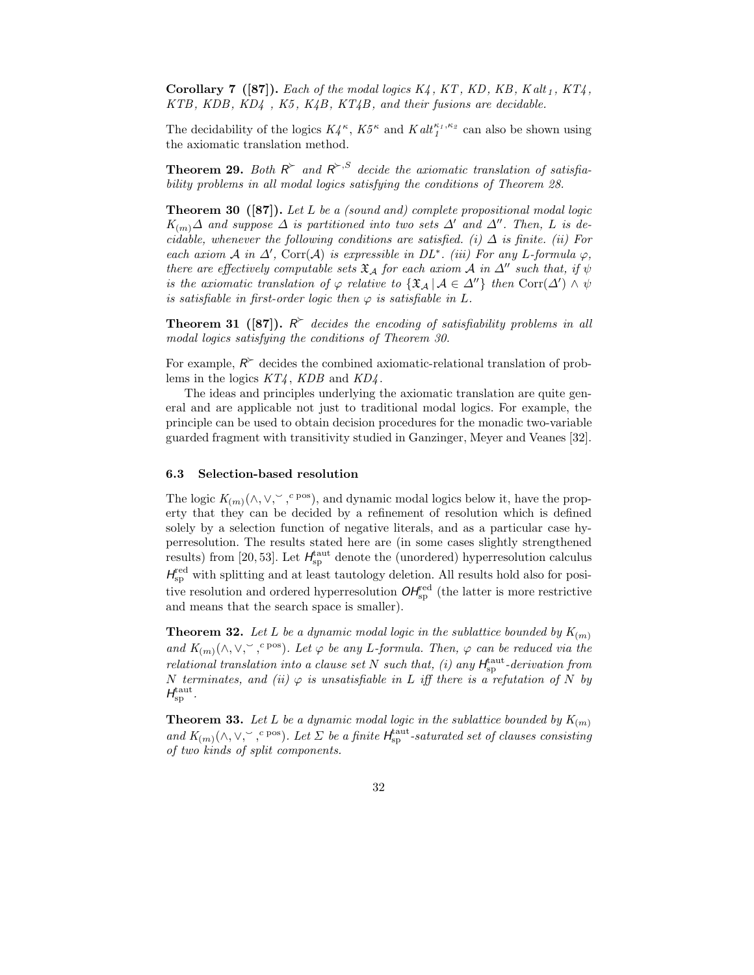**Corollary 7** ([87]). *Each of the modal logics K4, KT, KD, KB, K alt<sub>1</sub>, KT<sub>4</sub>, KTB , KDB , KD4 , K5 , K4B , KT4B , and their fusions are decidable.*

The decidability of the logics  $K_4^k$ ,  $K_5^k$  and  $Kalt_1^{k_1,k_2}$  can also be shown using the axiomatic translation method.

**Theorem 29.** Both  $R^{\succ}$  and  $R^{\succ}$ ,<sup>S</sup> decide the axiomatic translation of satisfia*bility problems in all modal logics satisfying the conditions of Theorem 28.*

Theorem 30 ([87]). *Let* L *be a (sound and) complete propositional modal logic*  $K_{(m)}\Delta$  *and suppose*  $\Delta$  *is partitioned into two sets*  $\Delta'$  *and*  $\Delta''$ *. Then,* L *is decidable, whenever the following conditions are satisfied. (i)*  $\Delta$  *is finite. (ii)* For *each axiom*  $\mathcal A$  *in*  $\Delta'$ ,  $Corr(\mathcal A)$  *is expressible in*  $DL^*$ *. (iii) For any*  $L$ -formula  $\varphi$ *, there are effectively computable sets*  $\mathfrak{X}_A$  *for each axiom*  $A$  *in*  $\Delta''$  *such that, if*  $\psi$ *is the axiomatic translation of*  $\varphi$  *relative to*  $\{\mathfrak{X}_{\mathcal{A}} | \mathcal{A} \in \Delta''\}$  *then* Corr $(\Delta') \wedge \psi$ *is satisfiable in first-order logic then*  $\varphi$  *is satisfiable in L.* 

**Theorem 31** ([87]).  $R^{\succ}$  *decides the encoding of satisfiability problems in all modal logics satisfying the conditions of Theorem 30.*

For example,  $R^{\succ}$  decides the combined axiomatic-relational translation of problems in the logics *KT4* , *KDB* and *KD4*.

The ideas and principles underlying the axiomatic translation are quite general and are applicable not just to traditional modal logics. For example, the principle can be used to obtain decision procedures for the monadic two-variable guarded fragment with transitivity studied in Ganzinger, Meyer and Veanes [32].

#### 6.3 Selection-based resolution

The logic  $K_{(m)}(\wedge,\vee,\vee,^c)^{\text{pos}}$ , and dynamic modal logics below it, have the property that they can be decided by a refinement of resolution which is defined solely by a selection function of negative literals, and as a particular case hyperresolution. The results stated here are (in some cases slightly strengthened results) from [20, 53]. Let  $H_{\rm sp}^{\rm taut}$  denote the (unordered) hyperresolution calculus  $H_{\text{sp}}^{\text{red}}$  with splitting and at least tautology deletion. All results hold also for positive resolution and ordered hyperresolution  $\mathcal{O}H^{\text{red}}_{\text{sp}}$  (the latter is more restrictive and means that the search space is smaller).

**Theorem 32.** Let L be a dynamic modal logic in the sublattice bounded by  $K_{(m)}$ and  $K_{(m)}(\wedge,\vee,\vee,{}^c {}^{pos})$ . Let  $\varphi$  be any L-formula. Then,  $\varphi$  can be reduced via the *relational translation into a clause set* N *such that, (i) any*  $H_{\text{sp}}^{\text{taut}}$ -derivation from N *terminates, and (ii)*  $\varphi$  *is unsatisfiable in* L *iff there is a refutation of* N *by*  $H<sub>sp</sub><sup>taut</sup>$ .

**Theorem 33.** Let L be a dynamic modal logic in the sublattice bounded by  $K_{(m)}$ and  $K_{(m)}(\wedge,\vee,\vee,{}^{c\text{ pos}})$ . Let  $\Sigma$  be a finite  $H_{\text{sp}}^{\text{taut}}$ -saturated set of clauses consisting *of two kinds of split components.*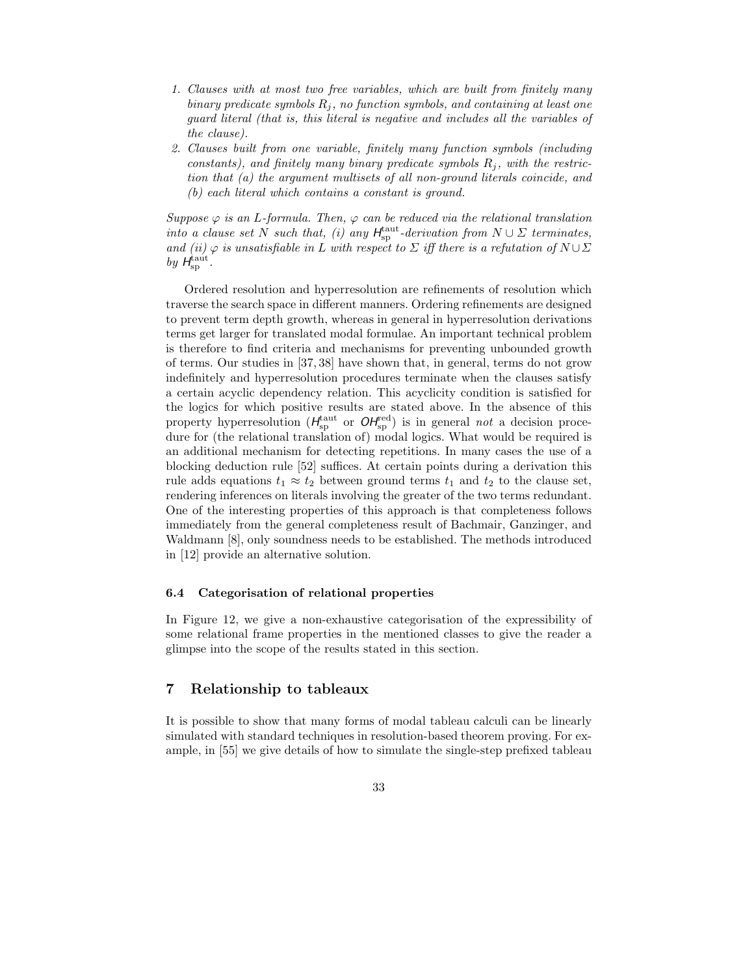- *1. Clauses with at most two free variables, which are built from finitely many binary predicate symbols*  $R_i$ , *no function symbols*, and containing at least one *guard literal (that is, this literal is negative and includes all the variables of the clause).*
- *2. Clauses built from one variable, finitely many function symbols (including constants*), and finitely many binary predicate symbols  $R_i$ , with the restric*tion that (a) the argument multisets of all non-ground literals coincide, and (b) each literal which contains a constant is ground.*

 $Suppose \varphi$  *is an L-formula. Then,*  $\varphi$  *can be reduced via the relational translation into a clause set* N *such that, (i) any*  $H_{\text{sp}}^{\text{taut}}$ -derivation from  $N \cup \Sigma$  terminates, *and (ii)*  $\varphi$  *is unsatisfiable in* L *with respect to*  $\Sigma$  *iff there is a refutation of*  $N \cup \Sigma$ by  $H_{\text{sp}}^{\text{taut}}$ .

Ordered resolution and hyperresolution are refinements of resolution which traverse the search space in different manners. Ordering refinements are designed to prevent term depth growth, whereas in general in hyperresolution derivations terms get larger for translated modal formulae. An important technical problem is therefore to find criteria and mechanisms for preventing unbounded growth of terms. Our studies in [37, 38] have shown that, in general, terms do not grow indefinitely and hyperresolution procedures terminate when the clauses satisfy a certain acyclic dependency relation. This acyclicity condition is satisfied for the logics for which positive results are stated above. In the absence of this property hyperresolution  $(H_{\text{sp}}^{\text{taut}})$  or  $OH_{\text{sp}}^{\text{red}})$  is in general *not* a decision procedure for (the relational translation of) modal logics. What would be required is an additional mechanism for detecting repetitions. In many cases the use of a blocking deduction rule [52] suffices. At certain points during a derivation this rule adds equations  $t_1 \approx t_2$  between ground terms  $t_1$  and  $t_2$  to the clause set, rendering inferences on literals involving the greater of the two terms redundant. One of the interesting properties of this approach is that completeness follows immediately from the general completeness result of Bachmair, Ganzinger, and Waldmann [8], only soundness needs to be established. The methods introduced in [12] provide an alternative solution.

#### 6.4 Categorisation of relational properties

In Figure 12, we give a non-exhaustive categorisation of the expressibility of some relational frame properties in the mentioned classes to give the reader a glimpse into the scope of the results stated in this section.

# 7 Relationship to tableaux

It is possible to show that many forms of modal tableau calculi can be linearly simulated with standard techniques in resolution-based theorem proving. For example, in [55] we give details of how to simulate the single-step prefixed tableau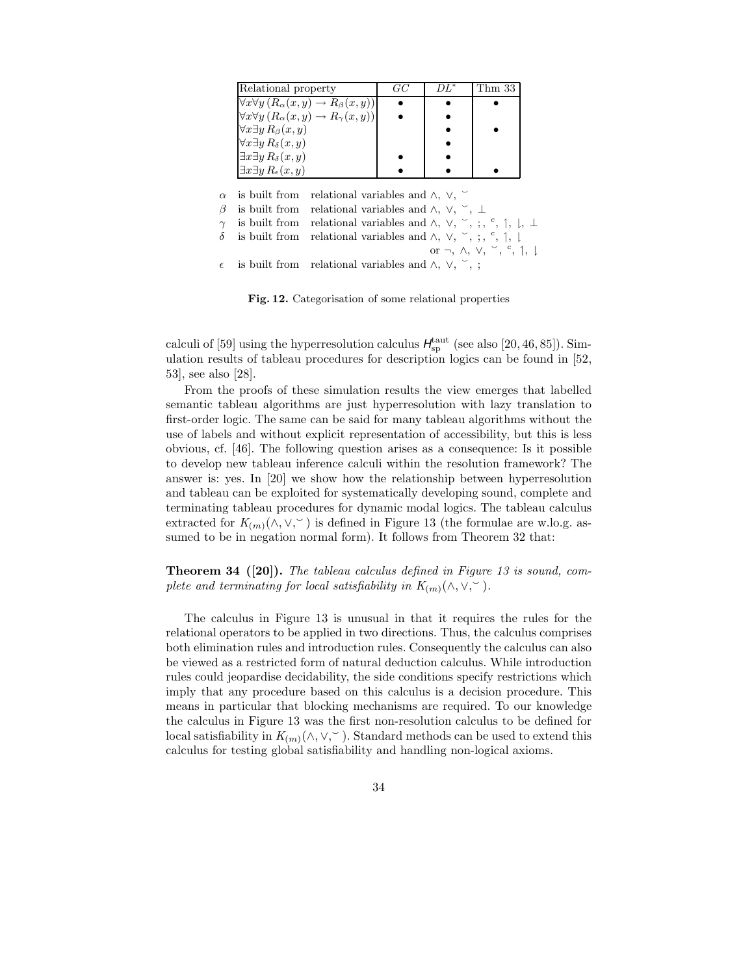|  | Thm <sub>33</sub> |
|--|-------------------|
|  |                   |
|  |                   |
|  |                   |
|  |                   |
|  |                   |
|  |                   |
|  |                   |

 $\alpha$  is built from relational variables and  $\wedge$ ,  $\vee$ ,  $\sim$  $\beta$  is built from relational variables and  $\wedge$ ,  $\vee$ ,  $\vee$ ,  $\perp$ 

 $\gamma$  is built from relational variables and  $\wedge$ ,  $\vee$ ,  $\check{\phantom{a}}$ ,  $\gamma$ ,  $\gamma$ ,  $\gamma$ ,  $\gamma$ ,  $\downarrow$ ,  $\perp$ 

 $\delta$  is built from relational variables and  $\land$ ,  $\lor$ ,  $\check{\ }$ ,  $\check{\ }$ ,  $\delta$ ,  $\uparrow$ ,  $\downarrow$ 

or ¬,  $\wedge$ ,  $\vee$ ,  $\leq$ ,  $\leq$ ,  $\uparrow$ ,  $\downarrow$ 

 $\epsilon$  is built from relational variables and ∧, ∨,  $\check{\phantom{a}}$ , ;

Fig. 12. Categorisation of some relational properties

calculi of [59] using the hyperresolution calculus  $H_{\text{sp}}^{\text{taut}}$  (see also [20, 46, 85]). Simulation results of tableau procedures for description logics can be found in [52, 53], see also [28].

From the proofs of these simulation results the view emerges that labelled semantic tableau algorithms are just hyperresolution with lazy translation to first-order logic. The same can be said for many tableau algorithms without the use of labels and without explicit representation of accessibility, but this is less obvious, cf. [46]. The following question arises as a consequence: Is it possible to develop new tableau inference calculi within the resolution framework? The answer is: yes. In [20] we show how the relationship between hyperresolution and tableau can be exploited for systematically developing sound, complete and terminating tableau procedures for dynamic modal logics. The tableau calculus extracted for  $K_{(m)}(\wedge,\vee,\vee)$  is defined in Figure 13 (the formulae are w.lo.g. assumed to be in negation normal form). It follows from Theorem 32 that:

Theorem 34 ([20]). *The tableau calculus defined in Figure 13 is sound, complete and terminating for local satisfiability in*  $K_{(m)}(\wedge,\vee,\vee)$ .

The calculus in Figure 13 is unusual in that it requires the rules for the relational operators to be applied in two directions. Thus, the calculus comprises both elimination rules and introduction rules. Consequently the calculus can also be viewed as a restricted form of natural deduction calculus. While introduction rules could jeopardise decidability, the side conditions specify restrictions which imply that any procedure based on this calculus is a decision procedure. This means in particular that blocking mechanisms are required. To our knowledge the calculus in Figure 13 was the first non-resolution calculus to be defined for local satisfiability in  $K_{(m)}(\wedge,\vee,\vee)$ . Standard methods can be used to extend this calculus for testing global satisfiability and handling non-logical axioms.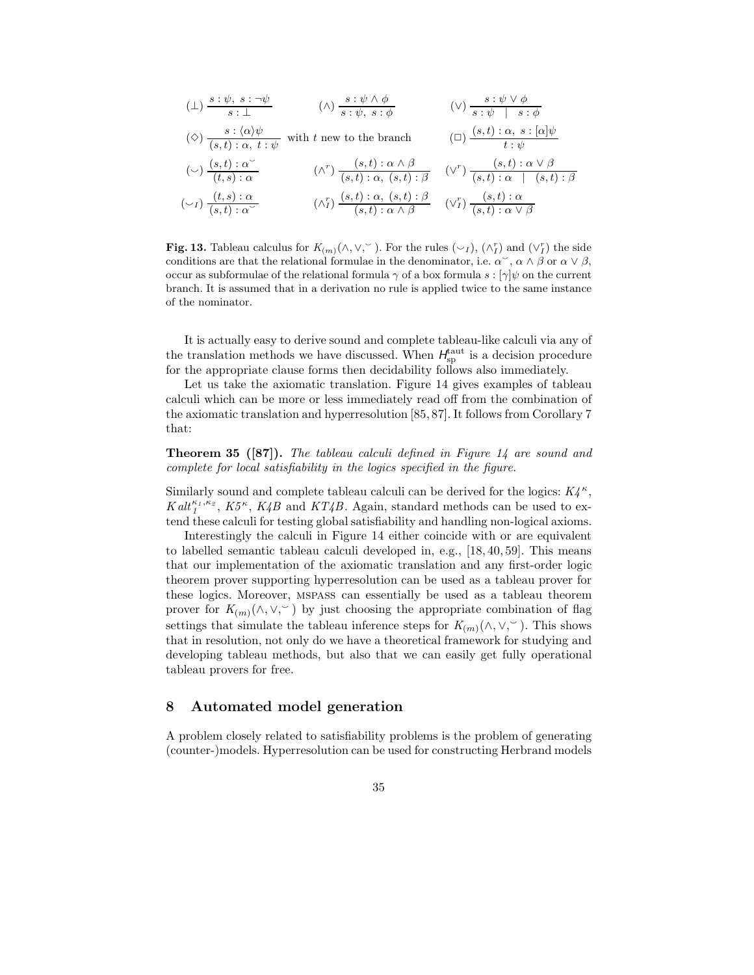$$
\begin{array}{llll}\n\text{(1)} & \frac{s:\psi, \ s:\neg\psi}{s:\bot} & \text{(A)} \ \frac{s:\psi \land \phi}{s:\psi, \ s:\phi} & \text{(V)} \ \frac{s:\psi \lor \phi}{s:\psi \mid s:\phi} \\
\text{(2)} & \frac{s:\langle\alpha\rangle\psi}{(s,t):\alpha, \ t:\psi} & \text{with } t \text{ new to the branch} & \text{(3)} \ \frac{(s,t):\alpha, \ s:\langle\alpha|\psi}{t:\psi} \\
\text{(4)} & \frac{(s,t):\alpha}{(t,s):\alpha} & \text{(5)} \ \frac{(s,t):\alpha \land \beta}{(s,t):\alpha, \ s:\xi:\beta} & \text{(6)} \ \frac{(s,t):\alpha \land \beta}{(s,t):\alpha \land \beta} & \text{(7)} \ \frac{(s,t):\alpha \lor \beta}{(s,t):\alpha \land \beta} \\
\text{(8)} & \frac{(s,t):\alpha}{(s,t):\alpha \land \beta} & \frac{(s,t):\alpha \land \beta}{(s,t):\alpha \land \beta} & \frac{(s,t):\alpha}{(s,t):\alpha \lor \beta}\n\end{array}
$$

**Fig. 13.** Tableau calculus for  $K_{(m)}(\wedge,\vee,\vee)$ . For the rules  $(\vee_{I})$ ,  $(\wedge_{I}^{r})$  and  $(\vee_{I}^{r})$  the side conditions are that the relational formulae in the denominator, i.e.  $\alpha^{\vee}$ ,  $\alpha \wedge \beta$  or  $\alpha \vee \beta$ , occur as subformulae of the relational formula  $\gamma$  of a box formula  $s : [\gamma]\psi$  on the current branch. It is assumed that in a derivation no rule is applied twice to the same instance of the nominator.

It is actually easy to derive sound and complete tableau-like calculi via any of the translation methods we have discussed. When  $H_{\text{sp}}^{\text{taut}}$  is a decision procedure for the appropriate clause forms then decidability follows also immediately.

Let us take the axiomatic translation. Figure 14 gives examples of tableau calculi which can be more or less immediately read off from the combination of the axiomatic translation and hyperresolution [85, 87]. It follows from Corollary 7 that:

Theorem 35 ([87]). *The tableau calculi defined in Figure 14 are sound and complete for local satisfiability in the logics specified in the figure.*

Similarly sound and complete tableau calculi can be derived for the logics:  $K_4^{\kappa}$ ,  $Kalt_1^{\kappa_1,\kappa_2}$ ,  $K5^{\kappa}$ ,  $K4B$  and  $KT4B$ . Again, standard methods can be used to extend these calculi for testing global satisfiability and handling non-logical axioms.

Interestingly the calculi in Figure 14 either coincide with or are equivalent to labelled semantic tableau calculi developed in, e.g., [18, 40, 59]. This means that our implementation of the axiomatic translation and any first-order logic theorem prover supporting hyperresolution can be used as a tableau prover for these logics. Moreover, mspass can essentially be used as a tableau theorem prover for  $K_{(m)}(\wedge,\vee,\vee)$  by just choosing the appropriate combination of flag settings that simulate the tableau inference steps for  $K_{(m)}(\wedge,\vee,\sim)$ . This shows that in resolution, not only do we have a theoretical framework for studying and developing tableau methods, but also that we can easily get fully operational tableau provers for free.

# 8 Automated model generation

A problem closely related to satisfiability problems is the problem of generating (counter-)models. Hyperresolution can be used for constructing Herbrand models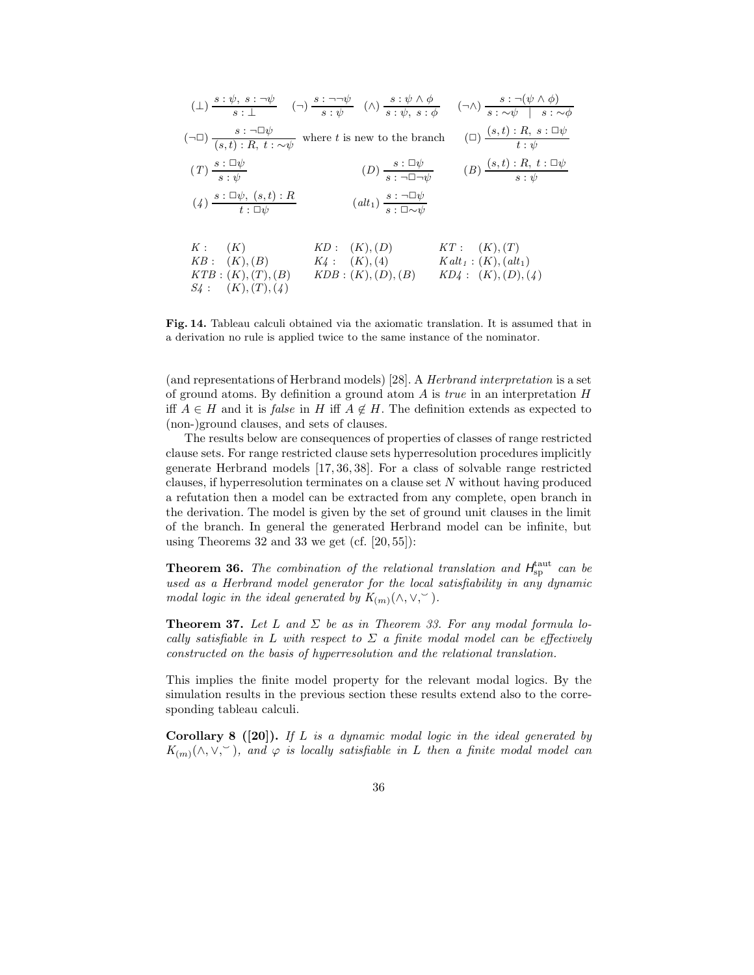|                                                      | $(\bot) \; \frac{s:\psi, \; s:\neg \psi}{s:\bot} \quad (\neg) \; \frac{s:\neg \neg \psi}{s:\psi} \quad (\wedge) \; \frac{s:\psi \wedge \phi}{s:\psi, \; s:\phi} \quad (\neg \wedge) \; \frac{s:\neg (\psi \wedge \phi)}{s:\neg \psi \quad s:\neg \phi}$ |                                                                                      |
|------------------------------------------------------|---------------------------------------------------------------------------------------------------------------------------------------------------------------------------------------------------------------------------------------------------------|--------------------------------------------------------------------------------------|
|                                                      | $(\neg \Box)$ $\frac{s : \neg \Box \psi}{(s, t) : R, t : \sim \psi}$ where t is new to the branch                                                                                                                                                       | $(\Box) \frac{(s,t):R, s:\Box \psi}{t:\psi}$                                         |
| $(T) \frac{s : \Box \psi}{s : \psi}$                 |                                                                                                                                                                                                                                                         | (D) $\frac{s:\Box\psi}{s:\neg\Box\neg\psi}$ (B) $\frac{(s,t):R, t:\Box\psi}{s:\psi}$ |
| $(4) \frac{s : \Box \psi, (s,t) : R}{t : \Box y}$    | $(alt_1) \frac{s : \neg \Box \psi}{s : \Box \sim \psi}$                                                                                                                                                                                                 |                                                                                      |
| K: (K)<br>KTB: (K), (T), (B)<br>$S_4: (K), (T), (4)$ | KD: (K), (D)<br>$KB: (K), (B)$ $K_4: (K), (4)$ $Kalt_1: (K), (alt_1)$<br>$KDB$ : $(K)$ , $(D)$ , $(B)$                                                                                                                                                  | KT: (K), (T)<br>$KD$ 4: $(K), (D), (4)$                                              |

Fig. 14. Tableau calculi obtained via the axiomatic translation. It is assumed that in a derivation no rule is applied twice to the same instance of the nominator.

(and representations of Herbrand models) [28]. A *Herbrand interpretation* is a set of ground atoms. By definition a ground atom A is *true* in an interpretation H iff  $A \in H$  and it is *false* in H iff  $A \notin H$ . The definition extends as expected to (non-)ground clauses, and sets of clauses.

The results below are consequences of properties of classes of range restricted clause sets. For range restricted clause sets hyperresolution procedures implicitly generate Herbrand models [17, 36, 38]. For a class of solvable range restricted clauses, if hyperresolution terminates on a clause set N without having produced a refutation then a model can be extracted from any complete, open branch in the derivation. The model is given by the set of ground unit clauses in the limit of the branch. In general the generated Herbrand model can be infinite, but using Theorems 32 and 33 we get (cf.  $[20, 55]$ ):

**Theorem 36.** The combination of the relational translation and  $H_{\text{sp}}^{\text{taut}}$  can be *used as a Herbrand model generator for the local satisfiability in any dynamic modal logic in the ideal generated by*  $K_{(m)}(\wedge,\vee,\vee)$ *.* 

Theorem 37. *Let* L *and* Σ *be as in Theorem 33. For any modal formula locally satisfiable in* L *with respect to*  $\Sigma$  *a finite modal model can be effectively constructed on the basis of hyperresolution and the relational translation.*

This implies the finite model property for the relevant modal logics. By the simulation results in the previous section these results extend also to the corresponding tableau calculi.

Corollary 8 ([20]). *If* L *is a dynamic modal logic in the ideal generated by*  $K_{(m)}(\wedge,\vee,\vee)$ , and  $\varphi$  is locally satisfiable in L then a finite modal model can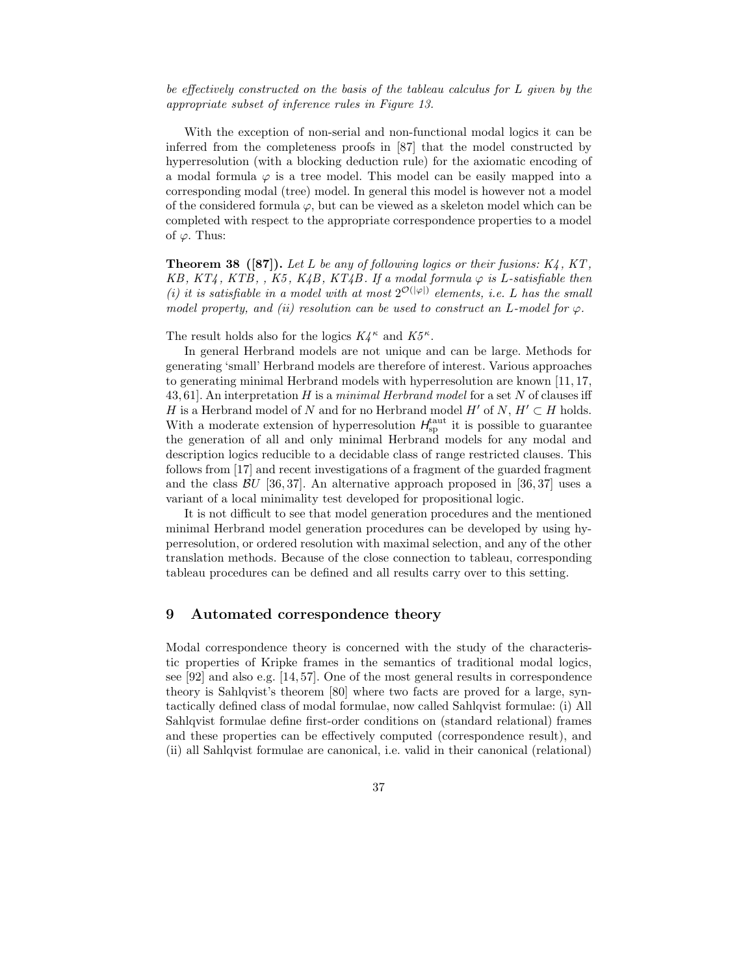*be effectively constructed on the basis of the tableau calculus for* L *given by the appropriate subset of inference rules in Figure 13.*

With the exception of non-serial and non-functional modal logics it can be inferred from the completeness proofs in [87] that the model constructed by hyperresolution (with a blocking deduction rule) for the axiomatic encoding of a modal formula  $\varphi$  is a tree model. This model can be easily mapped into a corresponding modal (tree) model. In general this model is however not a model of the considered formula  $\varphi$ , but can be viewed as a skeleton model which can be completed with respect to the appropriate correspondence properties to a model of  $\varphi$ . Thus:

Theorem 38 ([87]). *Let* L *be any of following logics or their fusions: K4 , KT , KB, KT4, KTB, , K5, K4B, KT4B. If a modal formula*  $\varphi$  *is L-satisfiable then* (*i*) it is satisfiable in a model with at most  $2^{\mathcal{O}(|\varphi|)}$  elements, i.e. L has the small *model property, and (ii) resolution can be used to construct an L-model for*  $\varphi$ .

The result holds also for the logics  $K_4^{\kappa}$  and  $K_5^{\kappa}$ .

In general Herbrand models are not unique and can be large. Methods for generating 'small' Herbrand models are therefore of interest. Various approaches to generating minimal Herbrand models with hyperresolution are known [11, 17, 43, 61]. An interpretation H is a *minimal Herbrand model* for a set N of clauses iff H is a Herbrand model of N and for no Herbrand model  $H'$  of  $N, H' \subset H$  holds. With a moderate extension of hyperresolution  $H_{\text{sp}}^{\text{taut}}$  it is possible to guarantee the generation of all and only minimal Herbrand models for any modal and description logics reducible to a decidable class of range restricted clauses. This follows from [17] and recent investigations of a fragment of the guarded fragment and the class  $\mathcal{B}U$  [36, 37]. An alternative approach proposed in [36, 37] uses a variant of a local minimality test developed for propositional logic.

It is not difficult to see that model generation procedures and the mentioned minimal Herbrand model generation procedures can be developed by using hyperresolution, or ordered resolution with maximal selection, and any of the other translation methods. Because of the close connection to tableau, corresponding tableau procedures can be defined and all results carry over to this setting.

## 9 Automated correspondence theory

Modal correspondence theory is concerned with the study of the characteristic properties of Kripke frames in the semantics of traditional modal logics, see [92] and also e.g. [14, 57]. One of the most general results in correspondence theory is Sahlqvist's theorem [80] where two facts are proved for a large, syntactically defined class of modal formulae, now called Sahlqvist formulae: (i) All Sahlqvist formulae define first-order conditions on (standard relational) frames and these properties can be effectively computed (correspondence result), and (ii) all Sahlqvist formulae are canonical, i.e. valid in their canonical (relational)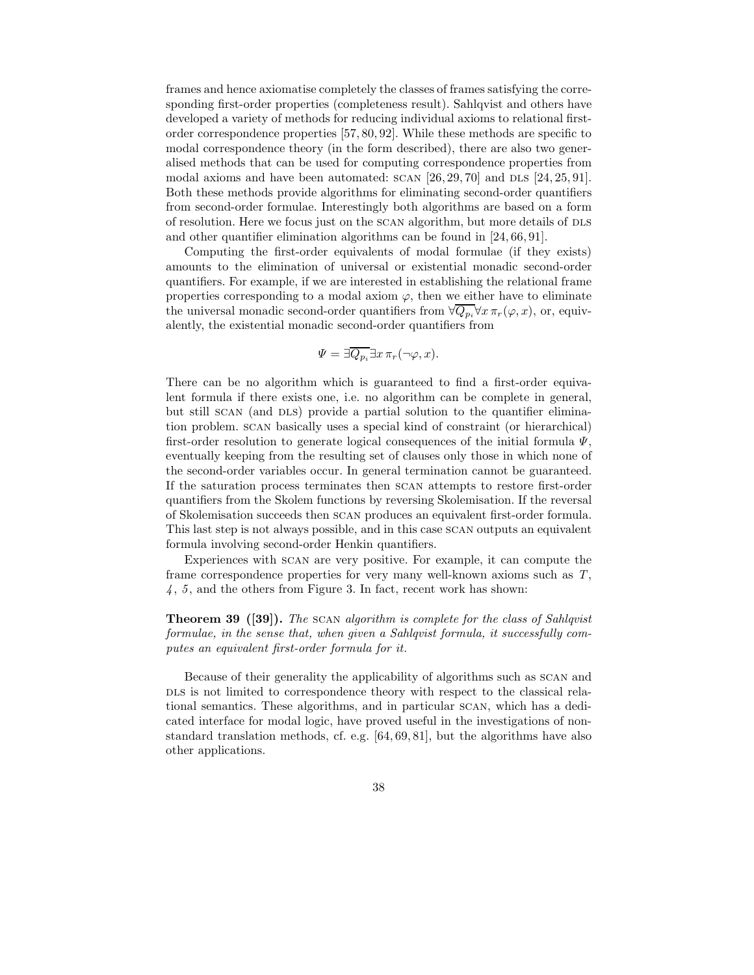frames and hence axiomatise completely the classes of frames satisfying the corresponding first-order properties (completeness result). Sahlqvist and others have developed a variety of methods for reducing individual axioms to relational firstorder correspondence properties [57, 80, 92]. While these methods are specific to modal correspondence theory (in the form described), there are also two generalised methods that can be used for computing correspondence properties from modal axioms and have been automated:  $SCAN$  [26, 29, 70] and  $DLS$  [24, 25, 91]. Both these methods provide algorithms for eliminating second-order quantifiers from second-order formulae. Interestingly both algorithms are based on a form of resolution. Here we focus just on the SCAN algorithm, but more details of DLS and other quantifier elimination algorithms can be found in [24, 66, 91].

Computing the first-order equivalents of modal formulae (if they exists) amounts to the elimination of universal or existential monadic second-order quantifiers. For example, if we are interested in establishing the relational frame properties corresponding to a modal axiom  $\varphi$ , then we either have to eliminate the universal monadic second-order quantifiers from  $\forall \overline{Q_{p_i}} \forall x \pi_r(\varphi, x)$ , or, equivalently, the existential monadic second-order quantifiers from

$$
\Psi = \exists \overline{Q_{p_i}} \exists x \, \pi_r(\neg \varphi, x).
$$

There can be no algorithm which is guaranteed to find a first-order equivalent formula if there exists one, i.e. no algorithm can be complete in general, but still scan (and DLs) provide a partial solution to the quantifier elimination problem. scan basically uses a special kind of constraint (or hierarchical) first-order resolution to generate logical consequences of the initial formula  $\Psi$ . eventually keeping from the resulting set of clauses only those in which none of the second-order variables occur. In general termination cannot be guaranteed. If the saturation process terminates then scan attempts to restore first-order quantifiers from the Skolem functions by reversing Skolemisation. If the reversal of Skolemisation succeeds then scan produces an equivalent first-order formula. This last step is not always possible, and in this case scan outputs an equivalent formula involving second-order Henkin quantifiers.

Experiences with scan are very positive. For example, it can compute the frame correspondence properties for very many well-known axioms such as *T*, *4*, *5*, and the others from Figure 3. In fact, recent work has shown:

Theorem 39 ([39]). *The* scan *algorithm is complete for the class of Sahlqvist formulae, in the sense that, when given a Sahlqvist formula, it successfully computes an equivalent first-order formula for it.*

Because of their generality the applicability of algorithms such as scan and DLS is not limited to correspondence theory with respect to the classical relational semantics. These algorithms, and in particular scan, which has a dedicated interface for modal logic, have proved useful in the investigations of nonstandard translation methods, cf. e.g. [64, 69, 81], but the algorithms have also other applications.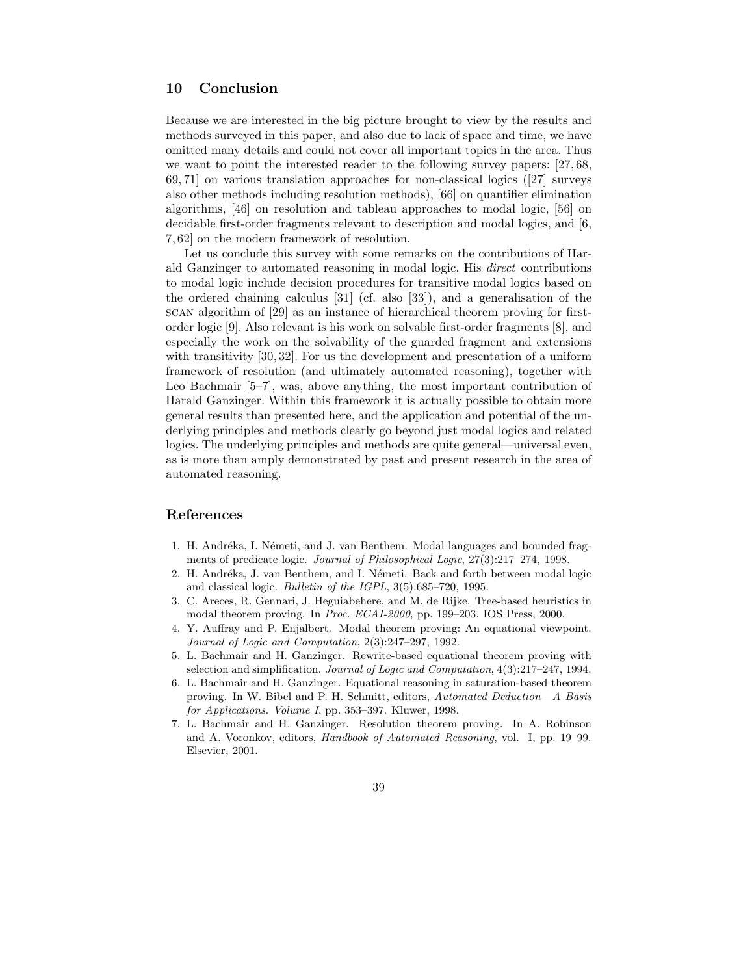# 10 Conclusion

Because we are interested in the big picture brought to view by the results and methods surveyed in this paper, and also due to lack of space and time, we have omitted many details and could not cover all important topics in the area. Thus we want to point the interested reader to the following survey papers: [27, 68, 69, 71] on various translation approaches for non-classical logics ([27] surveys also other methods including resolution methods), [66] on quantifier elimination algorithms, [46] on resolution and tableau approaches to modal logic, [56] on decidable first-order fragments relevant to description and modal logics, and [6, 7, 62] on the modern framework of resolution.

Let us conclude this survey with some remarks on the contributions of Harald Ganzinger to automated reasoning in modal logic. His *direct* contributions to modal logic include decision procedures for transitive modal logics based on the ordered chaining calculus [31] (cf. also [33]), and a generalisation of the scan algorithm of [29] as an instance of hierarchical theorem proving for firstorder logic [9]. Also relevant is his work on solvable first-order fragments [8], and especially the work on the solvability of the guarded fragment and extensions with transitivity [30, 32]. For us the development and presentation of a uniform framework of resolution (and ultimately automated reasoning), together with Leo Bachmair [5–7], was, above anything, the most important contribution of Harald Ganzinger. Within this framework it is actually possible to obtain more general results than presented here, and the application and potential of the underlying principles and methods clearly go beyond just modal logics and related logics. The underlying principles and methods are quite general—universal even, as is more than amply demonstrated by past and present research in the area of automated reasoning.

# References

- 1. H. Andréka, I. Németi, and J. van Benthem. Modal languages and bounded fragments of predicate logic. *Journal of Philosophical Logic*, 27(3):217–274, 1998.
- 2. H. Andréka, J. van Benthem, and I. Németi. Back and forth between modal logic and classical logic. *Bulletin of the IGPL*, 3(5):685–720, 1995.
- 3. C. Areces, R. Gennari, J. Heguiabehere, and M. de Rijke. Tree-based heuristics in modal theorem proving. In *Proc. ECAI-2000*, pp. 199–203. IOS Press, 2000.
- 4. Y. Auffray and P. Enjalbert. Modal theorem proving: An equational viewpoint. *Journal of Logic and Computation*, 2(3):247–297, 1992.
- 5. L. Bachmair and H. Ganzinger. Rewrite-based equational theorem proving with selection and simplification. *Journal of Logic and Computation*, 4(3):217–247, 1994.
- 6. L. Bachmair and H. Ganzinger. Equational reasoning in saturation-based theorem proving. In W. Bibel and P. H. Schmitt, editors, *Automated Deduction—A Basis for Applications. Volume I*, pp. 353–397. Kluwer, 1998.
- 7. L. Bachmair and H. Ganzinger. Resolution theorem proving. In A. Robinson and A. Voronkov, editors, *Handbook of Automated Reasoning*, vol. I, pp. 19–99. Elsevier, 2001.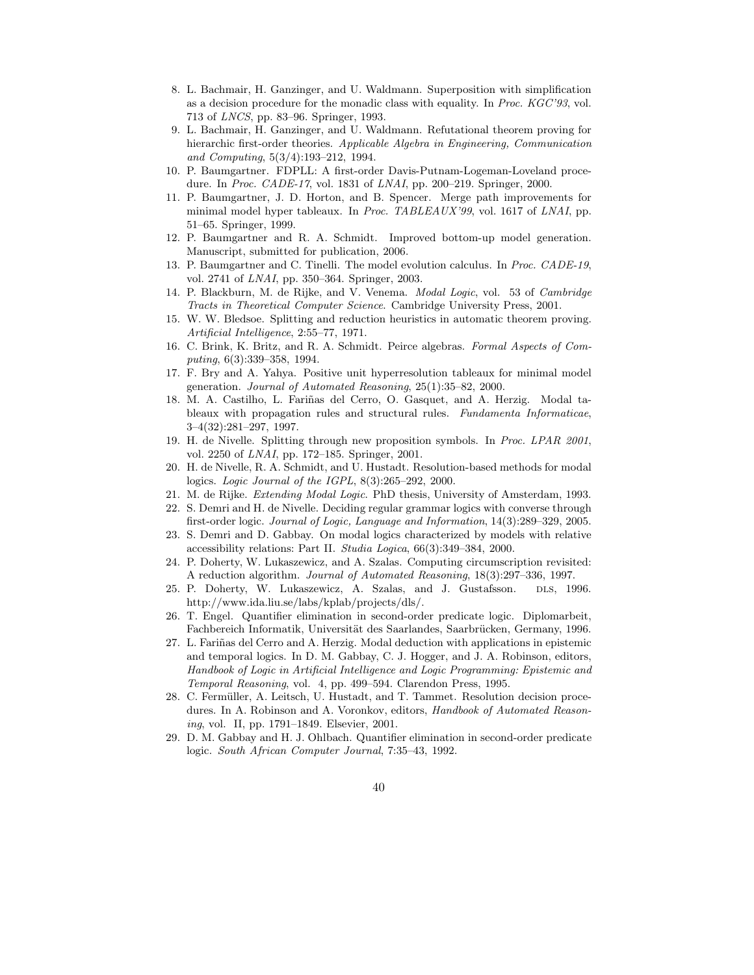- 8. L. Bachmair, H. Ganzinger, and U. Waldmann. Superposition with simplification as a decision procedure for the monadic class with equality. In *Proc. KGC'93*, vol. 713 of *LNCS*, pp. 83–96. Springer, 1993.
- 9. L. Bachmair, H. Ganzinger, and U. Waldmann. Refutational theorem proving for hierarchic first-order theories. *Applicable Algebra in Engineering, Communication and Computing*, 5(3/4):193–212, 1994.
- 10. P. Baumgartner. FDPLL: A first-order Davis-Putnam-Logeman-Loveland procedure. In *Proc. CADE-17*, vol. 1831 of *LNAI*, pp. 200–219. Springer, 2000.
- 11. P. Baumgartner, J. D. Horton, and B. Spencer. Merge path improvements for minimal model hyper tableaux. In *Proc. TABLEAUX'99*, vol. 1617 of *LNAI*, pp. 51–65. Springer, 1999.
- 12. P. Baumgartner and R. A. Schmidt. Improved bottom-up model generation. Manuscript, submitted for publication, 2006.
- 13. P. Baumgartner and C. Tinelli. The model evolution calculus. In *Proc. CADE-19*, vol. 2741 of *LNAI*, pp. 350–364. Springer, 2003.
- 14. P. Blackburn, M. de Rijke, and V. Venema. *Modal Logic*, vol. 53 of *Cambridge Tracts in Theoretical Computer Science*. Cambridge University Press, 2001.
- 15. W. W. Bledsoe. Splitting and reduction heuristics in automatic theorem proving. *Artificial Intelligence*, 2:55–77, 1971.
- 16. C. Brink, K. Britz, and R. A. Schmidt. Peirce algebras. *Formal Aspects of Computing*, 6(3):339–358, 1994.
- 17. F. Bry and A. Yahya. Positive unit hyperresolution tableaux for minimal model generation. *Journal of Automated Reasoning*, 25(1):35–82, 2000.
- 18. M. A. Castilho, L. Fariñas del Cerro, O. Gasquet, and A. Herzig. Modal tableaux with propagation rules and structural rules. *Fundamenta Informaticae*, 3–4(32):281–297, 1997.
- 19. H. de Nivelle. Splitting through new proposition symbols. In *Proc. LPAR 2001*, vol. 2250 of *LNAI*, pp. 172–185. Springer, 2001.
- 20. H. de Nivelle, R. A. Schmidt, and U. Hustadt. Resolution-based methods for modal logics. *Logic Journal of the IGPL*, 8(3):265–292, 2000.
- 21. M. de Rijke. *Extending Modal Logic*. PhD thesis, University of Amsterdam, 1993.
- 22. S. Demri and H. de Nivelle. Deciding regular grammar logics with converse through first-order logic. *Journal of Logic, Language and Information*, 14(3):289–329, 2005.
- 23. S. Demri and D. Gabbay. On modal logics characterized by models with relative accessibility relations: Part II. *Studia Logica*, 66(3):349–384, 2000.
- 24. P. Doherty, W. Lukaszewicz, and A. Szalas. Computing circumscription revisited: A reduction algorithm. *Journal of Automated Reasoning*, 18(3):297–336, 1997.
- 25. P. Doherty, W. Lukaszewicz, A. Szalas, and J. Gustafsson. DLS, 1996. http://www.ida.liu.se/labs/kplab/projects/dls/.
- 26. T. Engel. Quantifier elimination in second-order predicate logic. Diplomarbeit, Fachbereich Informatik, Universität des Saarlandes, Saarbrücken, Germany, 1996.
- 27. L. Fariñas del Cerro and A. Herzig. Modal deduction with applications in epistemic and temporal logics. In D. M. Gabbay, C. J. Hogger, and J. A. Robinson, editors, *Handbook of Logic in Artificial Intelligence and Logic Programming: Epistemic and Temporal Reasoning*, vol. 4, pp. 499–594. Clarendon Press, 1995.
- 28. C. Fermüller, A. Leitsch, U. Hustadt, and T. Tammet. Resolution decision procedures. In A. Robinson and A. Voronkov, editors, *Handbook of Automated Reasoning*, vol. II, pp. 1791–1849. Elsevier, 2001.
- 29. D. M. Gabbay and H. J. Ohlbach. Quantifier elimination in second-order predicate logic. *South African Computer Journal*, 7:35–43, 1992.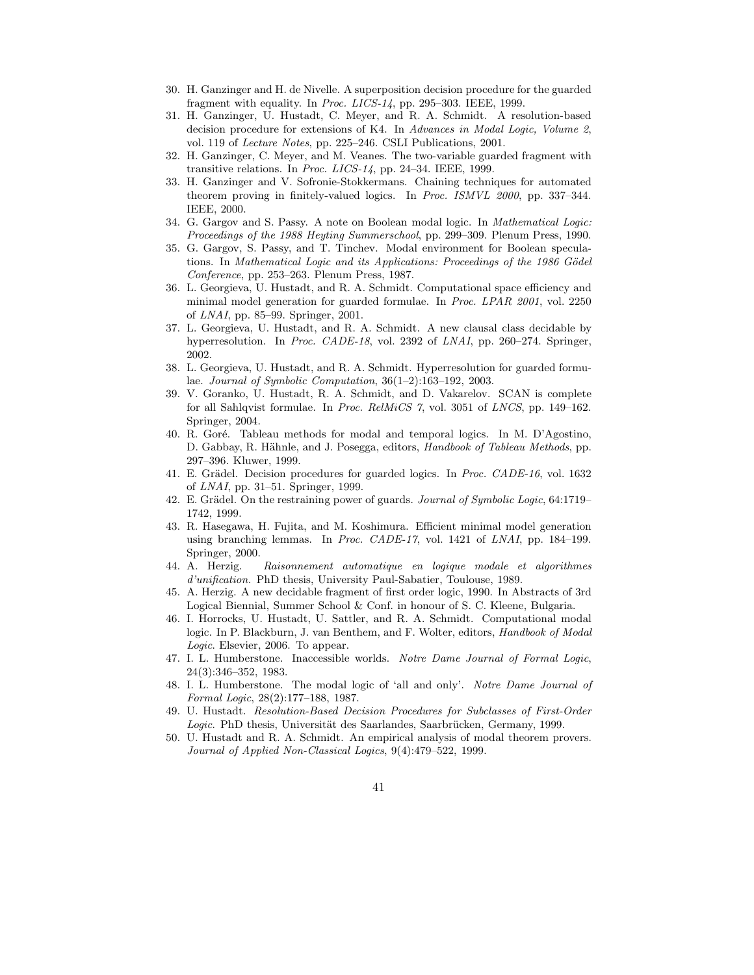- 30. H. Ganzinger and H. de Nivelle. A superposition decision procedure for the guarded fragment with equality. In *Proc. LICS-14*, pp. 295–303. IEEE, 1999.
- 31. H. Ganzinger, U. Hustadt, C. Meyer, and R. A. Schmidt. A resolution-based decision procedure for extensions of K4. In *Advances in Modal Logic, Volume 2*, vol. 119 of *Lecture Notes*, pp. 225–246. CSLI Publications, 2001.
- 32. H. Ganzinger, C. Meyer, and M. Veanes. The two-variable guarded fragment with transitive relations. In *Proc. LICS-14*, pp. 24–34. IEEE, 1999.
- 33. H. Ganzinger and V. Sofronie-Stokkermans. Chaining techniques for automated theorem proving in finitely-valued logics. In *Proc. ISMVL 2000*, pp. 337–344. IEEE, 2000.
- 34. G. Gargov and S. Passy. A note on Boolean modal logic. In *Mathematical Logic: Proceedings of the 1988 Heyting Summerschool*, pp. 299–309. Plenum Press, 1990.
- 35. G. Gargov, S. Passy, and T. Tinchev. Modal environment for Boolean speculations. In *Mathematical Logic and its Applications: Proceedings of the 1986 Gödel Conference*, pp. 253–263. Plenum Press, 1987.
- 36. L. Georgieva, U. Hustadt, and R. A. Schmidt. Computational space efficiency and minimal model generation for guarded formulae. In *Proc. LPAR 2001*, vol. 2250 of *LNAI*, pp. 85–99. Springer, 2001.
- 37. L. Georgieva, U. Hustadt, and R. A. Schmidt. A new clausal class decidable by hyperresolution. In *Proc. CADE-18*, vol. 2392 of *LNAI*, pp. 260–274. Springer, 2002.
- 38. L. Georgieva, U. Hustadt, and R. A. Schmidt. Hyperresolution for guarded formulae. *Journal of Symbolic Computation*, 36(1–2):163–192, 2003.
- 39. V. Goranko, U. Hustadt, R. A. Schmidt, and D. Vakarelov. SCAN is complete for all Sahlqvist formulae. In *Proc. RelMiCS 7*, vol. 3051 of *LNCS*, pp. 149–162. Springer, 2004.
- 40. R. Gor´e. Tableau methods for modal and temporal logics. In M. D'Agostino, D. Gabbay, R. Hähnle, and J. Posegga, editors, *Handbook of Tableau Methods*, pp. 297–396. Kluwer, 1999.
- 41. E. Grädel. Decision procedures for guarded logics. In *Proc. CADE-16*, vol. 1632 of *LNAI*, pp. 31–51. Springer, 1999.
- 42. E. Grädel. On the restraining power of guards. *Journal of Symbolic Logic*, 64:1719– 1742, 1999.
- 43. R. Hasegawa, H. Fujita, and M. Koshimura. Efficient minimal model generation using branching lemmas. In *Proc. CADE-17*, vol. 1421 of *LNAI*, pp. 184–199. Springer, 2000.
- 44. A. Herzig. *Raisonnement automatique en logique modale et algorithmes d'unification.* PhD thesis, University Paul-Sabatier, Toulouse, 1989.
- 45. A. Herzig. A new decidable fragment of first order logic, 1990. In Abstracts of 3rd Logical Biennial, Summer School & Conf. in honour of S. C. Kleene, Bulgaria.
- 46. I. Horrocks, U. Hustadt, U. Sattler, and R. A. Schmidt. Computational modal logic. In P. Blackburn, J. van Benthem, and F. Wolter, editors, *Handbook of Modal Logic*. Elsevier, 2006. To appear.
- 47. I. L. Humberstone. Inaccessible worlds. *Notre Dame Journal of Formal Logic*, 24(3):346–352, 1983.
- 48. I. L. Humberstone. The modal logic of 'all and only'. *Notre Dame Journal of Formal Logic*, 28(2):177–188, 1987.
- 49. U. Hustadt. *Resolution-Based Decision Procedures for Subclasses of First-Order* Logic. PhD thesis, Universität des Saarlandes, Saarbrücken, Germany, 1999.
- 50. U. Hustadt and R. A. Schmidt. An empirical analysis of modal theorem provers. *Journal of Applied Non-Classical Logics*, 9(4):479–522, 1999.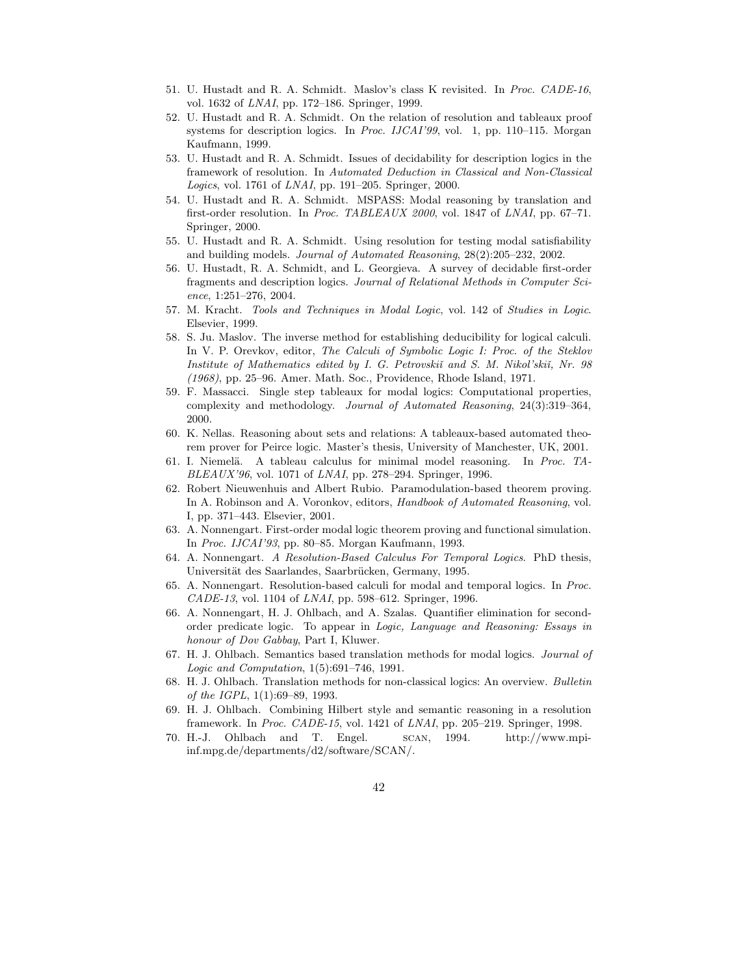- 51. U. Hustadt and R. A. Schmidt. Maslov's class K revisited. In *Proc. CADE-16*, vol. 1632 of *LNAI*, pp. 172–186. Springer, 1999.
- 52. U. Hustadt and R. A. Schmidt. On the relation of resolution and tableaux proof systems for description logics. In *Proc. IJCAI'99*, vol. 1, pp. 110–115. Morgan Kaufmann, 1999.
- 53. U. Hustadt and R. A. Schmidt. Issues of decidability for description logics in the framework of resolution. In *Automated Deduction in Classical and Non-Classical Logics*, vol. 1761 of *LNAI*, pp. 191–205. Springer, 2000.
- 54. U. Hustadt and R. A. Schmidt. MSPASS: Modal reasoning by translation and first-order resolution. In *Proc. TABLEAUX 2000*, vol. 1847 of *LNAI*, pp. 67–71. Springer, 2000.
- 55. U. Hustadt and R. A. Schmidt. Using resolution for testing modal satisfiability and building models. *Journal of Automated Reasoning*, 28(2):205–232, 2002.
- 56. U. Hustadt, R. A. Schmidt, and L. Georgieva. A survey of decidable first-order fragments and description logics. *Journal of Relational Methods in Computer Science*, 1:251–276, 2004.
- 57. M. Kracht. *Tools and Techniques in Modal Logic*, vol. 142 of *Studies in Logic*. Elsevier, 1999.
- 58. S. Ju. Maslov. The inverse method for establishing deducibility for logical calculi. In V. P. Orevkov, editor, *The Calculi of Symbolic Logic I: Proc. of the Steklov Institute of Mathematics edited by I. G. Petrovskiˇı and S. M. Nikol'skiˇı, Nr. 98 (1968)*, pp. 25–96. Amer. Math. Soc., Providence, Rhode Island, 1971.
- 59. F. Massacci. Single step tableaux for modal logics: Computational properties, complexity and methodology. *Journal of Automated Reasoning*, 24(3):319–364, 2000.
- 60. K. Nellas. Reasoning about sets and relations: A tableaux-based automated theorem prover for Peirce logic. Master's thesis, University of Manchester, UK, 2001.
- 61. I. Niemelä. A tableau calculus for minimal model reasoning. In *Proc. TA*-*BLEAUX'96*, vol. 1071 of *LNAI*, pp. 278–294. Springer, 1996.
- 62. Robert Nieuwenhuis and Albert Rubio. Paramodulation-based theorem proving. In A. Robinson and A. Voronkov, editors, *Handbook of Automated Reasoning*, vol. I, pp. 371–443. Elsevier, 2001.
- 63. A. Nonnengart. First-order modal logic theorem proving and functional simulation. In *Proc. IJCAI'93*, pp. 80–85. Morgan Kaufmann, 1993.
- 64. A. Nonnengart. *A Resolution-Based Calculus For Temporal Logics*. PhD thesis, Universität des Saarlandes, Saarbrücken, Germany, 1995.
- 65. A. Nonnengart. Resolution-based calculi for modal and temporal logics. In *Proc. CADE-13*, vol. 1104 of *LNAI*, pp. 598–612. Springer, 1996.
- 66. A. Nonnengart, H. J. Ohlbach, and A. Szalas. Quantifier elimination for secondorder predicate logic. To appear in *Logic, Language and Reasoning: Essays in honour of Dov Gabbay*, Part I, Kluwer.
- 67. H. J. Ohlbach. Semantics based translation methods for modal logics. *Journal of Logic and Computation*, 1(5):691–746, 1991.
- 68. H. J. Ohlbach. Translation methods for non-classical logics: An overview. *Bulletin of the IGPL*, 1(1):69–89, 1993.
- 69. H. J. Ohlbach. Combining Hilbert style and semantic reasoning in a resolution framework. In *Proc. CADE-15*, vol. 1421 of *LNAI*, pp. 205–219. Springer, 1998.
- 70. H.-J. Ohlbach and T. Engel. scan, 1994. http://www.mpiinf.mpg.de/departments/d2/software/SCAN/.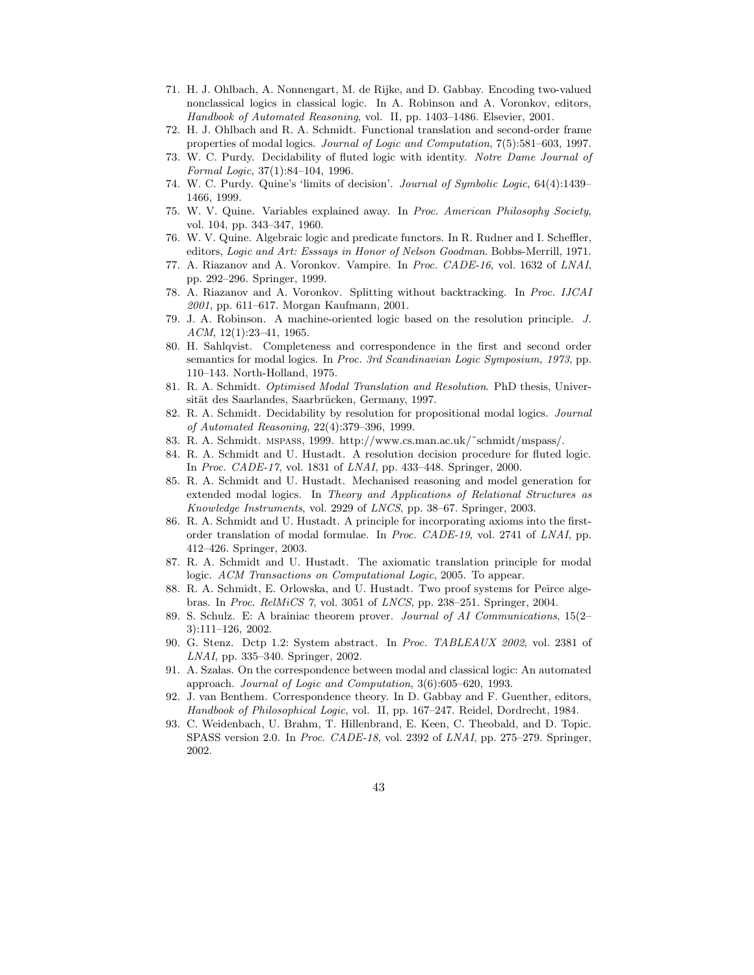- 71. H. J. Ohlbach, A. Nonnengart, M. de Rijke, and D. Gabbay. Encoding two-valued nonclassical logics in classical logic. In A. Robinson and A. Voronkov, editors, *Handbook of Automated Reasoning*, vol. II, pp. 1403–1486. Elsevier, 2001.
- 72. H. J. Ohlbach and R. A. Schmidt. Functional translation and second-order frame properties of modal logics. *Journal of Logic and Computation*, 7(5):581–603, 1997.
- 73. W. C. Purdy. Decidability of fluted logic with identity. *Notre Dame Journal of Formal Logic*, 37(1):84–104, 1996.
- 74. W. C. Purdy. Quine's 'limits of decision'. *Journal of Symbolic Logic*, 64(4):1439– 1466, 1999.
- 75. W. V. Quine. Variables explained away. In *Proc. American Philosophy Society*, vol. 104, pp. 343–347, 1960.
- 76. W. V. Quine. Algebraic logic and predicate functors. In R. Rudner and I. Scheffler, editors, *Logic and Art: Esssays in Honor of Nelson Goodman*. Bobbs-Merrill, 1971.
- 77. A. Riazanov and A. Voronkov. Vampire. In *Proc. CADE-16*, vol. 1632 of *LNAI*, pp. 292–296. Springer, 1999.
- 78. A. Riazanov and A. Voronkov. Splitting without backtracking. In *Proc. IJCAI 2001*, pp. 611–617. Morgan Kaufmann, 2001.
- 79. J. A. Robinson. A machine-oriented logic based on the resolution principle. *J. ACM*, 12(1):23–41, 1965.
- 80. H. Sahlqvist. Completeness and correspondence in the first and second order semantics for modal logics. In *Proc. 3rd Scandinavian Logic Symposium, 1973*, pp. 110–143. North-Holland, 1975.
- 81. R. A. Schmidt. *Optimised Modal Translation and Resolution*. PhD thesis, Universität des Saarlandes, Saarbrücken, Germany, 1997.
- 82. R. A. Schmidt. Decidability by resolution for propositional modal logics. *Journal of Automated Reasoning*, 22(4):379–396, 1999.
- 83. R. A. Schmidt. mspass, 1999. http://www.cs.man.ac.uk/˜schmidt/mspass/.
- 84. R. A. Schmidt and U. Hustadt. A resolution decision procedure for fluted logic. In *Proc. CADE-17*, vol. 1831 of *LNAI*, pp. 433–448. Springer, 2000.
- 85. R. A. Schmidt and U. Hustadt. Mechanised reasoning and model generation for extended modal logics. In *Theory and Applications of Relational Structures as Knowledge Instruments*, vol. 2929 of *LNCS*, pp. 38–67. Springer, 2003.
- 86. R. A. Schmidt and U. Hustadt. A principle for incorporating axioms into the firstorder translation of modal formulae. In *Proc. CADE-19*, vol. 2741 of *LNAI*, pp. 412–426. Springer, 2003.
- 87. R. A. Schmidt and U. Hustadt. The axiomatic translation principle for modal logic. *ACM Transactions on Computational Logic*, 2005. To appear.
- 88. R. A. Schmidt, E. Orlowska, and U. Hustadt. Two proof systems for Peirce algebras. In *Proc. RelMiCS 7*, vol. 3051 of *LNCS*, pp. 238–251. Springer, 2004.
- 89. S. Schulz. E: A brainiac theorem prover. *Journal of AI Communications*, 15(2– 3):111–126, 2002.
- 90. G. Stenz. Dctp 1.2: System abstract. In *Proc. TABLEAUX 2002*, vol. 2381 of *LNAI*, pp. 335–340. Springer, 2002.
- 91. A. Szałas. On the correspondence between modal and classical logic: An automated approach. *Journal of Logic and Computation*, 3(6):605–620, 1993.
- 92. J. van Benthem. Correspondence theory. In D. Gabbay and F. Guenther, editors, *Handbook of Philosophical Logic*, vol. II, pp. 167–247. Reidel, Dordrecht, 1984.
- 93. C. Weidenbach, U. Brahm, T. Hillenbrand, E. Keen, C. Theobald, and D. Topic. SPASS version 2.0. In *Proc. CADE-18*, vol. 2392 of *LNAI*, pp. 275–279. Springer, 2002.